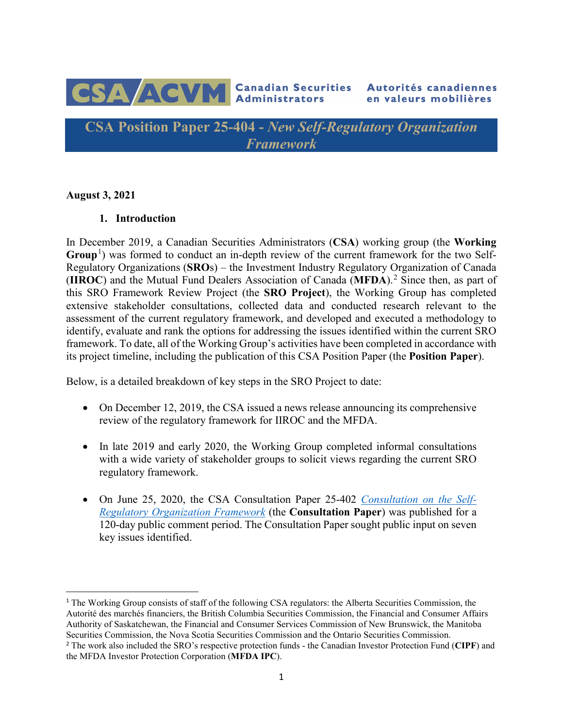

**CSA Position Paper 25-404 -** *New Self-Regulatory Organization Framework*

**August 3, 2021**

#### **1. Introduction**

In December 2019, a Canadian Securities Administrators (**CSA**) working group (the **Working**  Group<sup>[1](#page-0-0)</sup>) was formed to conduct an in-depth review of the current framework for the two Self-Regulatory Organizations (**SRO**s) – the Investment Industry Regulatory Organization of Canada (**IIROC**) and the Mutual Fund Dealers Association of Canada (**MFDA**). [2](#page-0-1) Since then, as part of this SRO Framework Review Project (the **SRO Project**), the Working Group has completed extensive stakeholder consultations, collected data and conducted research relevant to the assessment of the current regulatory framework, and developed and executed a methodology to identify, evaluate and rank the options for addressing the issues identified within the current SRO framework. To date, all of the Working Group's activities have been completed in accordance with its project timeline, including the publication of this CSA Position Paper (the **Position Paper**).

Below, is a detailed breakdown of key steps in the SRO Project to date:

- On December 12, 2019, the CSA issued a news release announcing its comprehensive review of the regulatory framework for IIROC and the MFDA.
- In late 2019 and early 2020, the Working Group completed informal consultations with a wide variety of stakeholder groups to solicit views regarding the current SRO regulatory framework.
- On June 25, 2020, the CSA Consultation Paper 25-402 *[Consultation on the Self-](https://www.osc.ca/sites/default/files/2020-11/csa_20200625_25-402_consultation-self-regulatory-organization-framework.pdf)[Regulatory Organization Framework](https://www.osc.ca/sites/default/files/2020-11/csa_20200625_25-402_consultation-self-regulatory-organization-framework.pdf)* (the **Consultation Paper**) was published for a 120-day public comment period. The Consultation Paper sought public input on seven key issues identified.

<span id="page-0-0"></span><sup>&</sup>lt;sup>1</sup> The Working Group consists of staff of the following CSA regulators: the Alberta Securities Commission, the Autorité des marchés financiers, the British Columbia Securities Commission, the Financial and Consumer Affairs Authority of Saskatchewan, the Financial and Consumer Services Commission of New Brunswick, the Manitoba Securities Commission, the Nova Scotia Securities Commission and the Ontario Securities Commission.

<span id="page-0-1"></span><sup>2</sup> The work also included the SRO's respective protection funds - the Canadian Investor Protection Fund (**CIPF**) and the MFDA Investor Protection Corporation (**MFDA IPC**).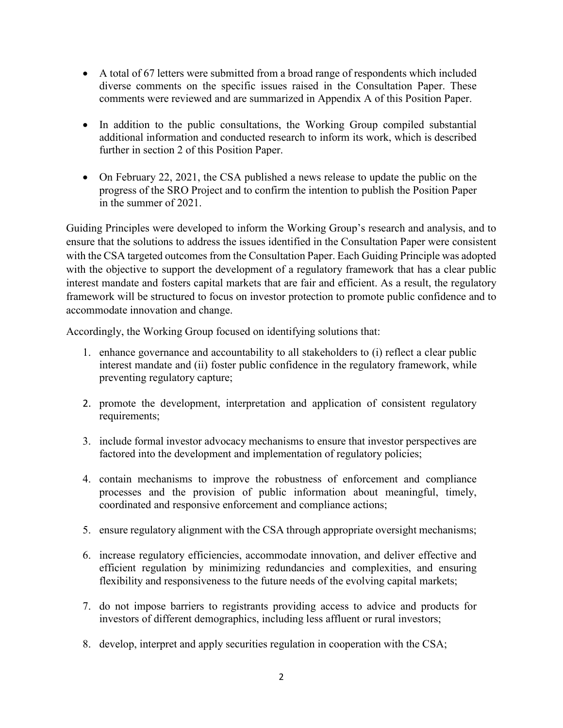- A total of 67 letters were submitted from a broad range of respondents which included diverse comments on the specific issues raised in the Consultation Paper. These comments were reviewed and are summarized in Appendix A of this Position Paper.
- In addition to the public consultations, the Working Group compiled substantial additional information and conducted research to inform its work, which is described further in section 2 of this Position Paper.
- On February 22, 2021, the CSA published a news release to update the public on the progress of the SRO Project and to confirm the intention to publish the Position Paper in the summer of 2021.

Guiding Principles were developed to inform the Working Group's research and analysis, and to ensure that the solutions to address the issues identified in the Consultation Paper were consistent with the CSA targeted outcomes from the Consultation Paper. Each Guiding Principle was adopted with the objective to support the development of a regulatory framework that has a clear public interest mandate and fosters capital markets that are fair and efficient. As a result, the regulatory framework will be structured to focus on investor protection to promote public confidence and to accommodate innovation and change.

Accordingly, the Working Group focused on identifying solutions that:

- 1. enhance governance and accountability to all stakeholders to (i) reflect a clear public interest mandate and (ii) foster public confidence in the regulatory framework, while preventing regulatory capture;
- 2. promote the development, interpretation and application of consistent regulatory requirements;
- 3. include formal investor advocacy mechanisms to ensure that investor perspectives are factored into the development and implementation of regulatory policies;
- 4. contain mechanisms to improve the robustness of enforcement and compliance processes and the provision of public information about meaningful, timely, coordinated and responsive enforcement and compliance actions;
- 5. ensure regulatory alignment with the CSA through appropriate oversight mechanisms;
- 6. increase regulatory efficiencies, accommodate innovation, and deliver effective and efficient regulation by minimizing redundancies and complexities, and ensuring flexibility and responsiveness to the future needs of the evolving capital markets;
- 7. do not impose barriers to registrants providing access to advice and products for investors of different demographics, including less affluent or rural investors;
- 8. develop, interpret and apply securities regulation in cooperation with the CSA;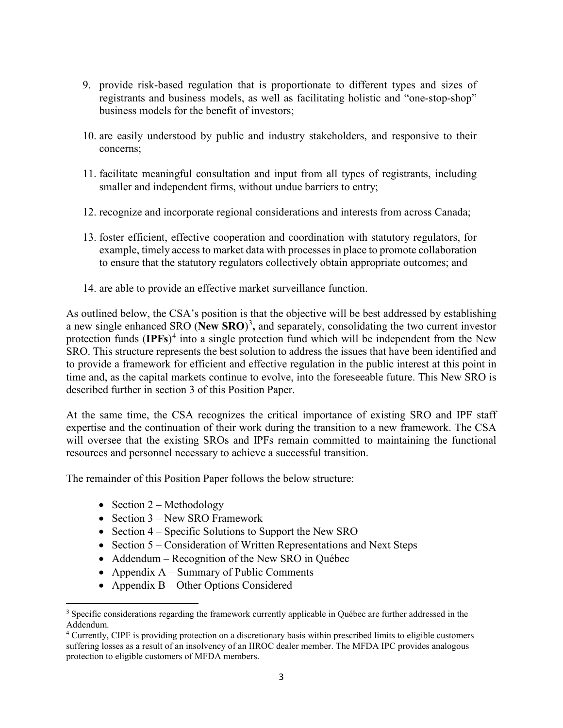- 9. provide risk-based regulation that is proportionate to different types and sizes of registrants and business models, as well as facilitating holistic and "one-stop-shop" business models for the benefit of investors;
- 10. are easily understood by public and industry stakeholders, and responsive to their concerns;
- 11. facilitate meaningful consultation and input from all types of registrants, including smaller and independent firms, without undue barriers to entry;
- 12. recognize and incorporate regional considerations and interests from across Canada;
- 13. foster efficient, effective cooperation and coordination with statutory regulators, for example, timely access to market data with processes in place to promote collaboration to ensure that the statutory regulators collectively obtain appropriate outcomes; and
- 14. are able to provide an effective market surveillance function.

As outlined below, the CSA's position is that the objective will be best addressed by establishing a new single enhanced SRO (**New SRO**) [3](#page-2-0) **,** and separately, consolidating the two current investor protection funds (**IPFs**) [4](#page-2-1) into a single protection fund which will be independent from the New SRO. This structure represents the best solution to address the issues that have been identified and to provide a framework for efficient and effective regulation in the public interest at this point in time and, as the capital markets continue to evolve, into the foreseeable future. This New SRO is described further in section 3 of this Position Paper.

At the same time, the CSA recognizes the critical importance of existing SRO and IPF staff expertise and the continuation of their work during the transition to a new framework. The CSA will oversee that the existing SROs and IPFs remain committed to maintaining the functional resources and personnel necessary to achieve a successful transition.

The remainder of this Position Paper follows the below structure:

- Section  $2 -$  Methodology
- Section 3 New SRO Framework
- Section 4 Specific Solutions to Support the New SRO
- Section 5 Consideration of Written Representations and Next Steps
- Addendum Recognition of the New SRO in Québec
- Appendix  $A -$  Summary of Public Comments
- Appendix B Other Options Considered

<span id="page-2-0"></span> <sup>3</sup> Specific considerations regarding the framework currently applicable in Québec are further addressed in the Addendum.

<span id="page-2-1"></span><sup>&</sup>lt;sup>4</sup> Currently, CIPF is providing protection on a discretionary basis within prescribed limits to eligible customers suffering losses as a result of an insolvency of an IIROC dealer member. The MFDA IPC provides analogous protection to eligible customers of MFDA members.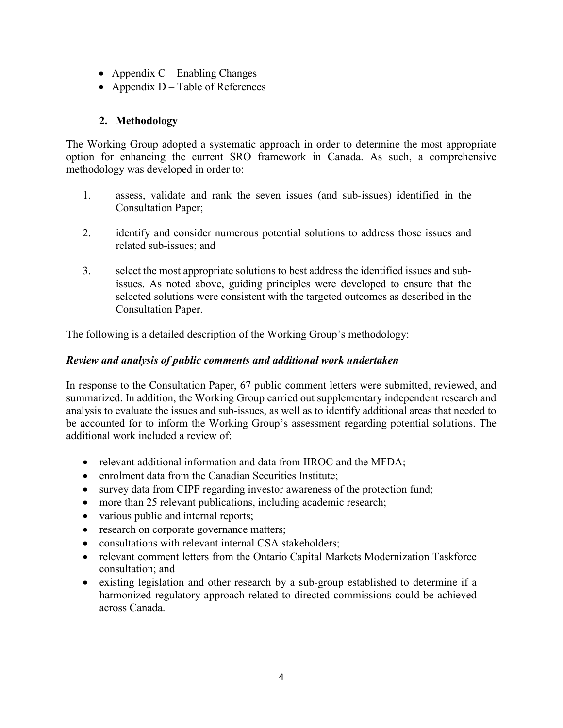- Appendix  $C$  Enabling Changes
- Appendix  $D Table$  of References

# **2. Methodology**

The Working Group adopted a systematic approach in order to determine the most appropriate option for enhancing the current SRO framework in Canada. As such, a comprehensive methodology was developed in order to:

- 1. assess, validate and rank the seven issues (and sub-issues) identified in the Consultation Paper;
- 2. identify and consider numerous potential solutions to address those issues and related sub-issues; and
- 3. select the most appropriate solutions to best address the identified issues and subissues. As noted above, guiding principles were developed to ensure that the selected solutions were consistent with the targeted outcomes as described in the Consultation Paper.

The following is a detailed description of the Working Group's methodology:

# *Review and analysis of public comments and additional work undertaken*

In response to the Consultation Paper, 67 public comment letters were submitted, reviewed, and summarized. In addition, the Working Group carried out supplementary independent research and analysis to evaluate the issues and sub-issues, as well as to identify additional areas that needed to be accounted for to inform the Working Group's assessment regarding potential solutions. The additional work included a review of:

- relevant additional information and data from IIROC and the MFDA;
- enrolment data from the Canadian Securities Institute;
- survey data from CIPF regarding investor awareness of the protection fund;
- more than 25 relevant publications, including academic research;
- various public and internal reports;
- research on corporate governance matters;
- consultations with relevant internal CSA stakeholders;
- relevant comment letters from the Ontario Capital Markets Modernization Taskforce consultation; and
- existing legislation and other research by a sub-group established to determine if a harmonized regulatory approach related to directed commissions could be achieved across Canada.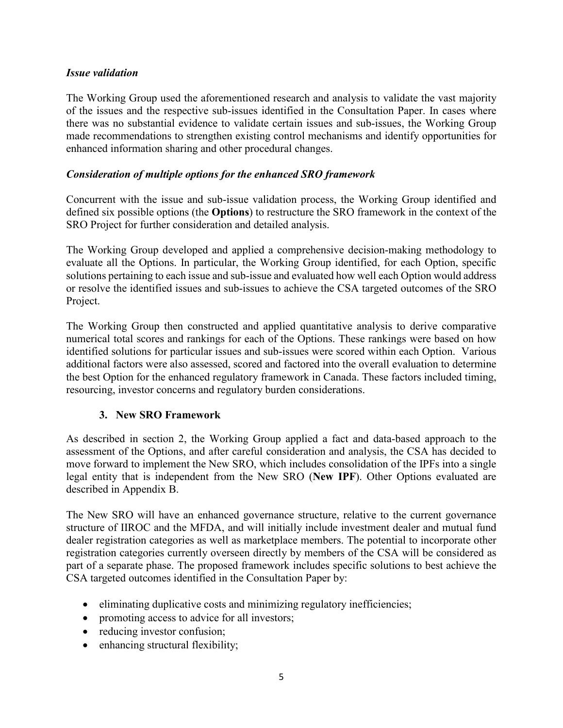#### *Issue validation*

The Working Group used the aforementioned research and analysis to validate the vast majority of the issues and the respective sub-issues identified in the Consultation Paper. In cases where there was no substantial evidence to validate certain issues and sub-issues, the Working Group made recommendations to strengthen existing control mechanisms and identify opportunities for enhanced information sharing and other procedural changes.

#### *Consideration of multiple options for the enhanced SRO framework*

Concurrent with the issue and sub-issue validation process, the Working Group identified and defined six possible options (the **Options**) to restructure the SRO framework in the context of the SRO Project for further consideration and detailed analysis.

The Working Group developed and applied a comprehensive decision-making methodology to evaluate all the Options. In particular, the Working Group identified, for each Option, specific solutions pertaining to each issue and sub-issue and evaluated how well each Option would address or resolve the identified issues and sub-issues to achieve the CSA targeted outcomes of the SRO Project.

The Working Group then constructed and applied quantitative analysis to derive comparative numerical total scores and rankings for each of the Options. These rankings were based on how identified solutions for particular issues and sub-issues were scored within each Option. Various additional factors were also assessed, scored and factored into the overall evaluation to determine the best Option for the enhanced regulatory framework in Canada. These factors included timing, resourcing, investor concerns and regulatory burden considerations.

### **3. New SRO Framework**

As described in section 2, the Working Group applied a fact and data-based approach to the assessment of the Options, and after careful consideration and analysis, the CSA has decided to move forward to implement the New SRO, which includes consolidation of the IPFs into a single legal entity that is independent from the New SRO (**New IPF**). Other Options evaluated are described in Appendix B.

The New SRO will have an enhanced governance structure, relative to the current governance structure of IIROC and the MFDA, and will initially include investment dealer and mutual fund dealer registration categories as well as marketplace members. The potential to incorporate other registration categories currently overseen directly by members of the CSA will be considered as part of a separate phase. The proposed framework includes specific solutions to best achieve the CSA targeted outcomes identified in the Consultation Paper by:

- eliminating duplicative costs and minimizing regulatory inefficiencies;
- promoting access to advice for all investors;
- reducing investor confusion;
- enhancing structural flexibility;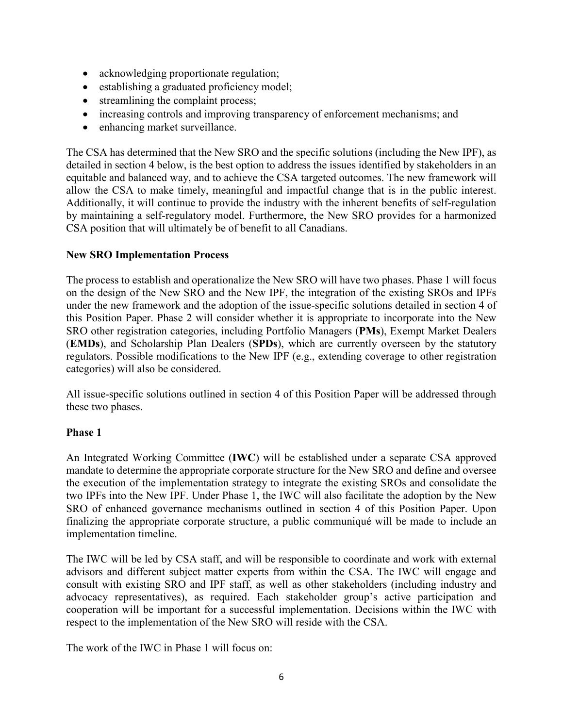- acknowledging proportionate regulation;
- establishing a graduated proficiency model;
- streamlining the complaint process;
- increasing controls and improving transparency of enforcement mechanisms; and
- enhancing market surveillance.

The CSA has determined that the New SRO and the specific solutions (including the New IPF), as detailed in section 4 below, is the best option to address the issues identified by stakeholders in an equitable and balanced way, and to achieve the CSA targeted outcomes. The new framework will allow the CSA to make timely, meaningful and impactful change that is in the public interest. Additionally, it will continue to provide the industry with the inherent benefits of self-regulation by maintaining a self-regulatory model. Furthermore, the New SRO provides for a harmonized CSA position that will ultimately be of benefit to all Canadians.

### **New SRO Implementation Process**

The process to establish and operationalize the New SRO will have two phases. Phase 1 will focus on the design of the New SRO and the New IPF, the integration of the existing SROs and IPFs under the new framework and the adoption of the issue-specific solutions detailed in section 4 of this Position Paper. Phase 2 will consider whether it is appropriate to incorporate into the New SRO other registration categories, including Portfolio Managers (**PMs**), Exempt Market Dealers (**EMDs**), and Scholarship Plan Dealers (**SPDs**), which are currently overseen by the statutory regulators. Possible modifications to the New IPF (e.g., extending coverage to other registration categories) will also be considered.

All issue-specific solutions outlined in section 4 of this Position Paper will be addressed through these two phases.

### **Phase 1**

An Integrated Working Committee (**IWC**) will be established under a separate CSA approved mandate to determine the appropriate corporate structure for the New SRO and define and oversee the execution of the implementation strategy to integrate the existing SROs and consolidate the two IPFs into the New IPF. Under Phase 1, the IWC will also facilitate the adoption by the New SRO of enhanced governance mechanisms outlined in section 4 of this Position Paper. Upon finalizing the appropriate corporate structure, a public communiqué will be made to include an implementation timeline.

The IWC will be led by CSA staff, and will be responsible to coordinate and work with external advisors and different subject matter experts from within the CSA. The IWC will engage and consult with existing SRO and IPF staff, as well as other stakeholders (including industry and advocacy representatives), as required. Each stakeholder group's active participation and cooperation will be important for a successful implementation. Decisions within the IWC with respect to the implementation of the New SRO will reside with the CSA.

The work of the IWC in Phase 1 will focus on: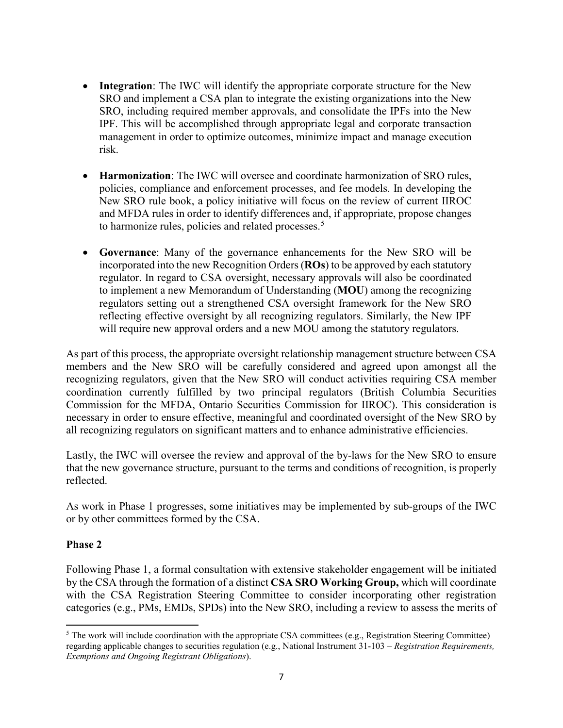- **Integration**: The IWC will identify the appropriate corporate structure for the New SRO and implement a CSA plan to integrate the existing organizations into the New SRO, including required member approvals, and consolidate the IPFs into the New IPF. This will be accomplished through appropriate legal and corporate transaction management in order to optimize outcomes, minimize impact and manage execution risk.
- **Harmonization**: The IWC will oversee and coordinate harmonization of SRO rules, policies, compliance and enforcement processes, and fee models. In developing the New SRO rule book, a policy initiative will focus on the review of current IIROC and MFDA rules in order to identify differences and, if appropriate, propose changes to harmonize rules, policies and related processes.<sup>[5](#page-6-0)</sup>
- **Governance**: Many of the governance enhancements for the New SRO will be incorporated into the new Recognition Orders(**ROs**) to be approved by each statutory regulator. In regard to CSA oversight, necessary approvals will also be coordinated to implement a new Memorandum of Understanding (**MOU**) among the recognizing regulators setting out a strengthened CSA oversight framework for the New SRO reflecting effective oversight by all recognizing regulators. Similarly, the New IPF will require new approval orders and a new MOU among the statutory regulators.

As part of this process, the appropriate oversight relationship management structure between CSA members and the New SRO will be carefully considered and agreed upon amongst all the recognizing regulators, given that the New SRO will conduct activities requiring CSA member coordination currently fulfilled by two principal regulators (British Columbia Securities Commission for the MFDA, Ontario Securities Commission for IIROC). This consideration is necessary in order to ensure effective, meaningful and coordinated oversight of the New SRO by all recognizing regulators on significant matters and to enhance administrative efficiencies.

Lastly, the IWC will oversee the review and approval of the by-laws for the New SRO to ensure that the new governance structure, pursuant to the terms and conditions of recognition, is properly reflected.

As work in Phase 1 progresses, some initiatives may be implemented by sub-groups of the IWC or by other committees formed by the CSA.

### **Phase 2**

Following Phase 1, a formal consultation with extensive stakeholder engagement will be initiated by the CSA through the formation of a distinct **CSA SRO Working Group,** which will coordinate with the CSA Registration Steering Committee to consider incorporating other registration categories (e.g., PMs, EMDs, SPDs) into the New SRO, including a review to assess the merits of

<span id="page-6-0"></span> $\overline{\phantom{a}}$  $5$  The work will include coordination with the appropriate CSA committees (e.g., Registration Steering Committee) regarding applicable changes to securities regulation (e.g., National Instrument 31-103 – *Registration Requirements, Exemptions and Ongoing Registrant Obligations*).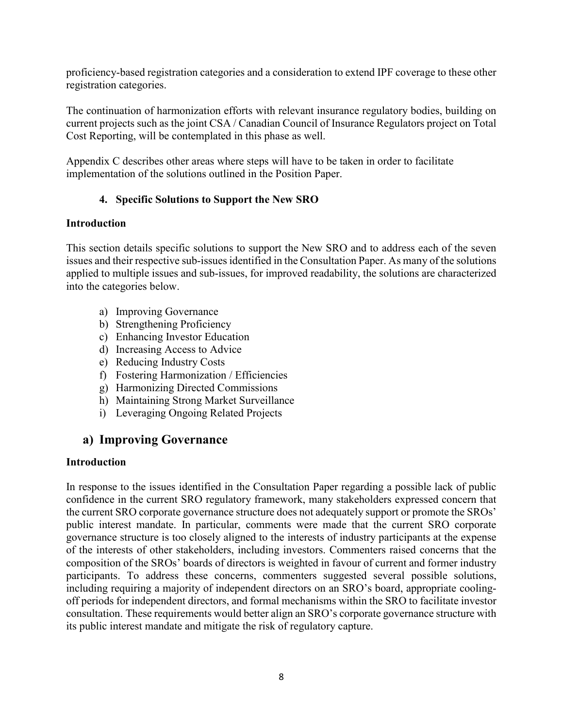proficiency-based registration categories and a consideration to extend IPF coverage to these other registration categories.

The continuation of harmonization efforts with relevant insurance regulatory bodies, building on current projects such as the joint CSA / Canadian Council of Insurance Regulators project on Total Cost Reporting, will be contemplated in this phase as well.

Appendix C describes other areas where steps will have to be taken in order to facilitate implementation of the solutions outlined in the Position Paper.

## **4. Specific Solutions to Support the New SRO**

#### **Introduction**

This section details specific solutions to support the New SRO and to address each of the seven issues and their respective sub-issues identified in the Consultation Paper. As many of the solutions applied to multiple issues and sub-issues, for improved readability, the solutions are characterized into the categories below.

- a) Improving Governance
- b) Strengthening Proficiency
- c) Enhancing Investor Education
- d) Increasing Access to Advice
- e) Reducing Industry Costs
- f) Fostering Harmonization / Efficiencies
- g) Harmonizing Directed Commissions
- h) Maintaining Strong Market Surveillance
- i) Leveraging Ongoing Related Projects

# **a) Improving Governance**

### **Introduction**

In response to the issues identified in the Consultation Paper regarding a possible lack of public confidence in the current SRO regulatory framework, many stakeholders expressed concern that the current SRO corporate governance structure does not adequately support or promote the SROs' public interest mandate. In particular, comments were made that the current SRO corporate governance structure is too closely aligned to the interests of industry participants at the expense of the interests of other stakeholders, including investors. Commenters raised concerns that the composition of the SROs' boards of directors is weighted in favour of current and former industry participants. To address these concerns, commenters suggested several possible solutions, including requiring a majority of independent directors on an SRO's board, appropriate coolingoff periods for independent directors, and formal mechanisms within the SRO to facilitate investor consultation. These requirements would better align an SRO's corporate governance structure with its public interest mandate and mitigate the risk of regulatory capture.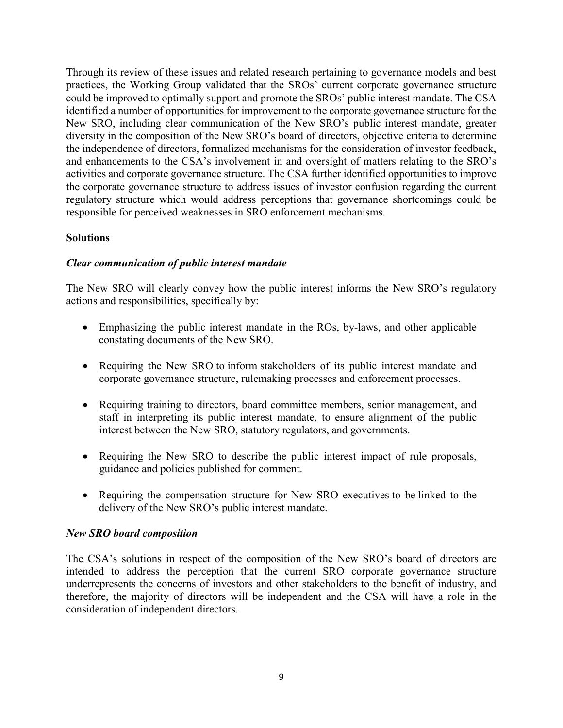Through its review of these issues and related research pertaining to governance models and best practices, the Working Group validated that the SROs' current corporate governance structure could be improved to optimally support and promote the SROs' public interest mandate. The CSA identified a number of opportunities for improvement to the corporate governance structure for the New SRO, including clear communication of the New SRO's public interest mandate, greater diversity in the composition of the New SRO's board of directors, objective criteria to determine the independence of directors, formalized mechanisms for the consideration of investor feedback, and enhancements to the CSA's involvement in and oversight of matters relating to the SRO's activities and corporate governance structure. The CSA further identified opportunities to improve the corporate governance structure to address issues of investor confusion regarding the current regulatory structure which would address perceptions that governance shortcomings could be responsible for perceived weaknesses in SRO enforcement mechanisms.

#### **Solutions**

#### *Clear communication of public interest mandate*

The New SRO will clearly convey how the public interest informs the New SRO's regulatory actions and responsibilities, specifically by:

- Emphasizing the public interest mandate in the ROs, by-laws, and other applicable constating documents of the New SRO.
- Requiring the New SRO to inform stakeholders of its public interest mandate and corporate governance structure, rulemaking processes and enforcement processes.
- Requiring training to directors, board committee members, senior management, and staff in interpreting its public interest mandate, to ensure alignment of the public interest between the New SRO, statutory regulators, and governments.
- Requiring the New SRO to describe the public interest impact of rule proposals, guidance and policies published for comment.
- Requiring the compensation structure for New SRO executives to be linked to the delivery of the New SRO's public interest mandate.

#### *New SRO board composition*

The CSA's solutions in respect of the composition of the New SRO's board of directors are intended to address the perception that the current SRO corporate governance structure underrepresents the concerns of investors and other stakeholders to the benefit of industry, and therefore, the majority of directors will be independent and the CSA will have a role in the consideration of independent directors.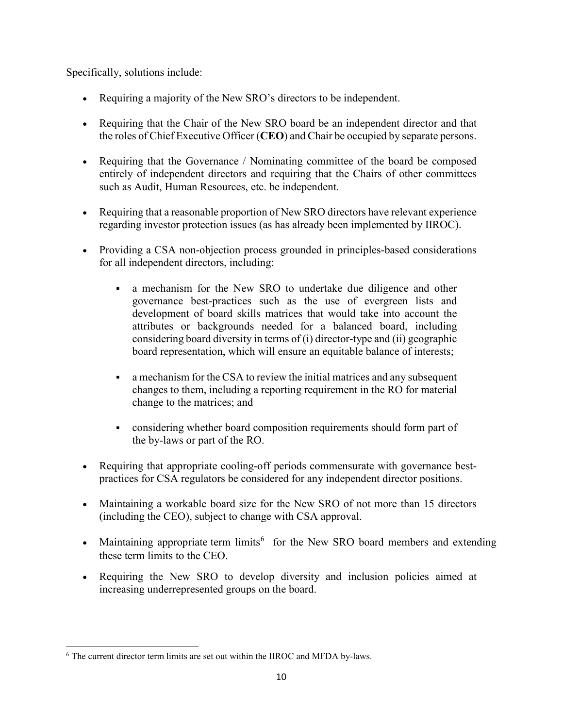Specifically, solutions include:

- Requiring a majority of the New SRO's directors to be independent.
- Requiring that the Chair of the New SRO board be an independent director and that the roles of Chief Executive Officer (**CEO**) and Chair be occupied by separate persons.
- Requiring that the Governance / Nominating committee of the board be composed entirely of independent directors and requiring that the Chairs of other committees such as Audit, Human Resources, etc. be independent.
- Requiring that a reasonable proportion of New SRO directors have relevant experience regarding investor protection issues (as has already been implemented by IIROC).
- Providing a CSA non-objection process grounded in principles-based considerations for all independent directors, including:
	- a mechanism for the New SRO to undertake due diligence and other governance best-practices such as the use of evergreen lists and development of board skills matrices that would take into account the attributes or backgrounds needed for a balanced board, including considering board diversity in terms of (i) director-type and (ii) geographic board representation, which will ensure an equitable balance of interests;
	- a mechanism for the CSA to review the initial matrices and any subsequent changes to them, including a reporting requirement in the RO for material change to the matrices; and
	- considering whether board composition requirements should form part of the by-laws or part of the RO.
- Requiring that appropriate cooling-off periods commensurate with governance bestpractices for CSA regulators be considered for any independent director positions.
- Maintaining a workable board size for the New SRO of not more than 15 directors (including the CEO), subject to change with CSA approval.
- Maintaining appropriate term limits<sup>[6](#page-9-0)</sup> for the New SRO board members and extending these term limits to the CEO.
- Requiring the New SRO to develop diversity and inclusion policies aimed at increasing underrepresented groups on the board.

 $\overline{a}$ 

<span id="page-9-0"></span><sup>6</sup> The current director term limits are set out within the IIROC and MFDA by-laws.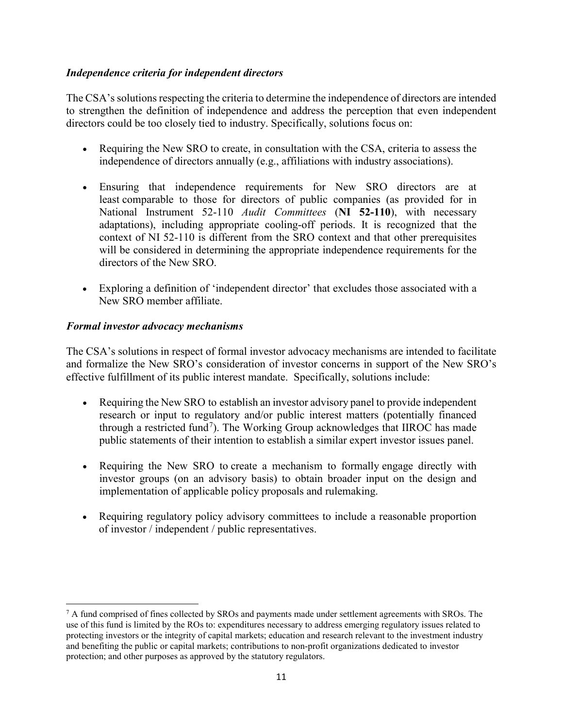#### *Independence criteria for independent directors*

The CSA's solutions respecting the criteria to determine the independence of directors are intended to strengthen the definition of independence and address the perception that even independent directors could be too closely tied to industry. Specifically, solutions focus on:

- Requiring the New SRO to create, in consultation with the CSA, criteria to assess the independence of directors annually (e.g., affiliations with industry associations).
- Ensuring that independence requirements for New SRO directors are at least comparable to those for directors of public companies (as provided for in National Instrument 52-110 *Audit Committees* (**NI 52-110**), with necessary adaptations), including appropriate cooling-off periods. It is recognized that the context of NI 52-110 is different from the SRO context and that other prerequisites will be considered in determining the appropriate independence requirements for the directors of the New SRO.
- Exploring a definition of 'independent director' that excludes those associated with a New SRO member affiliate.

#### *Formal investor advocacy mechanisms*

l

The CSA's solutions in respect of formal investor advocacy mechanisms are intended to facilitate and formalize the New SRO's consideration of investor concerns in support of the New SRO's effective fulfillment of its public interest mandate. Specifically, solutions include:

- Requiring the New SRO to establish an investor advisory panel to provide independent research or input to regulatory and/or public interest matters (potentially financed through a restricted fund<sup>[7](#page-10-0)</sup>). The Working Group acknowledges that IIROC has made public statements of their intention to establish a similar expert investor issues panel.
- Requiring the New SRO to create a mechanism to formally engage directly with investor groups (on an advisory basis) to obtain broader input on the design and implementation of applicable policy proposals and rulemaking.
- Requiring regulatory policy advisory committees to include a reasonable proportion of investor / independent / public representatives.

<span id="page-10-0"></span> $<sup>7</sup>$  A fund comprised of fines collected by SROs and payments made under settlement agreements with SROs. The</sup> use of this fund is limited by the ROs to: expenditures necessary to address emerging regulatory issues related to protecting investors or the integrity of capital markets; education and research relevant to the investment industry and benefiting the public or capital markets; contributions to non-profit organizations dedicated to investor protection; and other purposes as approved by the statutory regulators.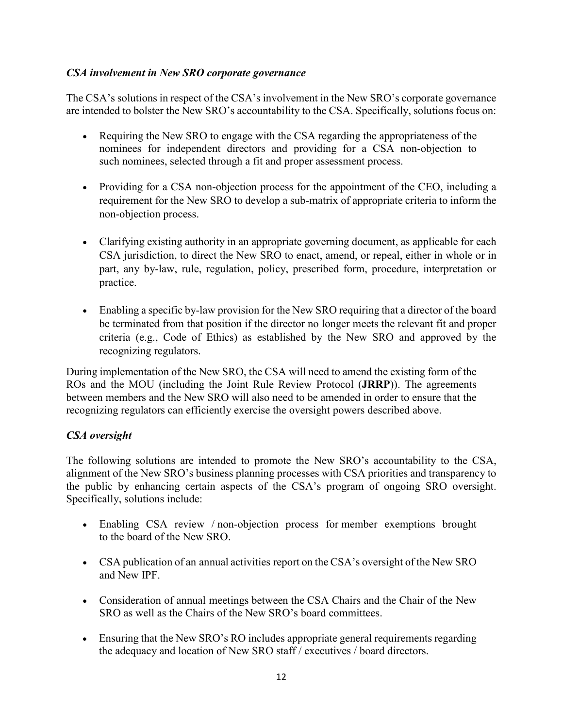#### *CSA involvement in New SRO corporate governance*

The CSA's solutions in respect of the CSA's involvement in the New SRO's corporate governance are intended to bolster the New SRO's accountability to the CSA. Specifically, solutions focus on:

- Requiring the New SRO to engage with the CSA regarding the appropriateness of the nominees for independent directors and providing for a CSA non-objection to such nominees, selected through a fit and proper assessment process.
- Providing for a CSA non-objection process for the appointment of the CEO, including a requirement for the New SRO to develop a sub-matrix of appropriate criteria to inform the non-objection process.
- Clarifying existing authority in an appropriate governing document, as applicable for each CSA jurisdiction, to direct the New SRO to enact, amend, or repeal, either in whole or in part, any by-law, rule, regulation, policy, prescribed form, procedure, interpretation or practice.
- Enabling a specific by-law provision for the New SRO requiring that a director of the board be terminated from that position if the director no longer meets the relevant fit and proper criteria (e.g., Code of Ethics) as established by the New SRO and approved by the recognizing regulators.

During implementation of the New SRO, the CSA will need to amend the existing form of the ROs and the MOU (including the Joint Rule Review Protocol (**JRRP**)). The agreements between members and the New SRO will also need to be amended in order to ensure that the recognizing regulators can efficiently exercise the oversight powers described above.

### *CSA oversight*

The following solutions are intended to promote the New SRO's accountability to the CSA, alignment of the New SRO's business planning processes with CSA priorities and transparency to the public by enhancing certain aspects of the CSA's program of ongoing SRO oversight. Specifically, solutions include:

- Enabling CSA review / non-objection process for member exemptions brought to the board of the New SRO.
- CSA publication of an annual activities report on the CSA's oversight of the New SRO and New IPF.
- Consideration of annual meetings between the CSA Chairs and the Chair of the New SRO as well as the Chairs of the New SRO's board committees.
- Ensuring that the New SRO's RO includes appropriate general requirements regarding the adequacy and location of New SRO staff / executives / board directors.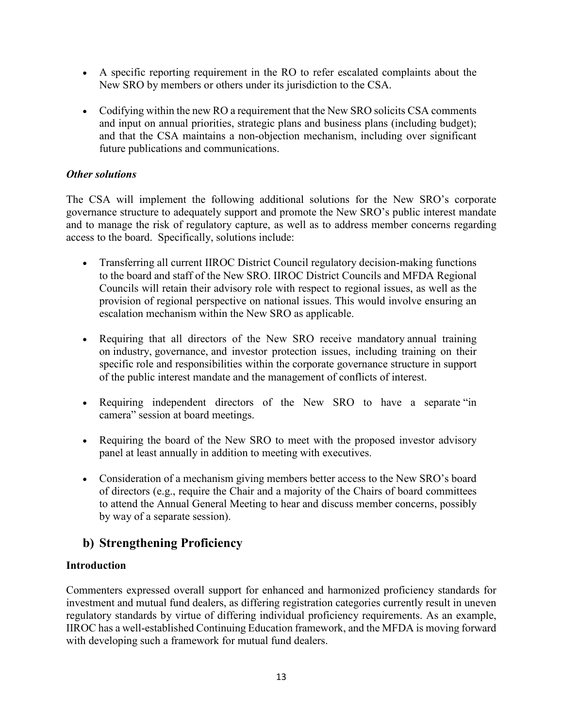- A specific reporting requirement in the RO to refer escalated complaints about the New SRO by members or others under its jurisdiction to the CSA.
- Codifying within the new RO a requirement that the New SRO solicits CSA comments and input on annual priorities, strategic plans and business plans (including budget); and that the CSA maintains a non-objection mechanism, including over significant future publications and communications.

### *Other solutions*

The CSA will implement the following additional solutions for the New SRO's corporate governance structure to adequately support and promote the New SRO's public interest mandate and to manage the risk of regulatory capture, as well as to address member concerns regarding access to the board. Specifically, solutions include:

- Transferring all current IIROC District Council regulatory decision-making functions to the board and staff of the New SRO. IIROC District Councils and MFDA Regional Councils will retain their advisory role with respect to regional issues, as well as the provision of regional perspective on national issues. This would involve ensuring an escalation mechanism within the New SRO as applicable.
- Requiring that all directors of the New SRO receive mandatory annual training on industry, governance, and investor protection issues, including training on their specific role and responsibilities within the corporate governance structure in support of the public interest mandate and the management of conflicts of interest.
- Requiring independent directors of the New SRO to have a separate "in camera" session at board meetings.
- Requiring the board of the New SRO to meet with the proposed investor advisory panel at least annually in addition to meeting with executives.
- Consideration of a mechanism giving members better access to the New SRO's board of directors (e.g., require the Chair and a majority of the Chairs of board committees to attend the Annual General Meeting to hear and discuss member concerns, possibly by way of a separate session).

# **b) Strengthening Proficiency**

### **Introduction**

Commenters expressed overall support for enhanced and harmonized proficiency standards for investment and mutual fund dealers, as differing registration categories currently result in uneven regulatory standards by virtue of differing individual proficiency requirements. As an example, IIROC has a well-established Continuing Education framework, and the MFDA is moving forward with developing such a framework for mutual fund dealers.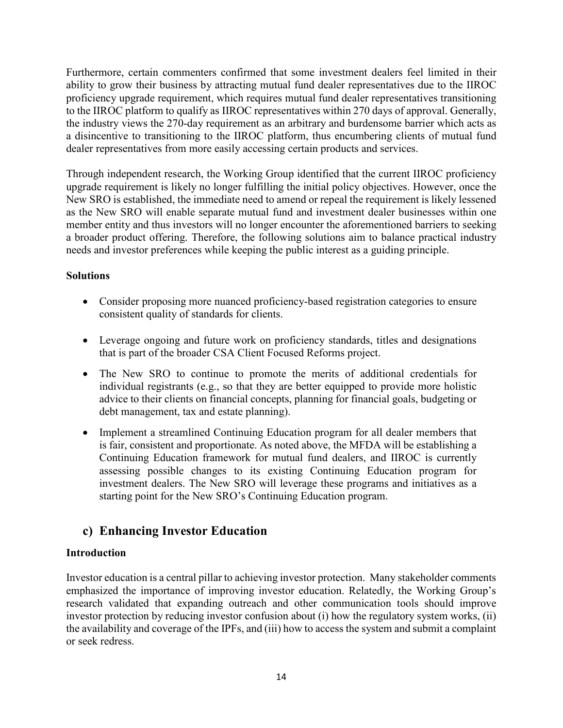Furthermore, certain commenters confirmed that some investment dealers feel limited in their ability to grow their business by attracting mutual fund dealer representatives due to the IIROC proficiency upgrade requirement, which requires mutual fund dealer representatives transitioning to the IIROC platform to qualify as IIROC representatives within 270 days of approval. Generally, the industry views the 270-day requirement as an arbitrary and burdensome barrier which acts as a disincentive to transitioning to the IIROC platform, thus encumbering clients of mutual fund dealer representatives from more easily accessing certain products and services.

Through independent research, the Working Group identified that the current IIROC proficiency upgrade requirement is likely no longer fulfilling the initial policy objectives. However, once the New SRO is established, the immediate need to amend or repeal the requirement is likely lessened as the New SRO will enable separate mutual fund and investment dealer businesses within one member entity and thus investors will no longer encounter the aforementioned barriers to seeking a broader product offering. Therefore, the following solutions aim to balance practical industry needs and investor preferences while keeping the public interest as a guiding principle.

## **Solutions**

- Consider proposing more nuanced proficiency-based registration categories to ensure consistent quality of standards for clients.
- Leverage ongoing and future work on proficiency standards, titles and designations that is part of the broader CSA Client Focused Reforms project.
- The New SRO to continue to promote the merits of additional credentials for individual registrants (e.g., so that they are better equipped to provide more holistic advice to their clients on financial concepts, planning for financial goals, budgeting or debt management, tax and estate planning).
- Implement a streamlined Continuing Education program for all dealer members that is fair, consistent and proportionate. As noted above, the MFDA will be establishing a Continuing Education framework for mutual fund dealers, and IIROC is currently assessing possible changes to its existing Continuing Education program for investment dealers. The New SRO will leverage these programs and initiatives as a starting point for the New SRO's Continuing Education program.

# **c) Enhancing Investor Education**

# **Introduction**

Investor education is a central pillar to achieving investor protection. Many stakeholder comments emphasized the importance of improving investor education. Relatedly, the Working Group's research validated that expanding outreach and other communication tools should improve investor protection by reducing investor confusion about (i) how the regulatory system works, (ii) the availability and coverage of the IPFs, and (iii) how to access the system and submit a complaint or seek redress.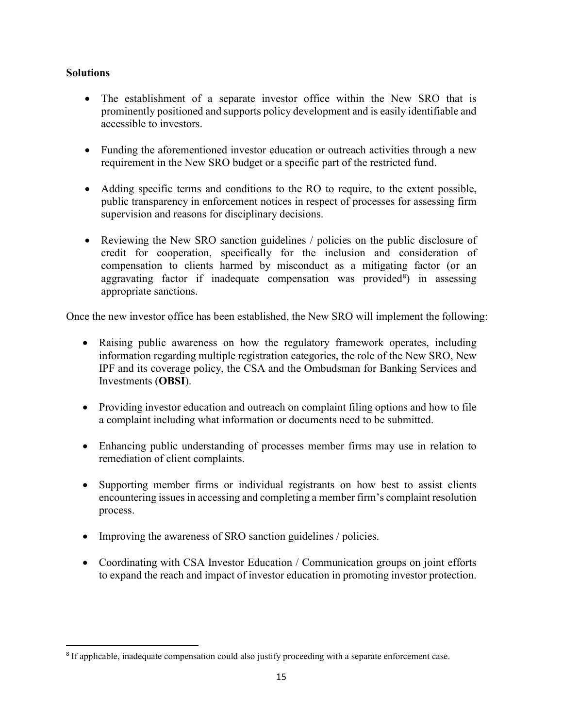#### **Solutions**

- The establishment of a separate investor office within the New SRO that is prominently positioned and supports policy development and is easily identifiable and accessible to investors.
- Funding the aforementioned investor education or outreach activities through a new requirement in the New SRO budget or a specific part of the restricted fund.
- Adding specific terms and conditions to the RO to require, to the extent possible, public transparency in enforcement notices in respect of processes for assessing firm supervision and reasons for disciplinary decisions.
- Reviewing the New SRO sanction guidelines / policies on the public disclosure of credit for cooperation, specifically for the inclusion and consideration of compensation to clients harmed by misconduct as a mitigating factor (or an aggravating factor if inadequate compensation was provided<sup>[8](#page-14-0)</sup>) in assessing appropriate sanctions.

Once the new investor office has been established, the New SRO will implement the following:

- Raising public awareness on how the regulatory framework operates, including information regarding multiple registration categories, the role of the New SRO, New IPF and its coverage policy, the CSA and the Ombudsman for Banking Services and Investments (**OBSI**).
- Providing investor education and outreach on complaint filing options and how to file a complaint including what information or documents need to be submitted.
- Enhancing public understanding of processes member firms may use in relation to remediation of client complaints.
- Supporting member firms or individual registrants on how best to assist clients encountering issues in accessing and completing a member firm's complaint resolution process.
- Improving the awareness of SRO sanction guidelines / policies.
- Coordinating with CSA Investor Education / Communication groups on joint efforts to expand the reach and impact of investor education in promoting investor protection.

<span id="page-14-0"></span> <sup>8</sup> If applicable, inadequate compensation could also justify proceeding with a separate enforcement case.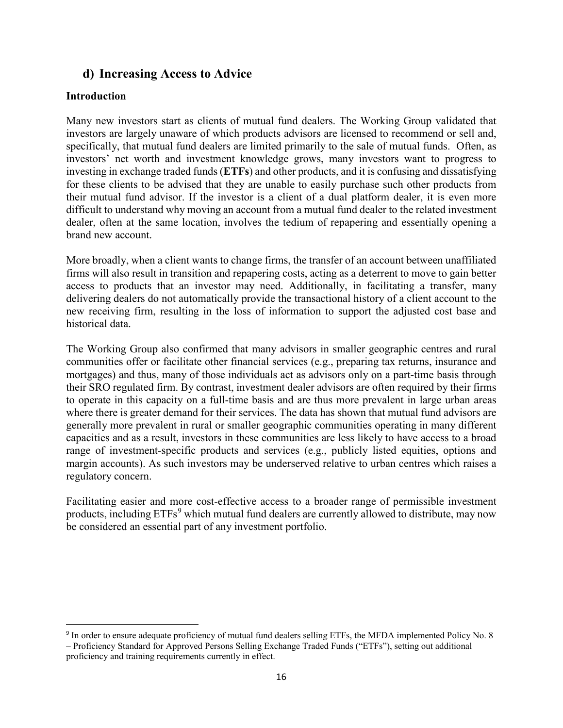# **d) Increasing Access to Advice**

### **Introduction**

Many new investors start as clients of mutual fund dealers. The Working Group validated that investors are largely unaware of which products advisors are licensed to recommend or sell and, specifically, that mutual fund dealers are limited primarily to the sale of mutual funds. Often, as investors' net worth and investment knowledge grows, many investors want to progress to investing in exchange traded funds (**ETFs**) and other products, and it is confusing and dissatisfying for these clients to be advised that they are unable to easily purchase such other products from their mutual fund advisor. If the investor is a client of a dual platform dealer, it is even more difficult to understand why moving an account from a mutual fund dealer to the related investment dealer, often at the same location, involves the tedium of repapering and essentially opening a brand new account.

More broadly, when a client wants to change firms, the transfer of an account between unaffiliated firms will also result in transition and repapering costs, acting as a deterrent to move to gain better access to products that an investor may need. Additionally, in facilitating a transfer, many delivering dealers do not automatically provide the transactional history of a client account to the new receiving firm, resulting in the loss of information to support the adjusted cost base and historical data.

The Working Group also confirmed that many advisors in smaller geographic centres and rural communities offer or facilitate other financial services (e.g., preparing tax returns, insurance and mortgages) and thus, many of those individuals act as advisors only on a part-time basis through their SRO regulated firm. By contrast, investment dealer advisors are often required by their firms to operate in this capacity on a full-time basis and are thus more prevalent in large urban areas where there is greater demand for their services. The data has shown that mutual fund advisors are generally more prevalent in rural or smaller geographic communities operating in many different capacities and as a result, investors in these communities are less likely to have access to a broad range of investment-specific products and services (e.g., publicly listed equities, options and margin accounts). As such investors may be underserved relative to urban centres which raises a regulatory concern.

Facilitating easier and more cost-effective access to a broader range of permissible investment products, including ETFs<sup>[9](#page-15-0)</sup> which mutual fund dealers are currently allowed to distribute, may now be considered an essential part of any investment portfolio.

<span id="page-15-0"></span> <sup>9</sup> In order to ensure adequate proficiency of mutual fund dealers selling ETFs, the MFDA implemented Policy No. 8

<sup>–</sup> Proficiency Standard for Approved Persons Selling Exchange Traded Funds ("ETFs"), setting out additional proficiency and training requirements currently in effect.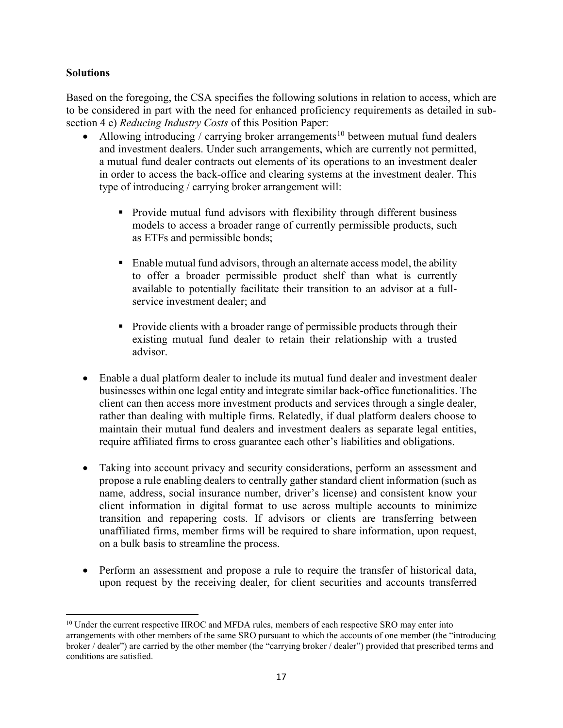#### **Solutions**

Based on the foregoing, the CSA specifies the following solutions in relation to access, which are to be considered in part with the need for enhanced proficiency requirements as detailed in subsection 4 e) *Reducing Industry Costs* of this Position Paper:

- Allowing introducing / carrying broker arrangements<sup>[10](#page-16-0)</sup> between mutual fund dealers and investment dealers. Under such arrangements, which are currently not permitted, a mutual fund dealer contracts out elements of its operations to an investment dealer in order to access the back-office and clearing systems at the investment dealer. This type of introducing / carrying broker arrangement will:
	- Provide mutual fund advisors with flexibility through different business models to access a broader range of currently permissible products, such as ETFs and permissible bonds;
	- Enable mutual fund advisors, through an alternate access model, the ability to offer a broader permissible product shelf than what is currently available to potentially facilitate their transition to an advisor at a fullservice investment dealer; and
	- Provide clients with a broader range of permissible products through their existing mutual fund dealer to retain their relationship with a trusted advisor.
- Enable a dual platform dealer to include its mutual fund dealer and investment dealer businesses within one legal entity and integrate similar back-office functionalities. The client can then access more investment products and services through a single dealer, rather than dealing with multiple firms. Relatedly, if dual platform dealers choose to maintain their mutual fund dealers and investment dealers as separate legal entities, require affiliated firms to cross guarantee each other's liabilities and obligations.
- Taking into account privacy and security considerations, perform an assessment and propose a rule enabling dealers to centrally gather standard client information (such as name, address, social insurance number, driver's license) and consistent know your client information in digital format to use across multiple accounts to minimize transition and repapering costs. If advisors or clients are transferring between unaffiliated firms, member firms will be required to share information, upon request, on a bulk basis to streamline the process.
- Perform an assessment and propose a rule to require the transfer of historical data, upon request by the receiving dealer, for client securities and accounts transferred

<span id="page-16-0"></span> $\overline{a}$ <sup>10</sup> Under the current respective IIROC and MFDA rules, members of each respective SRO may enter into arrangements with other members of the same SRO pursuant to which the accounts of one member (the "introducing broker / dealer") are carried by the other member (the "carrying broker / dealer") provided that prescribed terms and conditions are satisfied.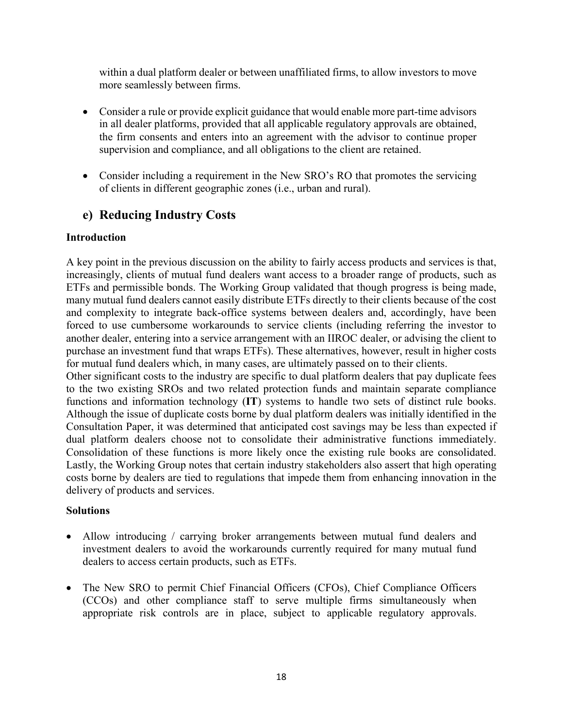within a dual platform dealer or between unaffiliated firms, to allow investors to move more seamlessly between firms.

- Consider a rule or provide explicit guidance that would enable more part-time advisors in all dealer platforms, provided that all applicable regulatory approvals are obtained, the firm consents and enters into an agreement with the advisor to continue proper supervision and compliance, and all obligations to the client are retained.
- Consider including a requirement in the New SRO's RO that promotes the servicing of clients in different geographic zones (i.e., urban and rural).

# **e) Reducing Industry Costs**

#### **Introduction**

A key point in the previous discussion on the ability to fairly access products and services is that, increasingly, clients of mutual fund dealers want access to a broader range of products, such as ETFs and permissible bonds. The Working Group validated that though progress is being made, many mutual fund dealers cannot easily distribute ETFs directly to their clients because of the cost and complexity to integrate back-office systems between dealers and, accordingly, have been forced to use cumbersome workarounds to service clients (including referring the investor to another dealer, entering into a service arrangement with an IIROC dealer, or advising the client to purchase an investment fund that wraps ETFs). These alternatives, however, result in higher costs for mutual fund dealers which, in many cases, are ultimately passed on to their clients.

Other significant costs to the industry are specific to dual platform dealers that pay duplicate fees to the two existing SROs and two related protection funds and maintain separate compliance functions and information technology (**IT**) systems to handle two sets of distinct rule books. Although the issue of duplicate costs borne by dual platform dealers was initially identified in the Consultation Paper, it was determined that anticipated cost savings may be less than expected if dual platform dealers choose not to consolidate their administrative functions immediately. Consolidation of these functions is more likely once the existing rule books are consolidated. Lastly, the Working Group notes that certain industry stakeholders also assert that high operating costs borne by dealers are tied to regulations that impede them from enhancing innovation in the delivery of products and services.

#### **Solutions**

- Allow introducing / carrying broker arrangements between mutual fund dealers and investment dealers to avoid the workarounds currently required for many mutual fund dealers to access certain products, such as ETFs.
- The New SRO to permit Chief Financial Officers (CFOs), Chief Compliance Officers (CCOs) and other compliance staff to serve multiple firms simultaneously when appropriate risk controls are in place, subject to applicable regulatory approvals.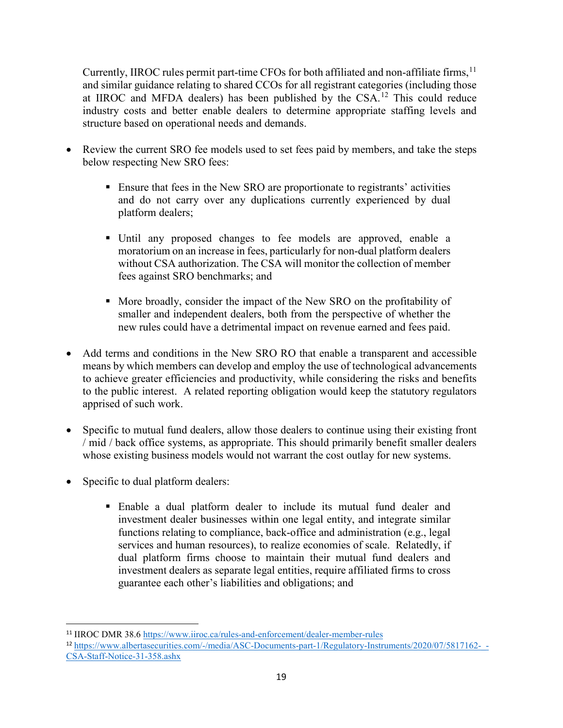Currently, IIROC rules permit part-time CFOs for both affiliated and non-affiliate firms, <sup>[11](#page-18-0)</sup> and similar guidance relating to shared CCOs for all registrant categories (including those at IIROC and MFDA dealers) has been published by the  $CSA<sup>12</sup>$  $CSA<sup>12</sup>$  $CSA<sup>12</sup>$  This could reduce industry costs and better enable dealers to determine appropriate staffing levels and structure based on operational needs and demands.

- Review the current SRO fee models used to set fees paid by members, and take the steps below respecting New SRO fees:
	- Ensure that fees in the New SRO are proportionate to registrants' activities and do not carry over any duplications currently experienced by dual platform dealers;
	- Until any proposed changes to fee models are approved, enable a moratorium on an increase in fees, particularly for non-dual platform dealers without CSA authorization. The CSA will monitor the collection of member fees against SRO benchmarks; and
	- More broadly, consider the impact of the New SRO on the profitability of smaller and independent dealers, both from the perspective of whether the new rules could have a detrimental impact on revenue earned and fees paid.
- Add terms and conditions in the New SRO RO that enable a transparent and accessible means by which members can develop and employ the use of technological advancements to achieve greater efficiencies and productivity, while considering the risks and benefits to the public interest. A related reporting obligation would keep the statutory regulators apprised of such work.
- Specific to mutual fund dealers, allow those dealers to continue using their existing front / mid / back office systems, as appropriate. This should primarily benefit smaller dealers whose existing business models would not warrant the cost outlay for new systems.
- Specific to dual platform dealers:
	- Enable a dual platform dealer to include its mutual fund dealer and investment dealer businesses within one legal entity, and integrate similar functions relating to compliance, back-office and administration (e.g., legal services and human resources), to realize economies of scale. Relatedly, if dual platform firms choose to maintain their mutual fund dealers and investment dealers as separate legal entities, require affiliated firms to cross guarantee each other's liabilities and obligations; and

<span id="page-18-0"></span> <sup>11</sup> IIROC DMR 38.6<https://www.iiroc.ca/rules-and-enforcement/dealer-member-rules>

<span id="page-18-1"></span><sup>12</sup> [https://www.albertasecurities.com/-/media/ASC-Documents-part-1/Regulatory-Instruments/2020/07/5817162-\\_-](https://www.albertasecurities.com/-/media/ASC-Documents-part-1/Regulatory-Instruments/2020/07/5817162-_-CSA-Staff-Notice-31-358.ashx) [CSA-Staff-Notice-31-358.ashx](https://www.albertasecurities.com/-/media/ASC-Documents-part-1/Regulatory-Instruments/2020/07/5817162-_-CSA-Staff-Notice-31-358.ashx)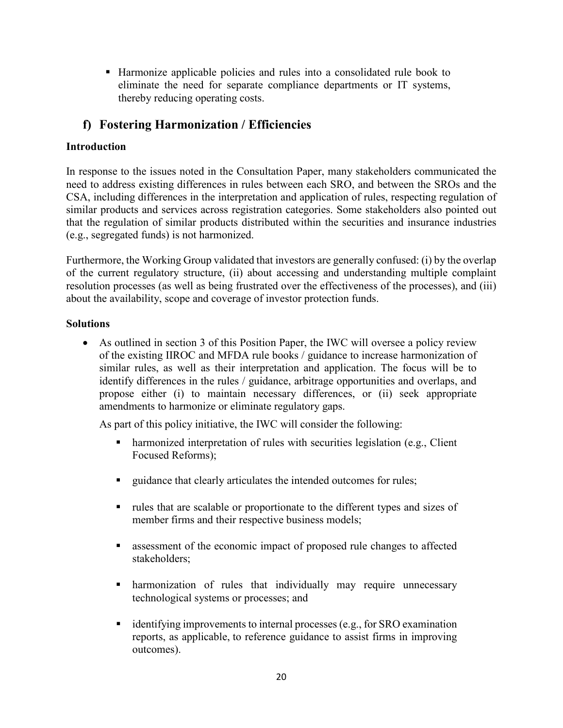Harmonize applicable policies and rules into a consolidated rule book to eliminate the need for separate compliance departments or IT systems, thereby reducing operating costs.

# **f) Fostering Harmonization / Efficiencies**

# **Introduction**

In response to the issues noted in the Consultation Paper, many stakeholders communicated the need to address existing differences in rules between each SRO, and between the SROs and the CSA, including differences in the interpretation and application of rules, respecting regulation of similar products and services across registration categories. Some stakeholders also pointed out that the regulation of similar products distributed within the securities and insurance industries (e.g., segregated funds) is not harmonized.

Furthermore, the Working Group validated that investors are generally confused: (i) by the overlap of the current regulatory structure, (ii) about accessing and understanding multiple complaint resolution processes (as well as being frustrated over the effectiveness of the processes), and (iii) about the availability, scope and coverage of investor protection funds.

# **Solutions**

• As outlined in section 3 of this Position Paper, the IWC will oversee a policy review of the existing IIROC and MFDA rule books / guidance to increase harmonization of similar rules, as well as their interpretation and application. The focus will be to identify differences in the rules / guidance, arbitrage opportunities and overlaps, and propose either (i) to maintain necessary differences, or (ii) seek appropriate amendments to harmonize or eliminate regulatory gaps.

As part of this policy initiative, the IWC will consider the following:

- harmonized interpretation of rules with securities legislation (e.g., Client Focused Reforms);
- quidance that clearly articulates the intended outcomes for rules;
- rules that are scalable or proportionate to the different types and sizes of member firms and their respective business models;
- assessment of the economic impact of proposed rule changes to affected stakeholders;
- harmonization of rules that individually may require unnecessary technological systems or processes; and
- $\blacksquare$  identifying improvements to internal processes (e.g., for SRO examination reports, as applicable, to reference guidance to assist firms in improving outcomes).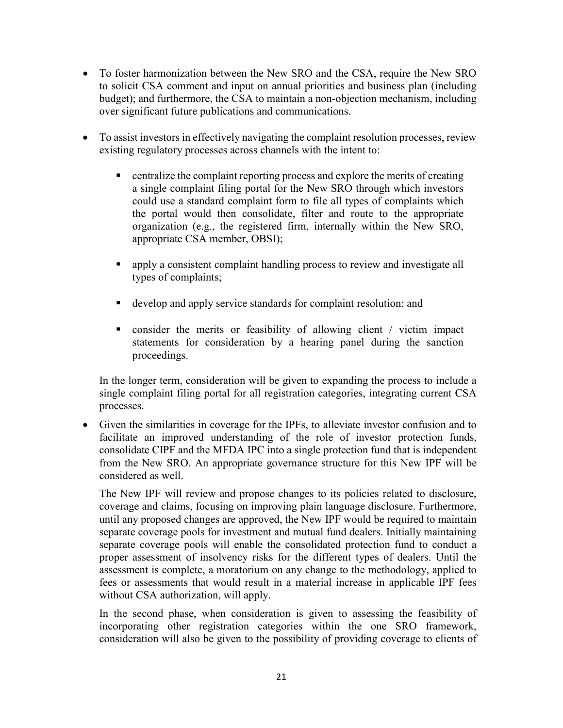- To foster harmonization between the New SRO and the CSA, require the New SRO to solicit CSA comment and input on annual priorities and business plan (including budget); and furthermore, the CSA to maintain a non-objection mechanism, including over significant future publications and communications.
- To assist investors in effectively navigating the complaint resolution processes, review existing regulatory processes across channels with the intent to:
	- **Exercise 1** centralize the complaint reporting process and explore the merits of creating a single complaint filing portal for the New SRO through which investors could use a standard complaint form to file all types of complaints which the portal would then consolidate, filter and route to the appropriate organization (e.g., the registered firm, internally within the New SRO, appropriate CSA member, OBSI);
	- apply a consistent complaint handling process to review and investigate all types of complaints;
	- develop and apply service standards for complaint resolution; and
	- consider the merits or feasibility of allowing client / victim impact statements for consideration by a hearing panel during the sanction proceedings.

In the longer term, consideration will be given to expanding the process to include a single complaint filing portal for all registration categories, integrating current CSA processes.

• Given the similarities in coverage for the IPFs, to alleviate investor confusion and to facilitate an improved understanding of the role of investor protection funds, consolidate CIPF and the MFDA IPC into a single protection fund that is independent from the New SRO. An appropriate governance structure for this New IPF will be considered as well.

The New IPF will review and propose changes to its policies related to disclosure, coverage and claims, focusing on improving plain language disclosure. Furthermore, until any proposed changes are approved, the New IPF would be required to maintain separate coverage pools for investment and mutual fund dealers. Initially maintaining separate coverage pools will enable the consolidated protection fund to conduct a proper assessment of insolvency risks for the different types of dealers. Until the assessment is complete, a moratorium on any change to the methodology, applied to fees or assessments that would result in a material increase in applicable IPF fees without CSA authorization, will apply.

In the second phase, when consideration is given to assessing the feasibility of incorporating other registration categories within the one SRO framework, consideration will also be given to the possibility of providing coverage to clients of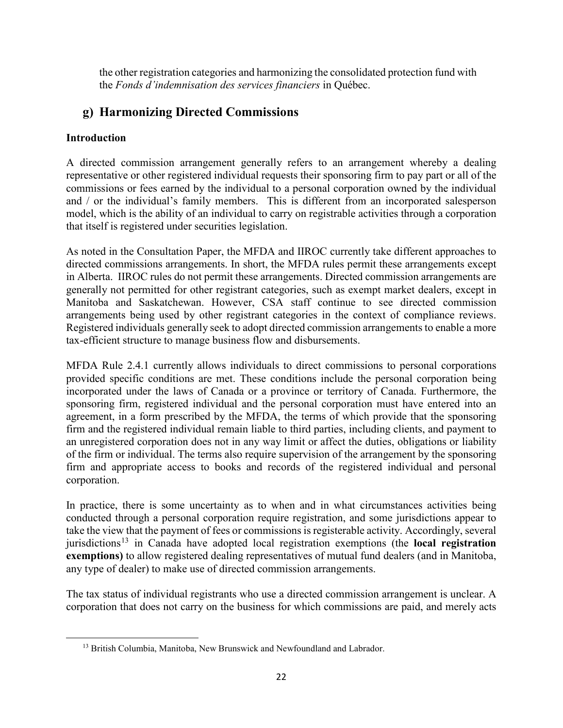the other registration categories and harmonizing the consolidated protection fund with the *Fonds d'indemnisation des services financiers* in Québec.

# **g) Harmonizing Directed Commissions**

# **Introduction**

<span id="page-21-0"></span>l

A directed commission arrangement generally refers to an arrangement whereby a dealing representative or other registered individual requests their sponsoring firm to pay part or all of the commissions or fees earned by the individual to a personal corporation owned by the individual and / or the individual's family members. This is different from an incorporated salesperson model, which is the ability of an individual to carry on registrable activities through a corporation that itself is registered under securities legislation.

As noted in the Consultation Paper, the MFDA and IIROC currently take different approaches to directed commissions arrangements. In short, the MFDA rules permit these arrangements except in Alberta. IIROC rules do not permit these arrangements. Directed commission arrangements are generally not permitted for other registrant categories, such as exempt market dealers, except in Manitoba and Saskatchewan. However, CSA staff continue to see directed commission arrangements being used by other registrant categories in the context of compliance reviews. Registered individuals generally seek to adopt directed commission arrangements to enable a more tax-efficient structure to manage business flow and disbursements.

MFDA Rule 2.4.1 currently allows individuals to direct commissions to personal corporations provided specific conditions are met. These conditions include the personal corporation being incorporated under the laws of Canada or a province or territory of Canada. Furthermore, the sponsoring firm, registered individual and the personal corporation must have entered into an agreement, in a form prescribed by the MFDA, the terms of which provide that the sponsoring firm and the registered individual remain liable to third parties, including clients, and payment to an unregistered corporation does not in any way limit or affect the duties, obligations or liability of the firm or individual. The terms also require supervision of the arrangement by the sponsoring firm and appropriate access to books and records of the registered individual and personal corporation.

In practice, there is some uncertainty as to when and in what circumstances activities being conducted through a personal corporation require registration, and some jurisdictions appear to take the view that the payment of fees or commissions is registerable activity. Accordingly, several jurisdictions<sup>[13](#page-21-0)</sup> in Canada have adopted local registration exemptions (the **local registration exemptions)** to allow registered dealing representatives of mutual fund dealers (and in Manitoba, any type of dealer) to make use of directed commission arrangements.

The tax status of individual registrants who use a directed commission arrangement is unclear. A corporation that does not carry on the business for which commissions are paid, and merely acts

<sup>&</sup>lt;sup>13</sup> British Columbia, Manitoba, New Brunswick and Newfoundland and Labrador.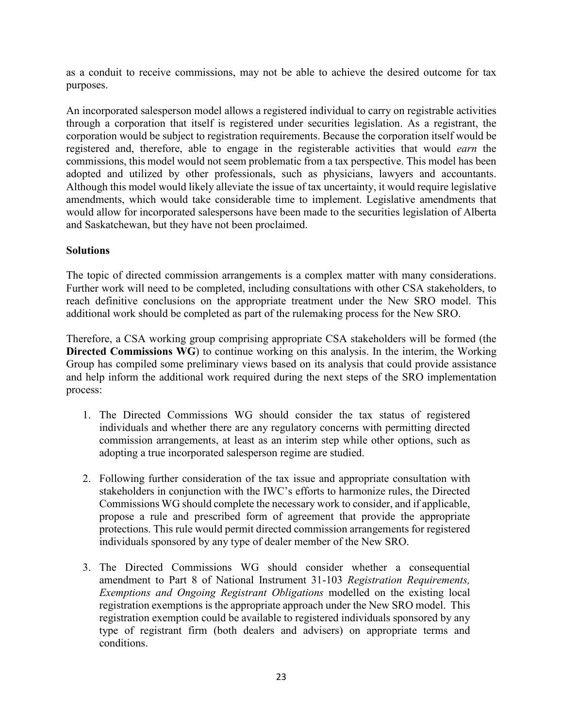as a conduit to receive commissions, may not be able to achieve the desired outcome for tax purposes.

An incorporated salesperson model allows a registered individual to carry on registrable activities through a corporation that itself is registered under securities legislation. As a registrant, the corporation would be subject to registration requirements. Because the corporation itself would be registered and, therefore, able to engage in the registerable activities that would *earn* the commissions, this model would not seem problematic from a tax perspective. This model has been adopted and utilized by other professionals, such as physicians, lawyers and accountants. Although this model would likely alleviate the issue of tax uncertainty, it would require legislative amendments, which would take considerable time to implement. Legislative amendments that would allow for incorporated salespersons have been made to the securities legislation of Alberta and Saskatchewan, but they have not been proclaimed.

#### **Solutions**

The topic of directed commission arrangements is a complex matter with many considerations. Further work will need to be completed, including consultations with other CSA stakeholders, to reach definitive conclusions on the appropriate treatment under the New SRO model. This additional work should be completed as part of the rulemaking process for the New SRO.

Therefore, a CSA working group comprising appropriate CSA stakeholders will be formed (the **Directed Commissions WG**) to continue working on this analysis. In the interim, the Working Group has compiled some preliminary views based on its analysis that could provide assistance and help inform the additional work required during the next steps of the SRO implementation process:

- 1. The Directed Commissions WG should consider the tax status of registered individuals and whether there are any regulatory concerns with permitting directed commission arrangements, at least as an interim step while other options, such as adopting a true incorporated salesperson regime are studied.
- 2. Following further consideration of the tax issue and appropriate consultation with stakeholders in conjunction with the IWC's efforts to harmonize rules, the Directed Commissions WG should complete the necessary work to consider, and if applicable, propose a rule and prescribed form of agreement that provide the appropriate protections. This rule would permit directed commission arrangements for registered individuals sponsored by any type of dealer member of the New SRO.
- 3. The Directed Commissions WG should consider whether a consequential amendment to Part 8 of National Instrument 31-103 *Registration Requirements, Exemptions and Ongoing Registrant Obligations* modelled on the existing local registration exemptions is the appropriate approach under the New SRO model. This registration exemption could be available to registered individuals sponsored by any type of registrant firm (both dealers and advisers) on appropriate terms and conditions.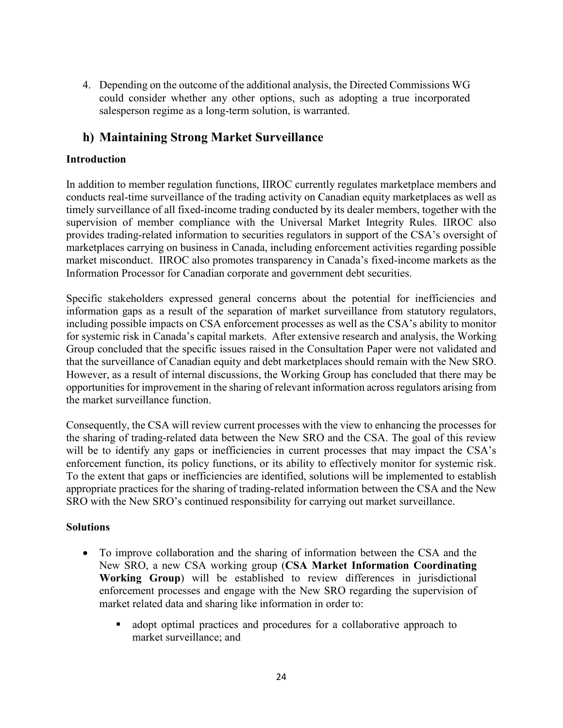4. Depending on the outcome of the additional analysis, the Directed Commissions WG could consider whether any other options, such as adopting a true incorporated salesperson regime as a long-term solution, is warranted.

# **h) Maintaining Strong Market Surveillance**

#### **Introduction**

In addition to member regulation functions, IIROC currently regulates marketplace members and conducts real-time surveillance of the trading activity on Canadian equity marketplaces as well as timely surveillance of all fixed-income trading conducted by its dealer members, together with the supervision of member compliance with the Universal Market Integrity Rules. IIROC also provides trading-related information to securities regulators in support of the CSA's oversight of marketplaces carrying on business in Canada, including enforcement activities regarding possible market misconduct. IIROC also promotes transparency in Canada's fixed-income markets as the Information Processor for Canadian corporate and government debt securities.

Specific stakeholders expressed general concerns about the potential for inefficiencies and information gaps as a result of the separation of market surveillance from statutory regulators, including possible impacts on CSA enforcement processes as well as the CSA's ability to monitor for systemic risk in Canada's capital markets. After extensive research and analysis, the Working Group concluded that the specific issues raised in the Consultation Paper were not validated and that the surveillance of Canadian equity and debt marketplaces should remain with the New SRO. However, as a result of internal discussions, the Working Group has concluded that there may be opportunities for improvement in the sharing of relevant information across regulators arising from the market surveillance function.

Consequently, the CSA will review current processes with the view to enhancing the processes for the sharing of trading-related data between the New SRO and the CSA. The goal of this review will be to identify any gaps or inefficiencies in current processes that may impact the CSA's enforcement function, its policy functions, or its ability to effectively monitor for systemic risk. To the extent that gaps or inefficiencies are identified, solutions will be implemented to establish appropriate practices for the sharing of trading-related information between the CSA and the New SRO with the New SRO's continued responsibility for carrying out market surveillance.

#### **Solutions**

- To improve collaboration and the sharing of information between the CSA and the New SRO, a new CSA working group (**CSA Market Information Coordinating Working Group**) will be established to review differences in jurisdictional enforcement processes and engage with the New SRO regarding the supervision of market related data and sharing like information in order to:
	- adopt optimal practices and procedures for a collaborative approach to market surveillance; and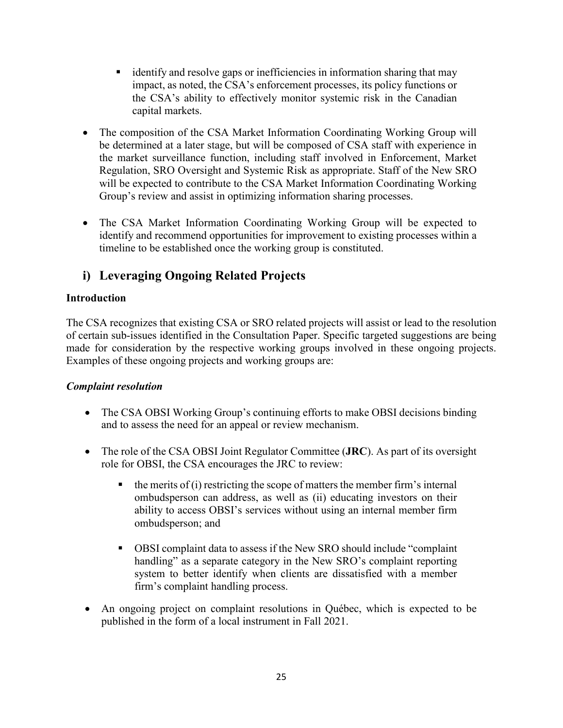- identify and resolve gaps or inefficiencies in information sharing that may impact, as noted, the CSA's enforcement processes, its policy functions or the CSA's ability to effectively monitor systemic risk in the Canadian capital markets.
- The composition of the CSA Market Information Coordinating Working Group will be determined at a later stage, but will be composed of CSA staff with experience in the market surveillance function, including staff involved in Enforcement, Market Regulation, SRO Oversight and Systemic Risk as appropriate. Staff of the New SRO will be expected to contribute to the CSA Market Information Coordinating Working Group's review and assist in optimizing information sharing processes.
- The CSA Market Information Coordinating Working Group will be expected to identify and recommend opportunities for improvement to existing processes within a timeline to be established once the working group is constituted.

# **i) Leveraging Ongoing Related Projects**

## **Introduction**

The CSA recognizes that existing CSA or SRO related projects will assist or lead to the resolution of certain sub-issues identified in the Consultation Paper. Specific targeted suggestions are being made for consideration by the respective working groups involved in these ongoing projects. Examples of these ongoing projects and working groups are:

### *Complaint resolution*

- The CSA OBSI Working Group's continuing efforts to make OBSI decisions binding and to assess the need for an appeal or review mechanism.
- The role of the CSA OBSI Joint Regulator Committee (**JRC**). As part of its oversight role for OBSI, the CSA encourages the JRC to review:
	- $\blacksquare$  the merits of (i) restricting the scope of matters the member firm's internal ombudsperson can address, as well as (ii) educating investors on their ability to access OBSI's services without using an internal member firm ombudsperson; and
	- OBSI complaint data to assess if the New SRO should include "complaint handling" as a separate category in the New SRO's complaint reporting system to better identify when clients are dissatisfied with a member firm's complaint handling process.
- An ongoing project on complaint resolutions in Québec, which is expected to be published in the form of a local instrument in Fall 2021.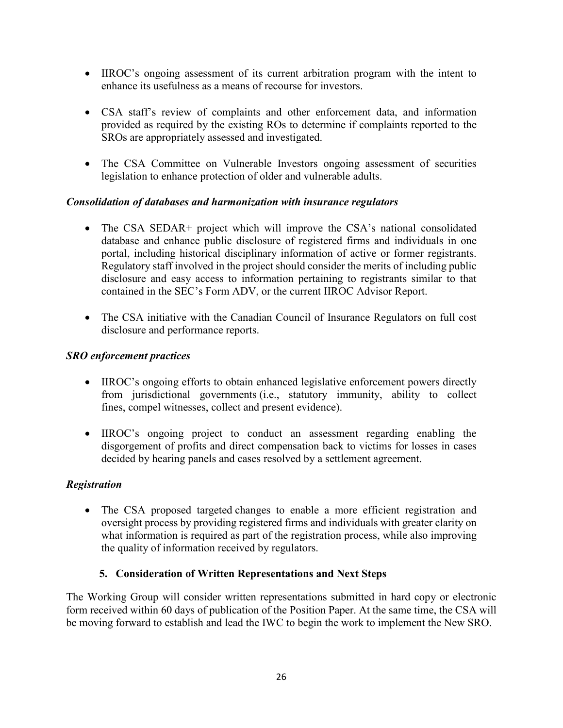- IIROC's ongoing assessment of its current arbitration program with the intent to enhance its usefulness as a means of recourse for investors.
- CSA staff's review of complaints and other enforcement data, and information provided as required by the existing ROs to determine if complaints reported to the SROs are appropriately assessed and investigated.
- The CSA Committee on Vulnerable Investors ongoing assessment of securities legislation to enhance protection of older and vulnerable adults.

### *Consolidation of databases and harmonization with insurance regulators*

- The CSA SEDAR+ project which will improve the CSA's national consolidated database and enhance public disclosure of registered firms and individuals in one portal, including historical disciplinary information of active or former registrants. Regulatory staff involved in the project should consider the merits of including public disclosure and easy access to information pertaining to registrants similar to that contained in the SEC's Form ADV, or the current IIROC Advisor Report.
- The CSA initiative with the Canadian Council of Insurance Regulators on full cost disclosure and performance reports.

### *SRO enforcement practices*

- IIROC's ongoing efforts to obtain enhanced legislative enforcement powers directly from jurisdictional governments (i.e., statutory immunity, ability to collect fines, compel witnesses, collect and present evidence).
- IIROC's ongoing project to conduct an assessment regarding enabling the disgorgement of profits and direct compensation back to victims for losses in cases decided by hearing panels and cases resolved by a settlement agreement.

### *Registration*

• The CSA proposed targeted changes to enable a more efficient registration and oversight process by providing registered firms and individuals with greater clarity on what information is required as part of the registration process, while also improving the quality of information received by regulators.

# **5. Consideration of Written Representations and Next Steps**

The Working Group will consider written representations submitted in hard copy or electronic form received within 60 days of publication of the Position Paper. At the same time, the CSA will be moving forward to establish and lead the IWC to begin the work to implement the New SRO.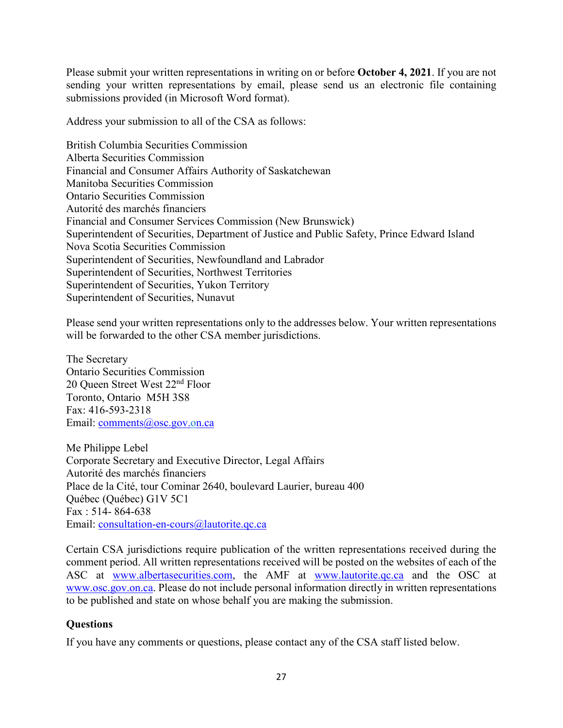Please submit your written representations in writing on or before **October 4, 2021**. If you are not sending your written representations by email, please send us an electronic file containing submissions provided (in Microsoft Word format).

Address your submission to all of the CSA as follows:

British Columbia Securities Commission Alberta Securities Commission Financial and Consumer Affairs Authority of Saskatchewan Manitoba Securities Commission Ontario Securities Commission Autorité des marchés financiers Financial and Consumer Services Commission (New Brunswick) Superintendent of Securities, Department of Justice and Public Safety, Prince Edward Island Nova Scotia Securities Commission Superintendent of Securities, Newfoundland and Labrador Superintendent of Securities, Northwest Territories Superintendent of Securities, Yukon Territory Superintendent of Securities, Nunavut

Please send your written representations only to the addresses below. Your written representations will be forwarded to the other CSA member jurisdictions.

The Secretary Ontario Securities Commission 20 Queen Street West 22nd Floor Toronto, Ontario M5H 3S8 Fax: 416-593-2318 Email: [comments@osc.gov.on.ca](mailto:comments@osc.gov.on.ca)

Me Philippe Lebel Corporate Secretary and Executive Director, Legal Affairs Autorité des marchés financiers Place de la Cité, tour Cominar 2640, boulevard Laurier, bureau 400 Québec (Québec) G1V 5C1 Fax : 514- 864-638 Email: [consultation-en-cours@lautorite.qc.ca](mailto:consultation-en-cours@lautorite.qc.ca)

Certain CSA jurisdictions require publication of the written representations received during the comment period. All written representations received will be posted on the websites of each of the ASC at [www.albertasecurities.com,](http://www.albertasecurities.com/) the AMF at [www.lautorite.qc.ca](http://www.lautorite.qc.ca/) and the OSC at [www.osc.gov.on.ca.](http://www.osc.gov.on.ca/) Please do not include personal information directly in written representations to be published and state on whose behalf you are making the submission.

### **Questions**

If you have any comments or questions, please contact any of the CSA staff listed below.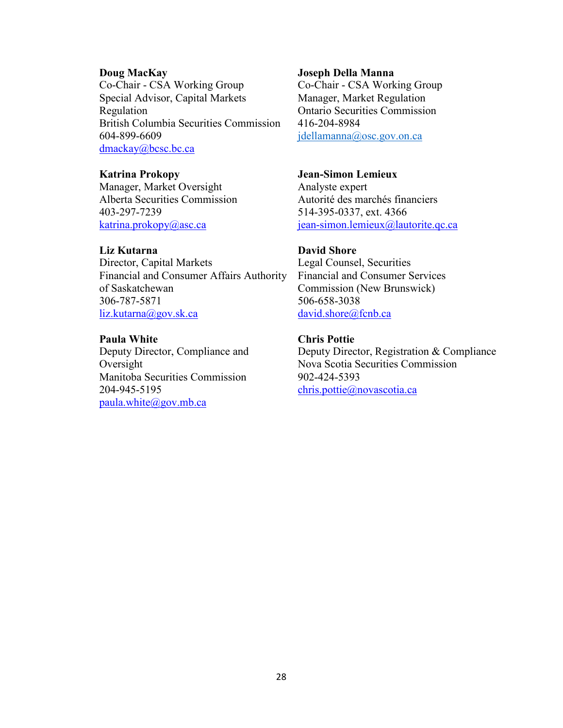Co-Chair - CSA Working Group<br>
Special Advisor, Capital Markets<br>
Manager, Market Regulation Special Advisor, Capital Markets Regulation Ontario Securities Commission British Columbia Securities Commission 416-204-8984 604-899-6609 [jdellamanna@osc.gov.on.ca](mailto:jdellamanna@osc.gov.on.ca) [dmackay@bcsc.bc.ca](mailto:dmackay@bcsc.bc.ca)

**Katrina Prokopy Jean-Simon Lemieux** Manager, Market Oversight Analyste expert<br>Alberta Securities Commission Autorité des ma 403-297-7239 514-395-0337, ext. 4366

#### **Liz Kutarna David Shore**

Director, Capital Markets Legal Counsel, Securities Financial and Consumer Affairs Authority Financial and Consumer Services of Saskatchewan Commission (New Brunswick) 306-787-5871 506-658-3038 [liz.kutarna@gov.sk.ca](mailto:liz.kutarna@gov.sk.ca) [david.shore@fcnb.ca](mailto:david.shore@fcnb.ca)

**Paula White Chris Pottie**<br> **Deputy Director, Compliance and Deputy Directors** Manitoba Securities Commission 902-424-5393 204-945-5195 [chris.pottie@novascotia.ca](mailto:chris.pottie@novascotia.ca) [paula.white@gov.mb.ca](mailto:paula.white@gov.mb.ca)

#### **Doug MacKay Joseph Della Manna**

Autorité des marchés financiers [katrina.prokopy@asc.ca](mailto:katrina.prokopy@asc.ca) jean-simon.lemieux@lautorite.qc.ca

Deputy Director, Registration & Compliance Oversight Nova Scotia Securities Commission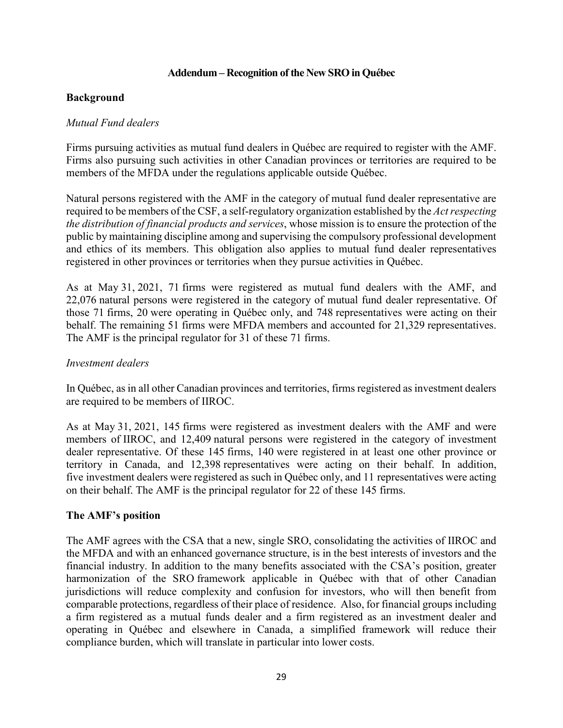#### **Addendum – Recognition of the New SRO in Québec**

#### **Background**

#### *Mutual Fund dealers*

Firms pursuing activities as mutual fund dealers in Québec are required to register with the AMF. Firms also pursuing such activities in other Canadian provinces or territories are required to be members of the MFDA under the regulations applicable outside Québec.

Natural persons registered with the AMF in the category of mutual fund dealer representative are required to be members of the CSF, a self-regulatory organization established by the *Act respecting the distribution of financial products and services*, whose mission is to ensure the protection of the public by maintaining discipline among and supervising the compulsory professional development and ethics of its members. This obligation also applies to mutual fund dealer representatives registered in other provinces or territories when they pursue activities in Québec.

As at May 31, 2021, 71 firms were registered as mutual fund dealers with the AMF, and 22,076 natural persons were registered in the category of mutual fund dealer representative. Of those 71 firms, 20 were operating in Québec only, and 748 representatives were acting on their behalf. The remaining 51 firms were MFDA members and accounted for 21,329 representatives. The AMF is the principal regulator for 31 of these 71 firms.

#### *Investment dealers*

In Québec, as in all other Canadian provinces and territories, firms registered as investment dealers are required to be members of IIROC.

As at May 31, 2021, 145 firms were registered as investment dealers with the AMF and were members of IIROC, and 12,409 natural persons were registered in the category of investment dealer representative. Of these 145 firms, 140 were registered in at least one other province or territory in Canada, and 12,398 representatives were acting on their behalf. In addition, five investment dealers were registered as such in Québec only, and 11 representatives were acting on their behalf. The AMF is the principal regulator for 22 of these 145 firms.

#### **The AMF's position**

The AMF agrees with the CSA that a new, single SRO, consolidating the activities of IIROC and the MFDA and with an enhanced governance structure, is in the best interests of investors and the financial industry. In addition to the many benefits associated with the CSA's position, greater harmonization of the SRO framework applicable in Québec with that of other Canadian jurisdictions will reduce complexity and confusion for investors, who will then benefit from comparable protections, regardless of their place of residence. Also, for financial groups including a firm registered as a mutual funds dealer and a firm registered as an investment dealer and operating in Québec and elsewhere in Canada, a simplified framework will reduce their compliance burden, which will translate in particular into lower costs.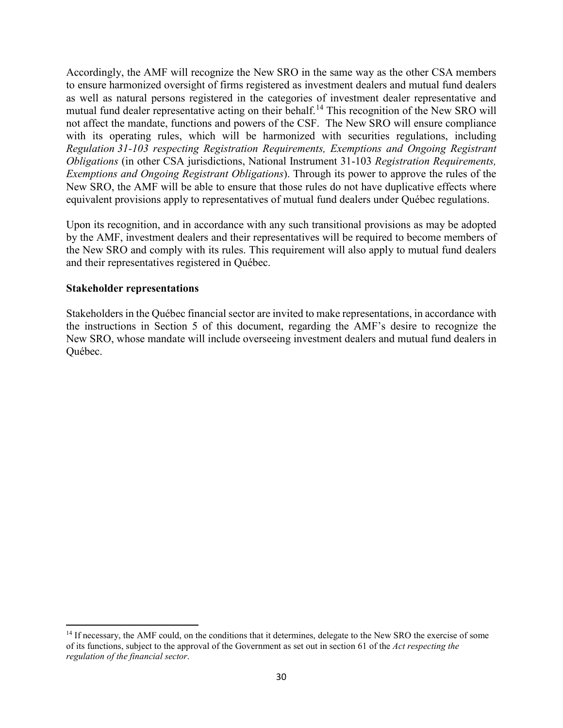Accordingly, the AMF will recognize the New SRO in the same way as the other CSA members to ensure harmonized oversight of firms registered as investment dealers and mutual fund dealers as well as natural persons registered in the categories of investment dealer representative and mutual fund dealer representative acting on their behalf.<sup>[14](#page-29-0)</sup> This recognition of the New SRO will not affect the mandate, functions and powers of the CSF. The New SRO will ensure compliance with its operating rules, which will be harmonized with securities regulations, including *Regulation 31-103 respecting Registration Requirements, Exemptions and Ongoing Registrant Obligations* (in other CSA jurisdictions, National Instrument 31-103 *Registration Requirements, Exemptions and Ongoing Registrant Obligations*). Through its power to approve the rules of the New SRO, the AMF will be able to ensure that those rules do not have duplicative effects where equivalent provisions apply to representatives of mutual fund dealers under Québec regulations.

Upon its recognition, and in accordance with any such transitional provisions as may be adopted by the AMF, investment dealers and their representatives will be required to become members of the New SRO and comply with its rules. This requirement will also apply to mutual fund dealers and their representatives registered in Québec.

#### **Stakeholder representations**

 $\overline{\phantom{a}}$ 

Stakeholders in the Québec financial sector are invited to make representations, in accordance with the instructions in Section 5 of this document, regarding the AMF's desire to recognize the New SRO, whose mandate will include overseeing investment dealers and mutual fund dealers in Québec.

<span id="page-29-0"></span><sup>&</sup>lt;sup>14</sup> If necessary, the AMF could, on the conditions that it determines, delegate to the New SRO the exercise of some of its functions, subject to the approval of the Government as set out in section 61 of the *Act respecting the regulation of the financial sector*.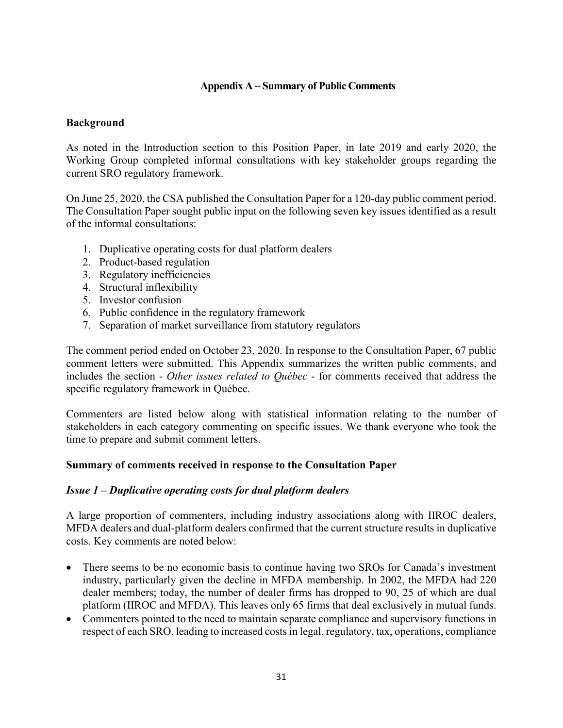### **Appendix A**-- **Summary of Public Comments**

#### **Background**

As noted in the Introduction section to this Position Paper, in late 2019 and early 2020, the Working Group completed informal consultations with key stakeholder groups regarding the current SRO regulatory framework.

On June 25, 2020, the CSA published the Consultation Paper for a 120-day public comment period. The Consultation Paper sought public input on the following seven key issues identified as a result of the informal consultations:

- 1. Duplicative operating costs for dual platform dealers
- 2. Product-based regulation
- 3. Regulatory inefficiencies
- 4. Structural inflexibility
- 5. Investor confusion
- 6. Public confidence in the regulatory framework
- 7. Separation of market surveillance from statutory regulators

The comment period ended on October 23, 2020. In response to the Consultation Paper, 67 public comment letters were submitted. This Appendix summarizes the written public comments, and includes the section - *Other issues related to Québec* - for comments received that address the specific regulatory framework in Québec.

Commenters are listed below along with statistical information relating to the number of stakeholders in each category commenting on specific issues. We thank everyone who took the time to prepare and submit comment letters.

#### **Summary of comments received in response to the Consultation Paper**

#### *Issue 1 – Duplicative operating costs for dual platform dealers*

A large proportion of commenters, including industry associations along with IIROC dealers, MFDA dealers and dual-platform dealers confirmed that the current structure results in duplicative costs. Key comments are noted below:

- There seems to be no economic basis to continue having two SROs for Canada's investment industry, particularly given the decline in MFDA membership. In 2002, the MFDA had 220 dealer members; today, the number of dealer firms has dropped to 90, 25 of which are dual platform (IIROC and MFDA). This leaves only 65 firms that deal exclusively in mutual funds.
- Commenters pointed to the need to maintain separate compliance and supervisory functions in respect of each SRO, leading to increased costs in legal, regulatory, tax, operations, compliance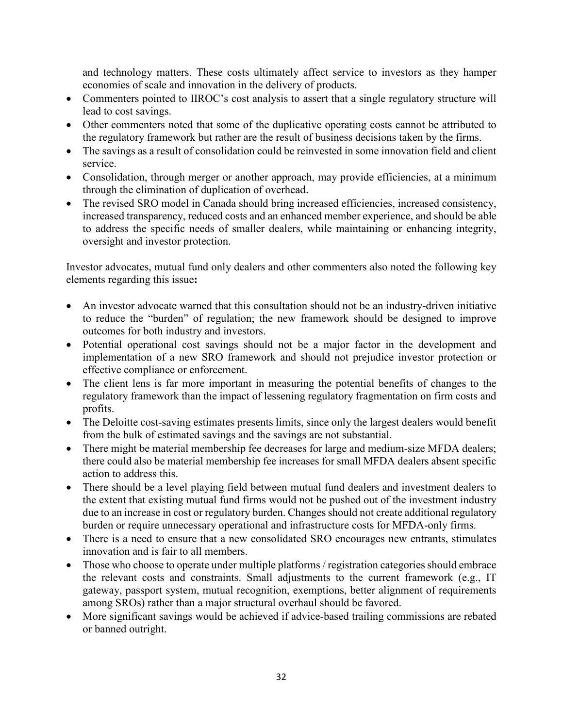and technology matters. These costs ultimately affect service to investors as they hamper economies of scale and innovation in the delivery of products.

- Commenters pointed to IIROC's cost analysis to assert that a single regulatory structure will lead to cost savings.
- Other commenters noted that some of the duplicative operating costs cannot be attributed to the regulatory framework but rather are the result of business decisions taken by the firms.
- The savings as a result of consolidation could be reinvested in some innovation field and client service.
- Consolidation, through merger or another approach, may provide efficiencies, at a minimum through the elimination of duplication of overhead.
- The revised SRO model in Canada should bring increased efficiencies, increased consistency, increased transparency, reduced costs and an enhanced member experience, and should be able to address the specific needs of smaller dealers, while maintaining or enhancing integrity, oversight and investor protection.

Investor advocates, mutual fund only dealers and other commenters also noted the following key elements regarding this issue**:**

- An investor advocate warned that this consultation should not be an industry-driven initiative to reduce the "burden" of regulation; the new framework should be designed to improve outcomes for both industry and investors.
- Potential operational cost savings should not be a major factor in the development and implementation of a new SRO framework and should not prejudice investor protection or effective compliance or enforcement.
- The client lens is far more important in measuring the potential benefits of changes to the regulatory framework than the impact of lessening regulatory fragmentation on firm costs and profits.
- The Deloitte cost-saving estimates presents limits, since only the largest dealers would benefit from the bulk of estimated savings and the savings are not substantial.
- There might be material membership fee decreases for large and medium-size MFDA dealers; there could also be material membership fee increases for small MFDA dealers absent specific action to address this.
- There should be a level playing field between mutual fund dealers and investment dealers to the extent that existing mutual fund firms would not be pushed out of the investment industry due to an increase in cost or regulatory burden. Changes should not create additional regulatory burden or require unnecessary operational and infrastructure costs for MFDA-only firms.
- There is a need to ensure that a new consolidated SRO encourages new entrants, stimulates innovation and is fair to all members.
- Those who choose to operate under multiple platforms / registration categories should embrace the relevant costs and constraints. Small adjustments to the current framework (e.g., IT gateway, passport system, mutual recognition, exemptions, better alignment of requirements among SROs) rather than a major structural overhaul should be favored.
- More significant savings would be achieved if advice-based trailing commissions are rebated or banned outright.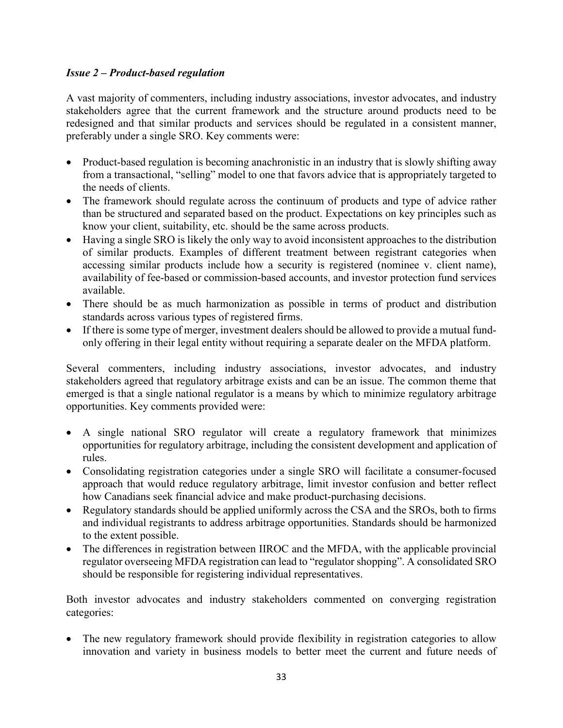#### *Issue 2 – Product-based regulation*

A vast majority of commenters, including industry associations, investor advocates, and industry stakeholders agree that the current framework and the structure around products need to be redesigned and that similar products and services should be regulated in a consistent manner, preferably under a single SRO. Key comments were:

- Product-based regulation is becoming anachronistic in an industry that is slowly shifting away from a transactional, "selling" model to one that favors advice that is appropriately targeted to the needs of clients.
- The framework should regulate across the continuum of products and type of advice rather than be structured and separated based on the product. Expectations on key principles such as know your client, suitability, etc. should be the same across products.
- Having a single SRO is likely the only way to avoid inconsistent approaches to the distribution of similar products. Examples of different treatment between registrant categories when accessing similar products include how a security is registered (nominee v. client name), availability of fee-based or commission-based accounts, and investor protection fund services available.
- There should be as much harmonization as possible in terms of product and distribution standards across various types of registered firms.
- If there is some type of merger, investment dealers should be allowed to provide a mutual fundonly offering in their legal entity without requiring a separate dealer on the MFDA platform.

Several commenters, including industry associations, investor advocates, and industry stakeholders agreed that regulatory arbitrage exists and can be an issue. The common theme that emerged is that a single national regulator is a means by which to minimize regulatory arbitrage opportunities. Key comments provided were:

- A single national SRO regulator will create a regulatory framework that minimizes opportunities for regulatory arbitrage, including the consistent development and application of rules.
- Consolidating registration categories under a single SRO will facilitate a consumer-focused approach that would reduce regulatory arbitrage, limit investor confusion and better reflect how Canadians seek financial advice and make product-purchasing decisions.
- Regulatory standards should be applied uniformly across the CSA and the SROs, both to firms and individual registrants to address arbitrage opportunities. Standards should be harmonized to the extent possible.
- The differences in registration between IIROC and the MFDA, with the applicable provincial regulator overseeing MFDA registration can lead to "regulator shopping". A consolidated SRO should be responsible for registering individual representatives.

Both investor advocates and industry stakeholders commented on converging registration categories:

The new regulatory framework should provide flexibility in registration categories to allow innovation and variety in business models to better meet the current and future needs of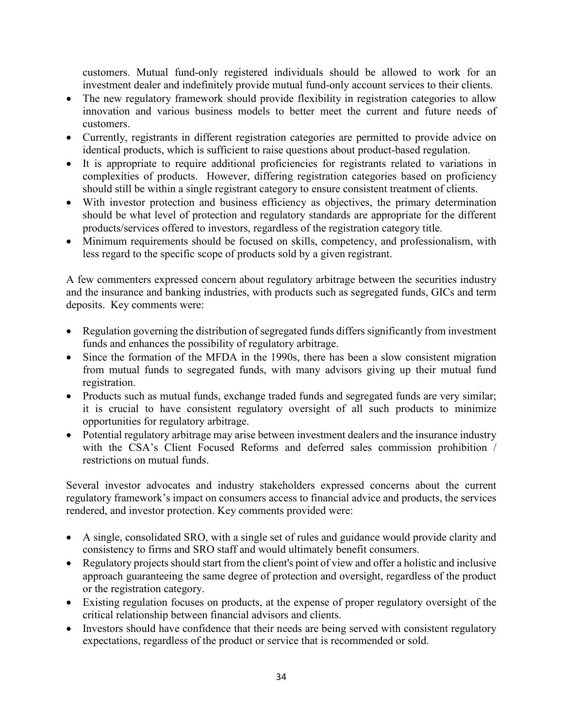customers. Mutual fund-only registered individuals should be allowed to work for an investment dealer and indefinitely provide mutual fund-only account services to their clients.

- The new regulatory framework should provide flexibility in registration categories to allow innovation and various business models to better meet the current and future needs of customers.
- Currently, registrants in different registration categories are permitted to provide advice on identical products, which is sufficient to raise questions about product-based regulation.
- It is appropriate to require additional proficiencies for registrants related to variations in complexities of products. However, differing registration categories based on proficiency should still be within a single registrant category to ensure consistent treatment of clients.
- With investor protection and business efficiency as objectives, the primary determination should be what level of protection and regulatory standards are appropriate for the different products/services offered to investors, regardless of the registration category title.
- Minimum requirements should be focused on skills, competency, and professionalism, with less regard to the specific scope of products sold by a given registrant.

A few commenters expressed concern about regulatory arbitrage between the securities industry and the insurance and banking industries, with products such as segregated funds, GICs and term deposits. Key comments were:

- Regulation governing the distribution of segregated funds differs significantly from investment funds and enhances the possibility of regulatory arbitrage.
- Since the formation of the MFDA in the 1990s, there has been a slow consistent migration from mutual funds to segregated funds, with many advisors giving up their mutual fund registration.
- Products such as mutual funds, exchange traded funds and segregated funds are very similar; it is crucial to have consistent regulatory oversight of all such products to minimize opportunities for regulatory arbitrage.
- Potential regulatory arbitrage may arise between investment dealers and the insurance industry with the CSA's Client Focused Reforms and deferred sales commission prohibition / restrictions on mutual funds.

Several investor advocates and industry stakeholders expressed concerns about the current regulatory framework's impact on consumers access to financial advice and products, the services rendered, and investor protection. Key comments provided were:

- A single, consolidated SRO, with a single set of rules and guidance would provide clarity and consistency to firms and SRO staff and would ultimately benefit consumers.
- Regulatory projects should start from the client's point of view and offer a holistic and inclusive approach guaranteeing the same degree of protection and oversight, regardless of the product or the registration category.
- Existing regulation focuses on products, at the expense of proper regulatory oversight of the critical relationship between financial advisors and clients.
- Investors should have confidence that their needs are being served with consistent regulatory expectations, regardless of the product or service that is recommended or sold.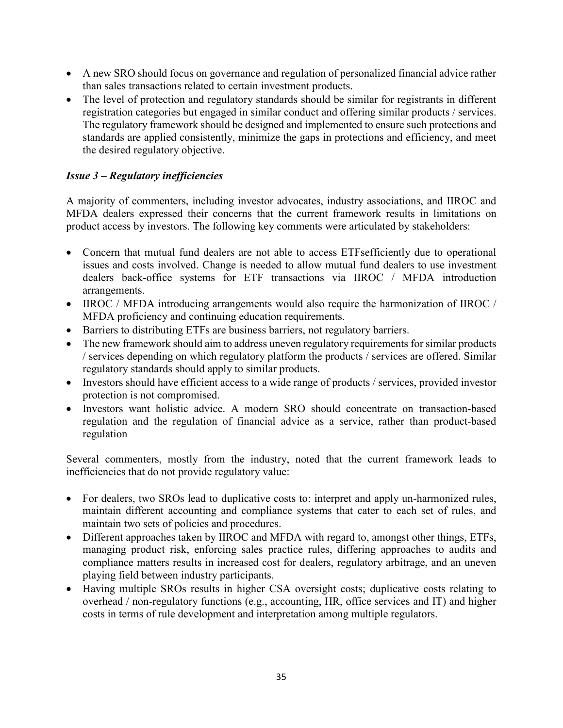- A new SRO should focus on governance and regulation of personalized financial advice rather than sales transactions related to certain investment products.
- The level of protection and regulatory standards should be similar for registrants in different registration categories but engaged in similar conduct and offering similar products / services. The regulatory framework should be designed and implemented to ensure such protections and standards are applied consistently, minimize the gaps in protections and efficiency, and meet the desired regulatory objective.

# *Issue 3 – Regulatory inefficiencies*

A majority of commenters, including investor advocates, industry associations, and IIROC and MFDA dealers expressed their concerns that the current framework results in limitations on product access by investors. The following key comments were articulated by stakeholders:

- Concern that mutual fund dealers are not able to access ETFsefficiently due to operational issues and costs involved. Change is needed to allow mutual fund dealers to use investment dealers back-office systems for ETF transactions via IIROC / MFDA introduction arrangements.
- IIROC / MFDA introducing arrangements would also require the harmonization of IIROC / MFDA proficiency and continuing education requirements.
- Barriers to distributing ETFs are business barriers, not regulatory barriers.
- The new framework should aim to address uneven regulatory requirements for similar products / services depending on which regulatory platform the products / services are offered. Similar regulatory standards should apply to similar products.
- Investors should have efficient access to a wide range of products / services, provided investor protection is not compromised.
- Investors want holistic advice. A modern SRO should concentrate on transaction-based regulation and the regulation of financial advice as a service, rather than product-based regulation

Several commenters, mostly from the industry, noted that the current framework leads to inefficiencies that do not provide regulatory value:

- For dealers, two SROs lead to duplicative costs to: interpret and apply un-harmonized rules, maintain different accounting and compliance systems that cater to each set of rules, and maintain two sets of policies and procedures.
- Different approaches taken by IIROC and MFDA with regard to, amongst other things, ETFs, managing product risk, enforcing sales practice rules, differing approaches to audits and compliance matters results in increased cost for dealers, regulatory arbitrage, and an uneven playing field between industry participants.
- Having multiple SROs results in higher CSA oversight costs; duplicative costs relating to overhead / non-regulatory functions (e.g., accounting, HR, office services and IT) and higher costs in terms of rule development and interpretation among multiple regulators.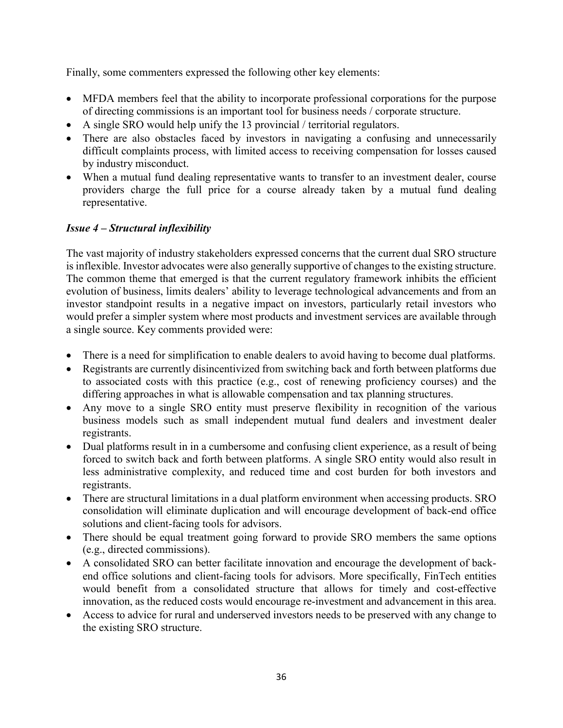Finally, some commenters expressed the following other key elements:

- MFDA members feel that the ability to incorporate professional corporations for the purpose of directing commissions is an important tool for business needs / corporate structure.
- A single SRO would help unify the 13 provincial / territorial regulators.
- There are also obstacles faced by investors in navigating a confusing and unnecessarily difficult complaints process, with limited access to receiving compensation for losses caused by industry misconduct.
- When a mutual fund dealing representative wants to transfer to an investment dealer, course providers charge the full price for a course already taken by a mutual fund dealing representative.

## *Issue 4 – Structural inflexibility*

The vast majority of industry stakeholders expressed concerns that the current dual SRO structure is inflexible. Investor advocates were also generally supportive of changes to the existing structure. The common theme that emerged is that the current regulatory framework inhibits the efficient evolution of business, limits dealers' ability to leverage technological advancements and from an investor standpoint results in a negative impact on investors, particularly retail investors who would prefer a simpler system where most products and investment services are available through a single source. Key comments provided were:

- There is a need for simplification to enable dealers to avoid having to become dual platforms.
- Registrants are currently disincentivized from switching back and forth between platforms due to associated costs with this practice (e.g., cost of renewing proficiency courses) and the differing approaches in what is allowable compensation and tax planning structures.
- Any move to a single SRO entity must preserve flexibility in recognition of the various business models such as small independent mutual fund dealers and investment dealer registrants.
- Dual platforms result in in a cumbersome and confusing client experience, as a result of being forced to switch back and forth between platforms. A single SRO entity would also result in less administrative complexity, and reduced time and cost burden for both investors and registrants.
- There are structural limitations in a dual platform environment when accessing products. SRO consolidation will eliminate duplication and will encourage development of back-end office solutions and client-facing tools for advisors.
- There should be equal treatment going forward to provide SRO members the same options (e.g., directed commissions).
- A consolidated SRO can better facilitate innovation and encourage the development of backend office solutions and client-facing tools for advisors. More specifically, FinTech entities would benefit from a consolidated structure that allows for timely and cost-effective innovation, as the reduced costs would encourage re-investment and advancement in this area.
- Access to advice for rural and underserved investors needs to be preserved with any change to the existing SRO structure.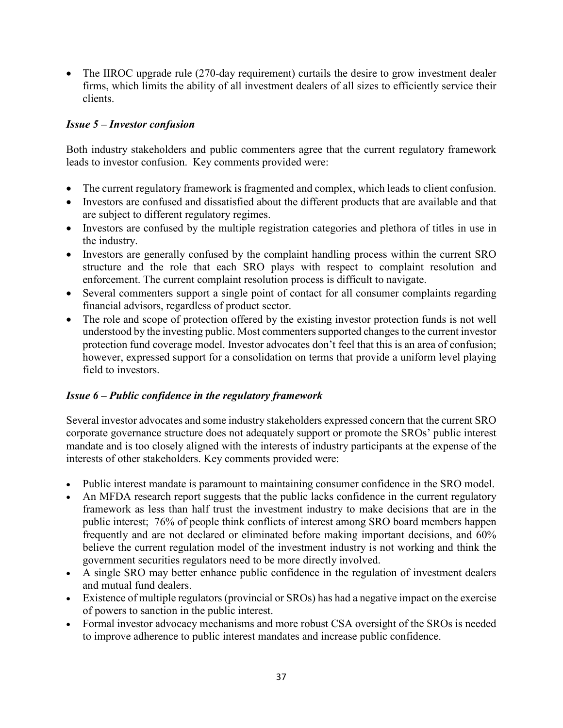• The IIROC upgrade rule (270-day requirement) curtails the desire to grow investment dealer firms, which limits the ability of all investment dealers of all sizes to efficiently service their clients.

### *Issue 5 – Investor confusion*

Both industry stakeholders and public commenters agree that the current regulatory framework leads to investor confusion. Key comments provided were:

- The current regulatory framework is fragmented and complex, which leads to client confusion.
- Investors are confused and dissatisfied about the different products that are available and that are subject to different regulatory regimes.
- Investors are confused by the multiple registration categories and plethora of titles in use in the industry.
- Investors are generally confused by the complaint handling process within the current SRO structure and the role that each SRO plays with respect to complaint resolution and enforcement. The current complaint resolution process is difficult to navigate.
- Several commenters support a single point of contact for all consumer complaints regarding financial advisors, regardless of product sector.
- The role and scope of protection offered by the existing investor protection funds is not well understood by the investing public. Most commenters supported changes to the current investor protection fund coverage model. Investor advocates don't feel that this is an area of confusion; however, expressed support for a consolidation on terms that provide a uniform level playing field to investors.

# *Issue 6 – Public confidence in the regulatory framework*

Several investor advocates and some industry stakeholders expressed concern that the current SRO corporate governance structure does not adequately support or promote the SROs' public interest mandate and is too closely aligned with the interests of industry participants at the expense of the interests of other stakeholders. Key comments provided were:

- Public interest mandate is paramount to maintaining consumer confidence in the SRO model.
- An MFDA research report suggests that the public lacks confidence in the current regulatory framework as less than half trust the investment industry to make decisions that are in the public interest; 76% of people think conflicts of interest among SRO board members happen frequently and are not declared or eliminated before making important decisions, and 60% believe the current regulation model of the investment industry is not working and think the government securities regulators need to be more directly involved.
- A single SRO may better enhance public confidence in the regulation of investment dealers and mutual fund dealers.
- Existence of multiple regulators (provincial or SROs) has had a negative impact on the exercise of powers to sanction in the public interest.
- Formal investor advocacy mechanisms and more robust CSA oversight of the SROs is needed to improve adherence to public interest mandates and increase public confidence.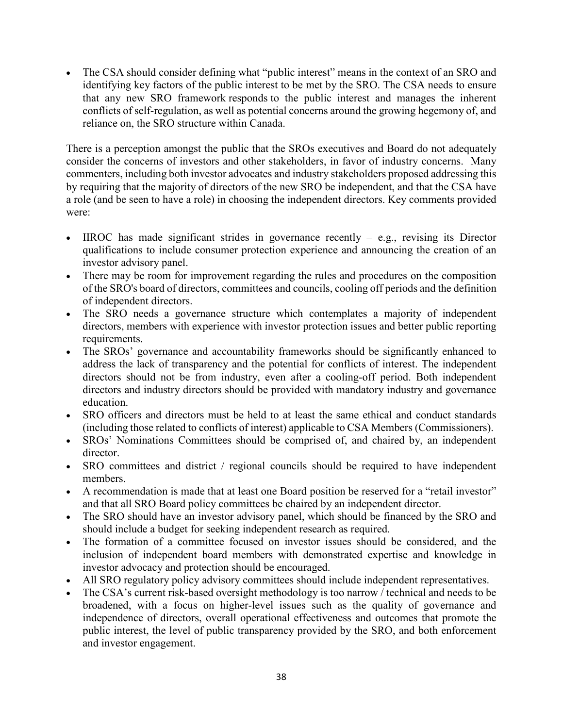The CSA should consider defining what "public interest" means in the context of an SRO and identifying key factors of the public interest to be met by the SRO. The CSA needs to ensure that any new SRO framework responds to the public interest and manages the inherent conflicts of self-regulation, as well as potential concerns around the growing hegemony of, and reliance on, the SRO structure within Canada.

There is a perception amongst the public that the SROs executives and Board do not adequately consider the concerns of investors and other stakeholders, in favor of industry concerns. Many commenters, including both investor advocates and industry stakeholders proposed addressing this by requiring that the majority of directors of the new SRO be independent, and that the CSA have a role (and be seen to have a role) in choosing the independent directors. Key comments provided were:

- IIROC has made significant strides in governance recently e.g., revising its Director qualifications to include consumer protection experience and announcing the creation of an investor advisory panel.
- There may be room for improvement regarding the rules and procedures on the composition of the SRO's board of directors, committees and councils, cooling off periods and the definition of independent directors.
- The SRO needs a governance structure which contemplates a majority of independent directors, members with experience with investor protection issues and better public reporting requirements.
- The SROs' governance and accountability frameworks should be significantly enhanced to address the lack of transparency and the potential for conflicts of interest. The independent directors should not be from industry, even after a cooling-off period. Both independent directors and industry directors should be provided with mandatory industry and governance education.
- SRO officers and directors must be held to at least the same ethical and conduct standards (including those related to conflicts of interest) applicable to CSA Members (Commissioners).
- SROs' Nominations Committees should be comprised of, and chaired by, an independent director.
- SRO committees and district / regional councils should be required to have independent members.
- A recommendation is made that at least one Board position be reserved for a "retail investor" and that all SRO Board policy committees be chaired by an independent director.
- The SRO should have an investor advisory panel, which should be financed by the SRO and should include a budget for seeking independent research as required.
- The formation of a committee focused on investor issues should be considered, and the inclusion of independent board members with demonstrated expertise and knowledge in investor advocacy and protection should be encouraged.
- All SRO regulatory policy advisory committees should include independent representatives.
- The CSA's current risk-based oversight methodology is too narrow / technical and needs to be broadened, with a focus on higher-level issues such as the quality of governance and independence of directors, overall operational effectiveness and outcomes that promote the public interest, the level of public transparency provided by the SRO, and both enforcement and investor engagement.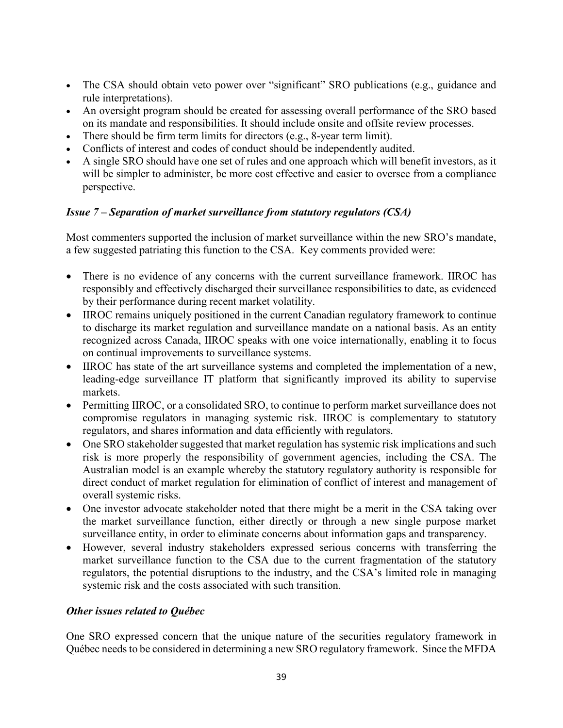- The CSA should obtain veto power over "significant" SRO publications (e.g., guidance and rule interpretations).
- An oversight program should be created for assessing overall performance of the SRO based on its mandate and responsibilities. It should include onsite and offsite review processes.
- There should be firm term limits for directors (e.g., 8-year term limit).
- Conflicts of interest and codes of conduct should be independently audited.
- A single SRO should have one set of rules and one approach which will benefit investors, as it will be simpler to administer, be more cost effective and easier to oversee from a compliance perspective.

#### *Issue 7 – Separation of market surveillance from statutory regulators (CSA)*

Most commenters supported the inclusion of market surveillance within the new SRO's mandate, a few suggested patriating this function to the CSA. Key comments provided were:

- There is no evidence of any concerns with the current surveillance framework. IIROC has responsibly and effectively discharged their surveillance responsibilities to date, as evidenced by their performance during recent market volatility.
- IIROC remains uniquely positioned in the current Canadian regulatory framework to continue to discharge its market regulation and surveillance mandate on a national basis. As an entity recognized across Canada, IIROC speaks with one voice internationally, enabling it to focus on continual improvements to surveillance systems.
- IIROC has state of the art surveillance systems and completed the implementation of a new, leading-edge surveillance IT platform that significantly improved its ability to supervise markets.
- Permitting IIROC, or a consolidated SRO, to continue to perform market surveillance does not compromise regulators in managing systemic risk. IIROC is complementary to statutory regulators, and shares information and data efficiently with regulators.
- One SRO stakeholder suggested that market regulation has systemic risk implications and such risk is more properly the responsibility of government agencies, including the CSA. The Australian model is an example whereby the statutory regulatory authority is responsible for direct conduct of market regulation for elimination of conflict of interest and management of overall systemic risks.
- One investor advocate stakeholder noted that there might be a merit in the CSA taking over the market surveillance function, either directly or through a new single purpose market surveillance entity, in order to eliminate concerns about information gaps and transparency.
- However, several industry stakeholders expressed serious concerns with transferring the market surveillance function to the CSA due to the current fragmentation of the statutory regulators, the potential disruptions to the industry, and the CSA's limited role in managing systemic risk and the costs associated with such transition.

### *Other issues related to Québec*

One SRO expressed concern that the unique nature of the securities regulatory framework in Québec needs to be considered in determining a new SRO regulatory framework. Since the MFDA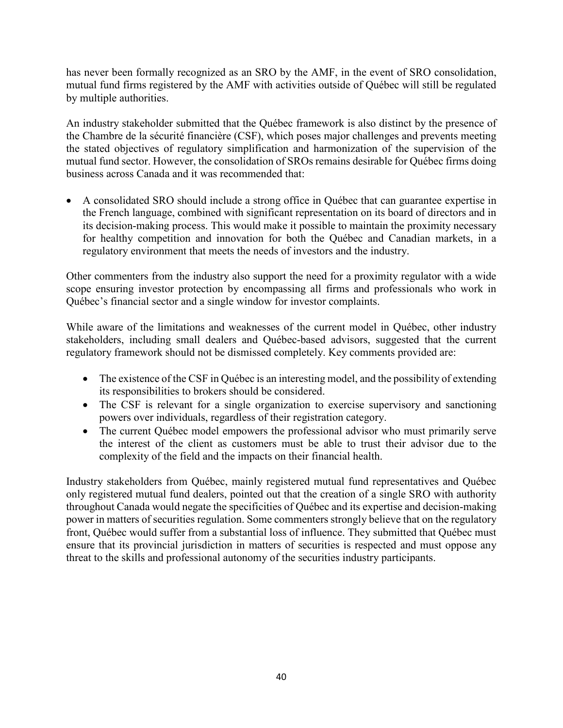has never been formally recognized as an SRO by the AMF, in the event of SRO consolidation, mutual fund firms registered by the AMF with activities outside of Québec will still be regulated by multiple authorities.

An industry stakeholder submitted that the Québec framework is also distinct by the presence of the Chambre de la sécurité financière (CSF), which poses major challenges and prevents meeting the stated objectives of regulatory simplification and harmonization of the supervision of the mutual fund sector. However, the consolidation of SROs remains desirable for Québec firms doing business across Canada and it was recommended that:

• A consolidated SRO should include a strong office in Québec that can guarantee expertise in the French language, combined with significant representation on its board of directors and in its decision-making process. This would make it possible to maintain the proximity necessary for healthy competition and innovation for both the Québec and Canadian markets, in a regulatory environment that meets the needs of investors and the industry.

Other commenters from the industry also support the need for a proximity regulator with a wide scope ensuring investor protection by encompassing all firms and professionals who work in Québec's financial sector and a single window for investor complaints.

While aware of the limitations and weaknesses of the current model in Québec, other industry stakeholders, including small dealers and Québec-based advisors, suggested that the current regulatory framework should not be dismissed completely. Key comments provided are:

- The existence of the CSF in Québec is an interesting model, and the possibility of extending its responsibilities to brokers should be considered.
- The CSF is relevant for a single organization to exercise supervisory and sanctioning powers over individuals, regardless of their registration category.
- The current Québec model empowers the professional advisor who must primarily serve the interest of the client as customers must be able to trust their advisor due to the complexity of the field and the impacts on their financial health.

Industry stakeholders from Québec, mainly registered mutual fund representatives and Québec only registered mutual fund dealers, pointed out that the creation of a single SRO with authority throughout Canada would negate the specificities of Québec and its expertise and decision-making power in matters of securities regulation. Some commenters strongly believe that on the regulatory front, Québec would suffer from a substantial loss of influence. They submitted that Québec must ensure that its provincial jurisdiction in matters of securities is respected and must oppose any threat to the skills and professional autonomy of the securities industry participants.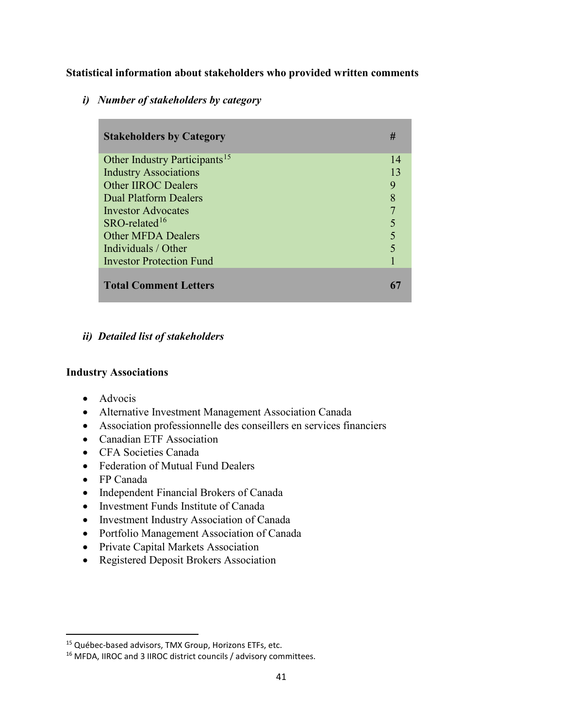**Statistical information about stakeholders who provided written comments** 

*i) Number of stakeholders by category*

| <b>Stakeholders by Category</b>           | #  |
|-------------------------------------------|----|
| Other Industry Participants <sup>15</sup> | 14 |
| <b>Industry Associations</b>              | 13 |
| <b>Other IIROC Dealers</b>                | 9  |
| <b>Dual Platform Dealers</b>              | 8  |
| Investor Advocates                        | 7  |
| $SRO$ -related <sup>16</sup>              |    |
| <b>Other MFDA Dealers</b>                 | 5  |
| Individuals / Other                       |    |
| <b>Investor Protection Fund</b>           |    |
| <b>Total Comment Letters</b>              |    |

# *ii) Detailed list of stakeholders*

### **Industry Associations**

- Advocis
- Alternative Investment Management Association Canada
- Association professionnelle des conseillers en services financiers
- Canadian ETF Association
- CFA Societies Canada
- Federation of Mutual Fund Dealers
- FP Canada
- Independent Financial Brokers of Canada
- Investment Funds Institute of Canada
- Investment Industry Association of Canada
- Portfolio Management Association of Canada
- Private Capital Markets Association
- Registered Deposit Brokers Association

<span id="page-40-0"></span><sup>&</sup>lt;sup>15</sup> Québec-based advisors, TMX Group, Horizons ETFs, etc.

<span id="page-40-1"></span><sup>&</sup>lt;sup>16</sup> MFDA, IIROC and 3 IIROC district councils / advisory committees.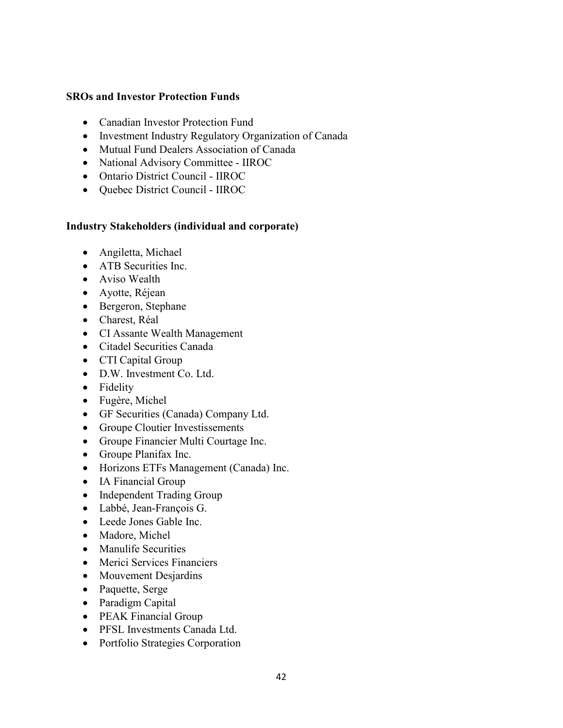#### **SROs and Investor Protection Funds**

- Canadian Investor Protection Fund
- Investment Industry Regulatory Organization of Canada
- Mutual Fund Dealers Association of Canada
- National Advisory Committee IIROC
- Ontario District Council IIROC
- Quebec District Council IIROC

#### **Industry Stakeholders (individual and corporate)**

- Angiletta, Michael
- ATB Securities Inc.
- Aviso Wealth
- Ayotte, Réjean
- Bergeron, Stephane
- Charest, Réal
- CI Assante Wealth Management
- Citadel Securities Canada
- CTI Capital Group
- D.W. Investment Co. Ltd.
- Fidelity
- Fugère, Michel
- GF Securities (Canada) Company Ltd.
- Groupe Cloutier Investissements
- Groupe Financier Multi Courtage Inc.
- Groupe Planifax Inc.
- Horizons ETFs Management (Canada) Inc.
- IA Financial Group
- Independent Trading Group
- Labbé, Jean-François G.
- Leede Jones Gable Inc.
- Madore, Michel
- Manulife Securities
- Merici Services Financiers
- Mouvement Desjardins
- Paquette, Serge
- Paradigm Capital
- PEAK Financial Group
- PFSL Investments Canada Ltd.
- Portfolio Strategies Corporation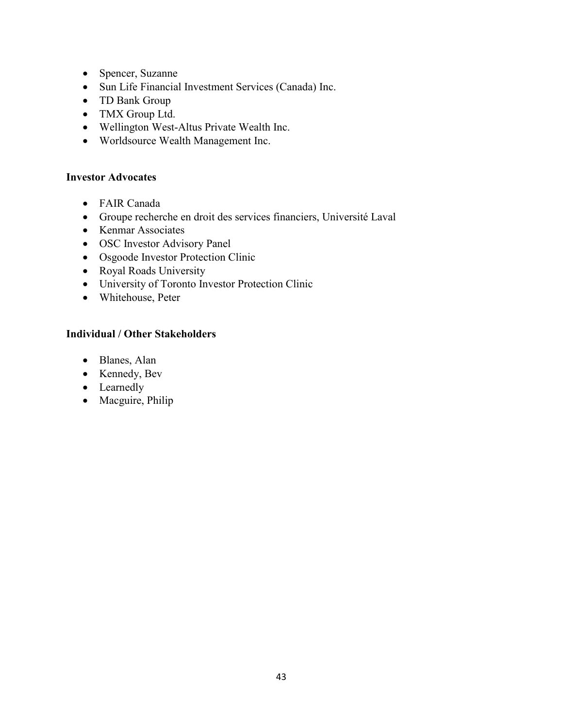- Spencer, Suzanne
- Sun Life Financial Investment Services (Canada) Inc.
- TD Bank Group
- TMX Group Ltd.
- Wellington West-Altus Private Wealth Inc.
- Worldsource Wealth Management Inc.

#### **Investor Advocates**

- FAIR Canada
- Groupe recherche en droit des services financiers, Université Laval
- Kenmar Associates
- OSC Investor Advisory Panel
- Osgoode Investor Protection Clinic
- Royal Roads University
- University of Toronto Investor Protection Clinic
- Whitehouse, Peter

### **Individual / Other Stakeholders**

- Blanes, Alan
- Kennedy, Bev
- Learnedly
- Macguire, Philip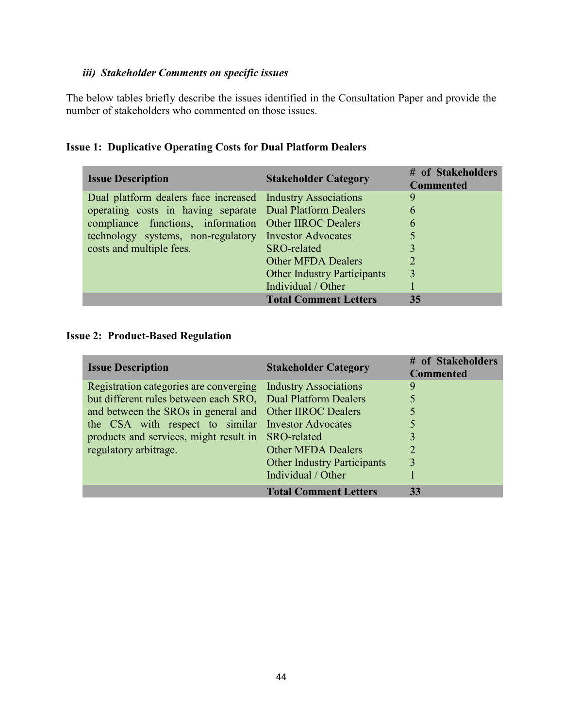# *iii) Stakeholder Comments on specific issues*

The below tables briefly describe the issues identified in the Consultation Paper and provide the number of stakeholders who commented on those issues.

| <b>Issue Description</b>                                   | <b>Stakeholder Category</b>        | # of Stakeholders<br><b>Commented</b> |
|------------------------------------------------------------|------------------------------------|---------------------------------------|
| Dual platform dealers face increased Industry Associations |                                    | 9                                     |
| operating costs in having separate Dual Platform Dealers   |                                    | 6                                     |
| compliance functions, information Other IIROC Dealers      |                                    | 6                                     |
| technology systems, non-regulatory Investor Advocates      |                                    | 5                                     |
| costs and multiple fees.                                   | SRO-related                        |                                       |
|                                                            | <b>Other MFDA Dealers</b>          | $\overline{2}$                        |
|                                                            | <b>Other Industry Participants</b> | 3                                     |
|                                                            | Individual / Other                 |                                       |
|                                                            | <b>Total Comment Letters</b>       | 35                                    |

# **Issue 1: Duplicative Operating Costs for Dual Platform Dealers**

#### **Issue 2: Product-Based Regulation**

| <b>Issue Description</b>                                     | <b>Stakeholder Category</b>        | # of Stakeholders<br><b>Commented</b> |
|--------------------------------------------------------------|------------------------------------|---------------------------------------|
| Registration categories are converging Industry Associations |                                    | 9                                     |
| but different rules between each SRO, Dual Platform Dealers  |                                    |                                       |
| and between the SROs in general and Other IIROC Dealers      |                                    |                                       |
| the CSA with respect to similar Investor Advocates           |                                    |                                       |
| products and services, might result in SRO-related           |                                    | 3                                     |
| regulatory arbitrage.                                        | <b>Other MFDA Dealers</b>          | 2                                     |
|                                                              | <b>Other Industry Participants</b> | 3                                     |
|                                                              | Individual / Other                 |                                       |
|                                                              | <b>Total Comment Letters</b>       | 33                                    |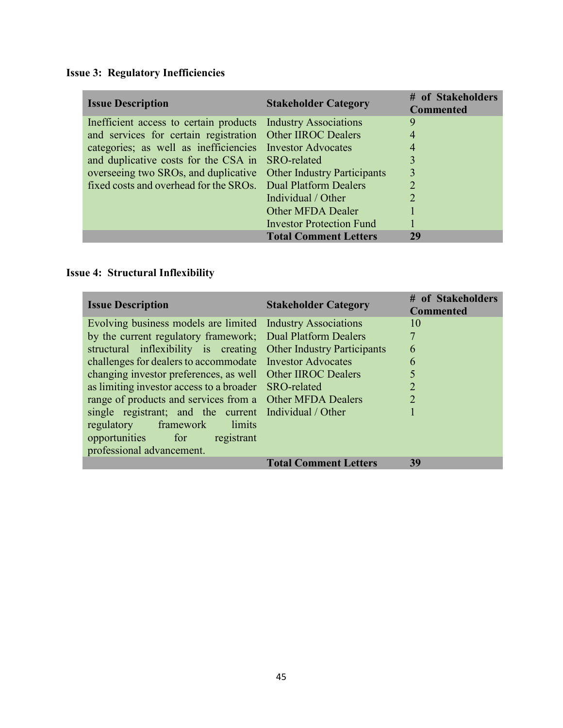| <b>Issue Description</b> |                                                              | <b>Stakeholder Category</b>        | # of Stakeholders<br><b>Commented</b> |
|--------------------------|--------------------------------------------------------------|------------------------------------|---------------------------------------|
|                          | Inefficient access to certain products Industry Associations |                                    | 9                                     |
|                          | and services for certain registration Other IIROC Dealers    |                                    | $\overline{4}$                        |
|                          | categories; as well as inefficiencies Investor Advocates     |                                    |                                       |
|                          | and duplicative costs for the CSA in SRO-related             |                                    | 3                                     |
|                          | overseeing two SROs, and duplicative                         | <b>Other Industry Participants</b> | 3                                     |
|                          | fixed costs and overhead for the SROs.                       | Dual Platform Dealers              |                                       |
|                          |                                                              | Individual / Other                 |                                       |
|                          |                                                              | Other MFDA Dealer                  |                                       |
|                          |                                                              | <b>Investor Protection Fund</b>    |                                       |
|                          |                                                              | <b>Total Comment Letters</b>       | 29                                    |

# **Issue 3: Regulatory Inefficiencies**

# **Issue 4: Structural Inflexibility**

| <b>Issue Description</b>                                         | <b>Stakeholder Category</b>  | # of Stakeholders<br><b>Commented</b> |
|------------------------------------------------------------------|------------------------------|---------------------------------------|
| Evolving business models are limited Industry Associations       |                              | 10                                    |
| by the current regulatory framework; Dual Platform Dealers       |                              | 7                                     |
| structural inflexibility is creating Other Industry Participants |                              | 6                                     |
| challenges for dealers to accommodate  Investor Advocates        |                              | 6                                     |
| changing investor preferences, as well Other IIROC Dealers       |                              | 5                                     |
| as limiting investor access to a broader SRO-related             |                              | $\overline{2}$                        |
| range of products and services from a Other MFDA Dealers         |                              | $\overline{2}$                        |
| single registrant; and the current Individual / Other            |                              |                                       |
| regulatory framework limits                                      |                              |                                       |
| opportunities for registrant                                     |                              |                                       |
| professional advancement.                                        |                              |                                       |
|                                                                  | <b>Total Comment Letters</b> | 39                                    |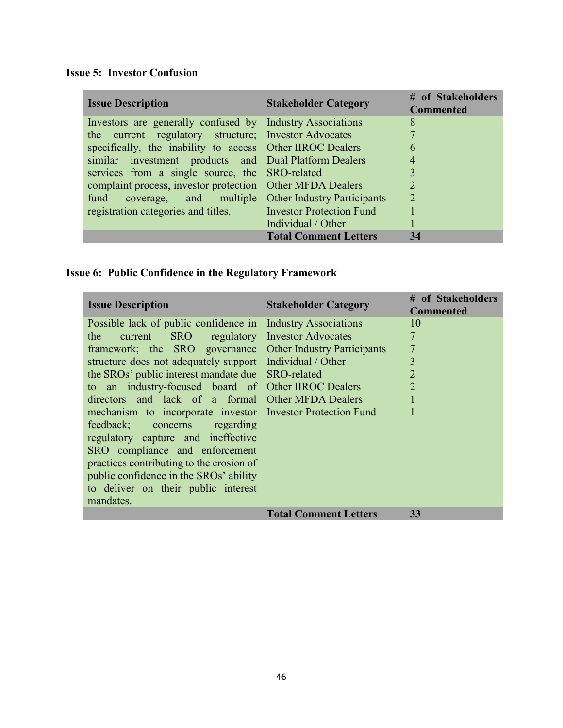# **Issue 5: Investor Confusion**

í.

| <b>Issue Description</b>                                     | <b>Stakeholder Category</b>  | # of Stakeholders<br><b>Commented</b> |
|--------------------------------------------------------------|------------------------------|---------------------------------------|
| Investors are generally confused by Industry Associations    |                              | 8                                     |
| the current regulatory structure; Investor Advocates         |                              | 7                                     |
| specifically, the inability to access Other IIROC Dealers    |                              | 6                                     |
| similar investment products and Dual Platform Dealers        |                              | 4                                     |
| services from a single source, the SRO-related               |                              | 3                                     |
| complaint process, investor protection Other MFDA Dealers    |                              | $\mathcal{D}$                         |
| fund coverage, and multiple Other Industry Participants      |                              | $\overline{2}$                        |
| registration categories and titles. Investor Protection Fund |                              |                                       |
|                                                              | Individual / Other           |                                       |
|                                                              | <b>Total Comment Letters</b> | 34                                    |

# **Issue 6: Public Confidence in the Regulatory Framework**

| <b>Issue Description</b>                                   | <b>Stakeholder Category</b>  | # of Stakeholders<br><b>Commented</b> |
|------------------------------------------------------------|------------------------------|---------------------------------------|
| Possible lack of public confidence in                      | <b>Industry Associations</b> | 10                                    |
| current SRO regulatory Investor Advocates<br>the           |                              | 7                                     |
| framework; the SRO governance Other Industry Participants  |                              | $\overline{7}$                        |
| structure does not adequately support Individual / Other   |                              | 3                                     |
| the SROs' public interest mandate due SRO-related          |                              | $\overline{2}$                        |
| to an industry-focused board of Other IIROC Dealers        |                              | $\overline{2}$                        |
| directors and lack of a formal Other MFDA Dealers          |                              | $\mathbf{1}$                          |
| mechanism to incorporate investor Investor Protection Fund |                              | 1                                     |
| feedback; concerns regarding                               |                              |                                       |
| regulatory capture and ineffective                         |                              |                                       |
| SRO compliance and enforcement                             |                              |                                       |
| practices contributing to the erosion of                   |                              |                                       |
| public confidence in the SROs' ability                     |                              |                                       |
| to deliver on their public interest                        |                              |                                       |
| mandates.                                                  |                              |                                       |
|                                                            | <b>Total Comment Letters</b> | 33                                    |
|                                                            |                              |                                       |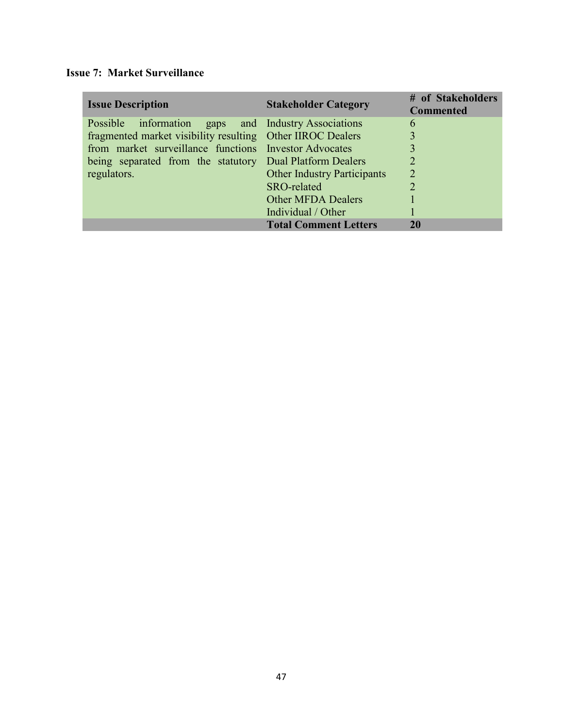# **Issue 7: Market Surveillance**

| <b>Issue Description</b>                                   | <b>Stakeholder Category</b>        | # of Stakeholders<br><b>Commented</b> |
|------------------------------------------------------------|------------------------------------|---------------------------------------|
| Possible information gaps and Industry Associations        |                                    | 6                                     |
| fragmented market visibility resulting Other IIROC Dealers |                                    | 3                                     |
| from market surveillance functions Investor Advocates      |                                    |                                       |
| being separated from the statutory Dual Platform Dealers   |                                    | 2                                     |
| regulators.                                                | <b>Other Industry Participants</b> | $\overline{2}$                        |
|                                                            | SRO-related                        | $\overline{2}$                        |
|                                                            | <b>Other MFDA Dealers</b>          |                                       |
|                                                            | Individual / Other                 |                                       |
|                                                            | <b>Total Comment Letters</b>       | 20                                    |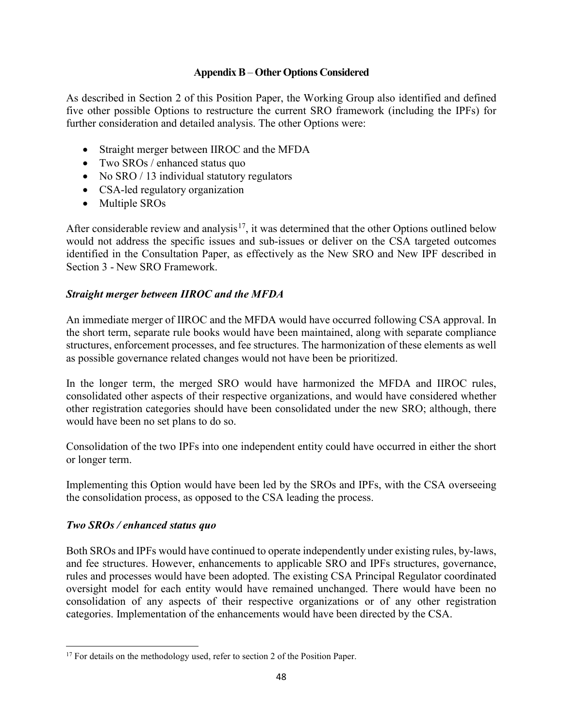#### **Appendix B** – **Other Options Considered**

As described in Section 2 of this Position Paper, the Working Group also identified and defined five other possible Options to restructure the current SRO framework (including the IPFs) for further consideration and detailed analysis. The other Options were:

- Straight merger between IIROC and the MFDA
- Two SROs / enhanced status quo
- No SRO / 13 individual statutory regulators
- CSA-led regulatory organization
- Multiple SROs

After considerable review and analysis<sup>[17](#page-47-0)</sup>, it was determined that the other Options outlined below would not address the specific issues and sub-issues or deliver on the CSA targeted outcomes identified in the Consultation Paper, as effectively as the New SRO and New IPF described in Section 3 - New SRO Framework.

## *Straight merger between IIROC and the MFDA*

An immediate merger of IIROC and the MFDA would have occurred following CSA approval. In the short term, separate rule books would have been maintained, along with separate compliance structures, enforcement processes, and fee structures. The harmonization of these elements as well as possible governance related changes would not have been be prioritized.

In the longer term, the merged SRO would have harmonized the MFDA and IIROC rules, consolidated other aspects of their respective organizations, and would have considered whether other registration categories should have been consolidated under the new SRO; although, there would have been no set plans to do so.

Consolidation of the two IPFs into one independent entity could have occurred in either the short or longer term.

Implementing this Option would have been led by the SROs and IPFs, with the CSA overseeing the consolidation process, as opposed to the CSA leading the process.

### *Two SROs / enhanced status quo*

 $\overline{a}$ 

Both SROs and IPFs would have continued to operate independently under existing rules, by-laws, and fee structures. However, enhancements to applicable SRO and IPFs structures, governance, rules and processes would have been adopted. The existing CSA Principal Regulator coordinated oversight model for each entity would have remained unchanged. There would have been no consolidation of any aspects of their respective organizations or of any other registration categories. Implementation of the enhancements would have been directed by the CSA.

<span id="page-47-0"></span><sup>&</sup>lt;sup>17</sup> For details on the methodology used, refer to section 2 of the Position Paper.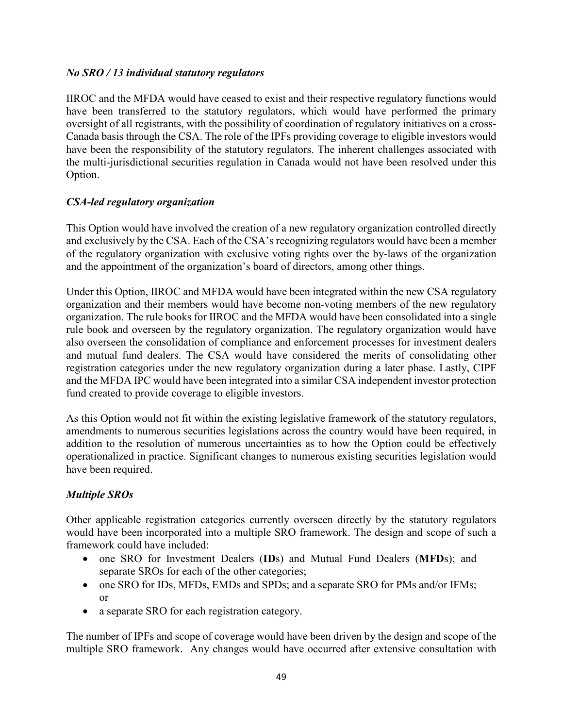### *No SRO / 13 individual statutory regulators*

IIROC and the MFDA would have ceased to exist and their respective regulatory functions would have been transferred to the statutory regulators, which would have performed the primary oversight of all registrants, with the possibility of coordination of regulatory initiatives on a cross-Canada basis through the CSA. The role of the IPFs providing coverage to eligible investors would have been the responsibility of the statutory regulators. The inherent challenges associated with the multi-jurisdictional securities regulation in Canada would not have been resolved under this Option.

## *CSA-led regulatory organization*

This Option would have involved the creation of a new regulatory organization controlled directly and exclusively by the CSA. Each of the CSA's recognizing regulators would have been a member of the regulatory organization with exclusive voting rights over the by-laws of the organization and the appointment of the organization's board of directors, among other things.

Under this Option, IIROC and MFDA would have been integrated within the new CSA regulatory organization and their members would have become non-voting members of the new regulatory organization. The rule books for IIROC and the MFDA would have been consolidated into a single rule book and overseen by the regulatory organization. The regulatory organization would have also overseen the consolidation of compliance and enforcement processes for investment dealers and mutual fund dealers. The CSA would have considered the merits of consolidating other registration categories under the new regulatory organization during a later phase. Lastly, CIPF and the MFDA IPC would have been integrated into a similar CSA independent investor protection fund created to provide coverage to eligible investors.

As this Option would not fit within the existing legislative framework of the statutory regulators, amendments to numerous securities legislations across the country would have been required, in addition to the resolution of numerous uncertainties as to how the Option could be effectively operationalized in practice. Significant changes to numerous existing securities legislation would have been required.

# *Multiple SROs*

Other applicable registration categories currently overseen directly by the statutory regulators would have been incorporated into a multiple SRO framework. The design and scope of such a framework could have included:

- one SRO for Investment Dealers (**ID**s) and Mutual Fund Dealers (**MFD**s); and separate SROs for each of the other categories;
- one SRO for IDs, MFDs, EMDs and SPDs; and a separate SRO for PMs and/or IFMs; or
- a separate SRO for each registration category.

The number of IPFs and scope of coverage would have been driven by the design and scope of the multiple SRO framework. Any changes would have occurred after extensive consultation with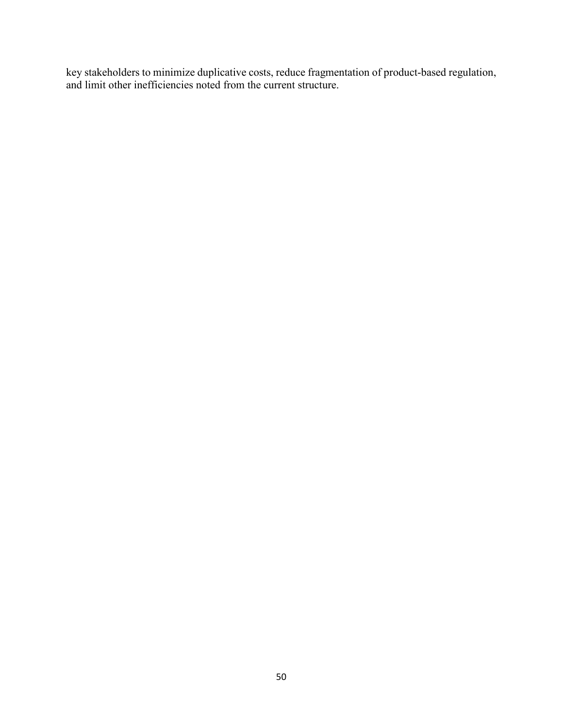key stakeholders to minimize duplicative costs, reduce fragmentation of product-based regulation, and limit other inefficiencies noted from the current structure.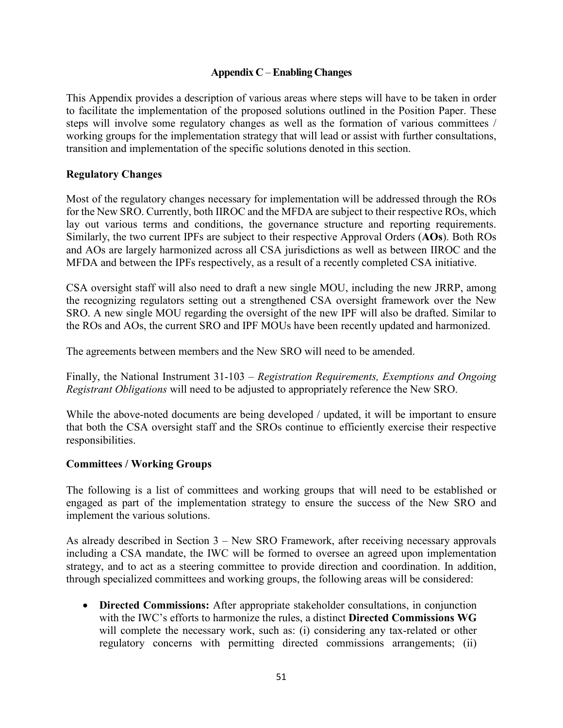#### **Appendix C** –**Enabling Changes**

This Appendix provides a description of various areas where steps will have to be taken in order to facilitate the implementation of the proposed solutions outlined in the Position Paper. These steps will involve some regulatory changes as well as the formation of various committees / working groups for the implementation strategy that will lead or assist with further consultations, transition and implementation of the specific solutions denoted in this section.

#### **Regulatory Changes**

Most of the regulatory changes necessary for implementation will be addressed through the ROs for the New SRO. Currently, both IIROC and the MFDA are subject to their respective ROs, which lay out various terms and conditions, the governance structure and reporting requirements. Similarly, the two current IPFs are subject to their respective Approval Orders (**AOs**). Both ROs and AOs are largely harmonized across all CSA jurisdictions as well as between IIROC and the MFDA and between the IPFs respectively, as a result of a recently completed CSA initiative.

CSA oversight staff will also need to draft a new single MOU, including the new JRRP, among the recognizing regulators setting out a strengthened CSA oversight framework over the New SRO. A new single MOU regarding the oversight of the new IPF will also be drafted. Similar to the ROs and AOs, the current SRO and IPF MOUs have been recently updated and harmonized.

The agreements between members and the New SRO will need to be amended.

Finally, the National Instrument 31-103 – *Registration Requirements, Exemptions and Ongoing Registrant Obligations* will need to be adjusted to appropriately reference the New SRO.

While the above-noted documents are being developed / updated, it will be important to ensure that both the CSA oversight staff and the SROs continue to efficiently exercise their respective responsibilities.

#### **Committees / Working Groups**

The following is a list of committees and working groups that will need to be established or engaged as part of the implementation strategy to ensure the success of the New SRO and implement the various solutions.

As already described in Section 3 – New SRO Framework, after receiving necessary approvals including a CSA mandate, the IWC will be formed to oversee an agreed upon implementation strategy, and to act as a steering committee to provide direction and coordination. In addition, through specialized committees and working groups, the following areas will be considered:

• **Directed Commissions:** After appropriate stakeholder consultations, in conjunction with the IWC's efforts to harmonize the rules, a distinct **Directed Commissions WG** will complete the necessary work, such as: (i) considering any tax-related or other regulatory concerns with permitting directed commissions arrangements; (ii)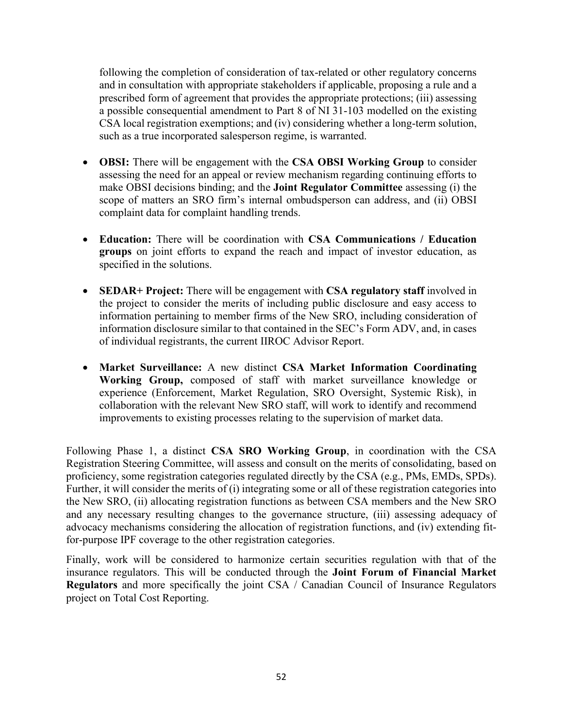following the completion of consideration of tax-related or other regulatory concerns and in consultation with appropriate stakeholders if applicable, proposing a rule and a prescribed form of agreement that provides the appropriate protections; (iii) assessing a possible consequential amendment to Part 8 of NI 31-103 modelled on the existing CSA local registration exemptions; and (iv) considering whether a long-term solution, such as a true incorporated salesperson regime, is warranted.

- **OBSI:** There will be engagement with the **CSA OBSI Working Group** to consider assessing the need for an appeal or review mechanism regarding continuing efforts to make OBSI decisions binding; and the **Joint Regulator Committee** assessing (i) the scope of matters an SRO firm's internal ombudsperson can address, and (ii) OBSI complaint data for complaint handling trends.
- **Education:** There will be coordination with **CSA Communications / Education groups** on joint efforts to expand the reach and impact of investor education, as specified in the solutions.
- **SEDAR+ Project:** There will be engagement with **CSA regulatory staff** involved in the project to consider the merits of including public disclosure and easy access to information pertaining to member firms of the New SRO, including consideration of information disclosure similar to that contained in the SEC's Form ADV, and, in cases of individual registrants, the current IIROC Advisor Report.
- **Market Surveillance:** A new distinct **CSA Market Information Coordinating Working Group,** composed of staff with market surveillance knowledge or experience (Enforcement, Market Regulation, SRO Oversight, Systemic Risk), in collaboration with the relevant New SRO staff, will work to identify and recommend improvements to existing processes relating to the supervision of market data.

Following Phase 1, a distinct **CSA SRO Working Group**, in coordination with the CSA Registration Steering Committee, will assess and consult on the merits of consolidating, based on proficiency, some registration categories regulated directly by the CSA (e.g., PMs, EMDs, SPDs). Further, it will consider the merits of (i) integrating some or all of these registration categories into the New SRO, (ii) allocating registration functions as between CSA members and the New SRO and any necessary resulting changes to the governance structure, (iii) assessing adequacy of advocacy mechanisms considering the allocation of registration functions, and (iv) extending fitfor-purpose IPF coverage to the other registration categories.

Finally, work will be considered to harmonize certain securities regulation with that of the insurance regulators. This will be conducted through the **Joint Forum of Financial Market Regulators** and more specifically the joint CSA / Canadian Council of Insurance Regulators project on Total Cost Reporting.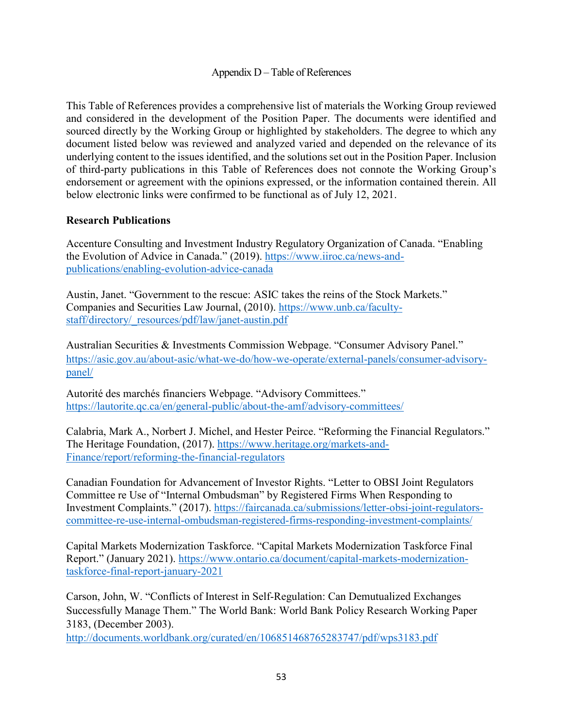#### Appendix D – Table of References

This Table of References provides a comprehensive list of materials the Working Group reviewed and considered in the development of the Position Paper. The documents were identified and sourced directly by the Working Group or highlighted by stakeholders. The degree to which any document listed below was reviewed and analyzed varied and depended on the relevance of its underlying content to the issues identified, and the solutions set out in the Position Paper. Inclusion of third-party publications in this Table of References does not connote the Working Group's endorsement or agreement with the opinions expressed, or the information contained therein. All below electronic links were confirmed to be functional as of July 12, 2021.

#### **Research Publications**

Accenture Consulting and Investment Industry Regulatory Organization of Canada. "Enabling the Evolution of Advice in Canada." (2019). [https://www.iiroc.ca/news-and](https://www.iiroc.ca/news-and-publications/enabling-evolution-advice-canada)[publications/enabling-evolution-advice-canada](https://www.iiroc.ca/news-and-publications/enabling-evolution-advice-canada)

Austin, Janet. "Government to the rescue: ASIC takes the reins of the Stock Markets." Companies and Securities Law Journal, (2010). [https://www.unb.ca/faculty](https://www.unb.ca/faculty-staff/directory/_resources/pdf/law/janet-austin.pdf)[staff/directory/\\_resources/pdf/law/janet-austin.pdf](https://www.unb.ca/faculty-staff/directory/_resources/pdf/law/janet-austin.pdf)

Australian Securities & Investments Commission Webpage. "Consumer Advisory Panel." [https://asic.gov.au/about-asic/what-we-do/how-we-operate/external-panels/consumer-advisory](https://asic.gov.au/about-asic/what-we-do/how-we-operate/external-panels/consumer-advisory-panel/)[panel/](https://asic.gov.au/about-asic/what-we-do/how-we-operate/external-panels/consumer-advisory-panel/)

Autorité des marchés financiers Webpage. "Advisory Committees." <https://lautorite.qc.ca/en/general-public/about-the-amf/advisory-committees/>

Calabria, Mark A., Norbert J. Michel, and Hester Peirce. "Reforming the Financial Regulators." The Heritage Foundation, (2017). [https://www.heritage.org/markets-and-](https://www.heritage.org/markets-and-Finance/report/reforming-the-financial-regulators)[Finance/report/reforming-the-financial-regulators](https://www.heritage.org/markets-and-Finance/report/reforming-the-financial-regulators)

Canadian Foundation for Advancement of Investor Rights. "Letter to OBSI Joint Regulators Committee re Use of "Internal Ombudsman" by Registered Firms When Responding to Investment Complaints." (2017). [https://faircanada.ca/submissions/letter-obsi-joint-regulators](https://faircanada.ca/submissions/letter-obsi-joint-regulators-committee-re-use-internal-ombudsman-registered-firms-responding-investment-complaints/)[committee-re-use-internal-ombudsman-registered-firms-responding-investment-complaints/](https://faircanada.ca/submissions/letter-obsi-joint-regulators-committee-re-use-internal-ombudsman-registered-firms-responding-investment-complaints/)

Capital Markets Modernization Taskforce. "Capital Markets Modernization Taskforce Final Report." (January 2021). [https://www.ontario.ca/document/capital-markets-modernization](https://www.ontario.ca/document/capital-markets-modernization-taskforce-final-report-january-2021)[taskforce-final-report-january-2021](https://www.ontario.ca/document/capital-markets-modernization-taskforce-final-report-january-2021)

Carson, John, W. "Conflicts of Interest in Self-Regulation: Can Demutualized Exchanges Successfully Manage Them." The World Bank: World Bank Policy Research Working Paper 3183, (December 2003).

<http://documents.worldbank.org/curated/en/106851468765283747/pdf/wps3183.pdf>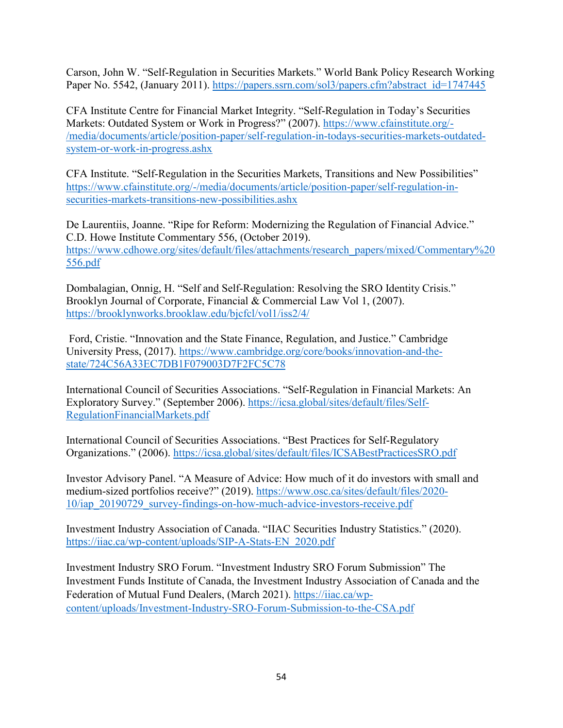Carson, John W. "Self-Regulation in Securities Markets." World Bank Policy Research Working Paper No. 5542, (January 2011). [https://papers.ssrn.com/sol3/papers.cfm?abstract\\_id=1747445](https://papers.ssrn.com/sol3/papers.cfm?abstract_id=1747445)

CFA Institute Centre for Financial Market Integrity. "Self-Regulation in Today's Securities Markets: Outdated System or Work in Progress?" (2007). [https://www.cfainstitute.org/-](https://www.cfainstitute.org/-/media/documents/article/position-paper/self-regulation-in-todays-securities-markets-outdated-system-or-work-in-progress.ashx) [/media/documents/article/position-paper/self-regulation-in-todays-securities-markets-outdated](https://www.cfainstitute.org/-/media/documents/article/position-paper/self-regulation-in-todays-securities-markets-outdated-system-or-work-in-progress.ashx)[system-or-work-in-progress.ashx](https://www.cfainstitute.org/-/media/documents/article/position-paper/self-regulation-in-todays-securities-markets-outdated-system-or-work-in-progress.ashx)

CFA Institute. "Self-Regulation in the Securities Markets, Transitions and New Possibilities" [https://www.cfainstitute.org/-/media/documents/article/position-paper/self-regulation-in](https://www.cfainstitute.org/-/media/documents/article/position-paper/self-regulation-in-securities-markets-transitions-new-possibilities.ashx)[securities-markets-transitions-new-possibilities.ashx](https://www.cfainstitute.org/-/media/documents/article/position-paper/self-regulation-in-securities-markets-transitions-new-possibilities.ashx)

De Laurentiis, Joanne. "Ripe for Reform: Modernizing the Regulation of Financial Advice." C.D. Howe Institute Commentary 556, (October 2019). [https://www.cdhowe.org/sites/default/files/attachments/research\\_papers/mixed/Commentary%20](https://www.cdhowe.org/sites/default/files/attachments/research_papers/mixed/Commentary%20556.pdf) [556.pdf](https://www.cdhowe.org/sites/default/files/attachments/research_papers/mixed/Commentary%20556.pdf)

Dombalagian, Onnig, H. "Self and Self-Regulation: Resolving the SRO Identity Crisis." Brooklyn Journal of Corporate, Financial & Commercial Law Vol 1, (2007). <https://brooklynworks.brooklaw.edu/bjcfcl/vol1/iss2/4/>

Ford, Cristie. "Innovation and the State Finance, Regulation, and Justice." Cambridge University Press, (2017). [https://www.cambridge.org/core/books/innovation-and-the](https://www.cambridge.org/core/books/innovation-and-the-state/724C56A33EC7DB1F079003D7F2FC5C78)[state/724C56A33EC7DB1F079003D7F2FC5C78](https://www.cambridge.org/core/books/innovation-and-the-state/724C56A33EC7DB1F079003D7F2FC5C78)

International Council of Securities Associations. "Self-Regulation in Financial Markets: An Exploratory Survey." (September 2006). [https://icsa.global/sites/default/files/Self-](https://icsa.global/sites/default/files/Self-RegulationFinancialMarkets.pdf)[RegulationFinancialMarkets.pdf](https://icsa.global/sites/default/files/Self-RegulationFinancialMarkets.pdf)

International Council of Securities Associations. "Best Practices for Self-Regulatory Organizations." (2006). <https://icsa.global/sites/default/files/ICSABestPracticesSRO.pdf>

Investor Advisory Panel. "A Measure of Advice: How much of it do investors with small and medium-sized portfolios receive?" (2019). [https://www.osc.ca/sites/default/files/2020-](https://www.osc.ca/sites/default/files/2020-10/iap_20190729_survey-findings-on-how-much-advice-investors-receive.pdf) [10/iap\\_20190729\\_survey-findings-on-how-much-advice-investors-receive.pdf](https://www.osc.ca/sites/default/files/2020-10/iap_20190729_survey-findings-on-how-much-advice-investors-receive.pdf)

Investment Industry Association of Canada. "IIAC Securities Industry Statistics." (2020). [https://iiac.ca/wp-content/uploads/SIP-A-Stats-EN\\_2020.pdf](https://iiac.ca/wp-content/uploads/SIP-A-Stats-EN_2020.pdf)

Investment Industry SRO Forum. "Investment Industry SRO Forum Submission" The Investment Funds Institute of Canada, the Investment Industry Association of Canada and the Federation of Mutual Fund Dealers, (March 2021). [https://iiac.ca/wp](https://iiac.ca/wp-content/uploads/Investment-Industry-SRO-Forum-Submission-to-the-CSA.pdf)[content/uploads/Investment-Industry-SRO-Forum-Submission-to-the-CSA.pdf](https://iiac.ca/wp-content/uploads/Investment-Industry-SRO-Forum-Submission-to-the-CSA.pdf)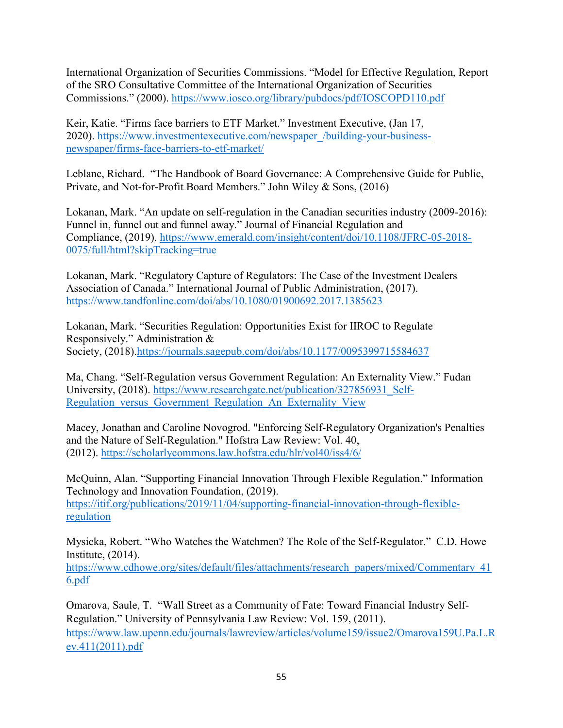International Organization of Securities Commissions. "Model for Effective Regulation, Report of the SRO Consultative Committee of the International Organization of Securities Commissions." (2000). <https://www.iosco.org/library/pubdocs/pdf/IOSCOPD110.pdf>

Keir, Katie. "Firms face barriers to ETF Market." Investment Executive, (Jan 17, 2020). [https://www.investmentexecutive.com/newspaper\\_/building-your-business](https://www.investmentexecutive.com/newspaper_/building-your-business-newspaper/firms-face-barriers-to-etf-market/)[newspaper/firms-face-barriers-to-etf-market/](https://www.investmentexecutive.com/newspaper_/building-your-business-newspaper/firms-face-barriers-to-etf-market/)

Leblanc, Richard. "The Handbook of Board Governance: A Comprehensive Guide for Public, Private, and Not-for-Profit Board Members." John Wiley & Sons, (2016)

Lokanan, Mark. "An update on self-regulation in the Canadian securities industry (2009-2016): Funnel in, funnel out and funnel away." Journal of Financial Regulation and Compliance, (2019). [https://www.emerald.com/insight/content/doi/10.1108/JFRC-05-2018-](https://www.emerald.com/insight/content/doi/10.1108/JFRC-05-2018-0075/full/html?skipTracking=true) [0075/full/html?skipTracking=true](https://www.emerald.com/insight/content/doi/10.1108/JFRC-05-2018-0075/full/html?skipTracking=true)

Lokanan, Mark. "Regulatory Capture of Regulators: The Case of the Investment Dealers Association of Canada." International Journal of Public Administration, (2017). <https://www.tandfonline.com/doi/abs/10.1080/01900692.2017.1385623>

Lokanan, Mark. "Securities Regulation: Opportunities Exist for IIROC to Regulate Responsively." Administration & Society, (2018)[.https://journals.sagepub.com/doi/abs/10.1177/0095399715584637](https://journals.sagepub.com/doi/abs/10.1177/0095399715584637)

Ma, Chang. "Self-Regulation versus Government Regulation: An Externality View." Fudan University, (2018). [https://www.researchgate.net/publication/327856931\\_Self-](https://www.researchgate.net/publication/327856931_Self-Regulation_versus_Government_Regulation_An_Externality_View)Regulation versus Government Regulation An Externality View

Macey, Jonathan and Caroline Novogrod. "Enforcing Self-Regulatory Organization's Penalties and the Nature of Self-Regulation." Hofstra Law Review: Vol. 40, (2012). <https://scholarlycommons.law.hofstra.edu/hlr/vol40/iss4/6/>

McQuinn, Alan. "Supporting Financial Innovation Through Flexible Regulation." Information Technology and Innovation Foundation, (2019). [https://itif.org/publications/2019/11/04/supporting-financial-innovation-through-flexible](https://itif.org/publications/2019/11/04/supporting-financial-innovation-through-flexible-regulation)[regulation](https://itif.org/publications/2019/11/04/supporting-financial-innovation-through-flexible-regulation)

Mysicka, Robert. "Who Watches the Watchmen? The Role of the Self-Regulator." C.D. Howe Institute, (2014).

[https://www.cdhowe.org/sites/default/files/attachments/research\\_papers/mixed/Commentary\\_41](https://www.cdhowe.org/sites/default/files/attachments/research_papers/mixed/Commentary_416.pdf) [6.pdf](https://www.cdhowe.org/sites/default/files/attachments/research_papers/mixed/Commentary_416.pdf)

Omarova, Saule, T. "Wall Street as a Community of Fate: Toward Financial Industry Self-Regulation." University of Pennsylvania Law Review: Vol. 159, (2011). [https://www.law.upenn.edu/journals/lawreview/articles/volume159/issue2/Omarova159U.Pa.L.R](https://www.law.upenn.edu/journals/lawreview/articles/volume159/issue2/Omarova159U.Pa.L.Rev.411(2011).pdf) [ev.411\(2011\).pdf](https://www.law.upenn.edu/journals/lawreview/articles/volume159/issue2/Omarova159U.Pa.L.Rev.411(2011).pdf)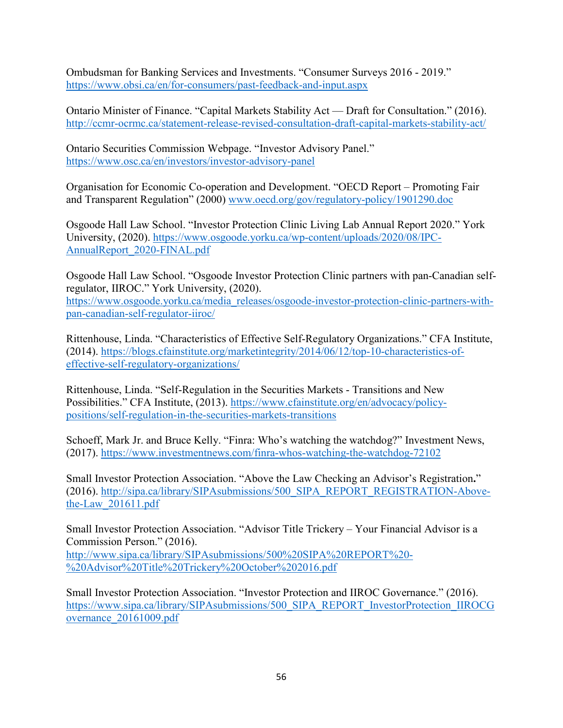Ombudsman for Banking Services and Investments. "Consumer Surveys 2016 - 2019." <https://www.obsi.ca/en/for-consumers/past-feedback-and-input.aspx>

Ontario Minister of Finance. "Capital Markets Stability Act — Draft for Consultation." (2016). <http://ccmr-ocrmc.ca/statement-release-revised-consultation-draft-capital-markets-stability-act/>

Ontario Securities Commission Webpage. "Investor Advisory Panel." <https://www.osc.ca/en/investors/investor-advisory-panel>

Organisation for Economic Co-operation and Development. "OECD Report – Promoting Fair and Transparent Regulation" (2000) [www.oecd.org/gov/regulatory-policy/1901290.doc](http://www.oecd.org/gov/regulatory-policy/1901290.doc)

Osgoode Hall Law School. "Investor Protection Clinic Living Lab Annual Report 2020." York University, (2020). [https://www.osgoode.yorku.ca/wp-content/uploads/2020/08/IPC-](https://www.osgoode.yorku.ca/wp-content/uploads/2020/08/IPC-AnnualReport_2020-FINAL.pdf)[AnnualReport\\_2020-FINAL.pdf](https://www.osgoode.yorku.ca/wp-content/uploads/2020/08/IPC-AnnualReport_2020-FINAL.pdf)

Osgoode Hall Law School. "Osgoode Investor Protection Clinic partners with pan-Canadian selfregulator, IIROC." York University, (2020).

[https://www.osgoode.yorku.ca/media\\_releases/osgoode-investor-protection-clinic-partners-with](https://www.osgoode.yorku.ca/media_releases/osgoode-investor-protection-clinic-partners-with-pan-canadian-self-regulator-iiroc/)[pan-canadian-self-regulator-iiroc/](https://www.osgoode.yorku.ca/media_releases/osgoode-investor-protection-clinic-partners-with-pan-canadian-self-regulator-iiroc/)

Rittenhouse, Linda. "Characteristics of Effective Self-Regulatory Organizations." CFA Institute, (2014). [https://blogs.cfainstitute.org/marketintegrity/2014/06/12/top-10-characteristics-of](https://blogs.cfainstitute.org/marketintegrity/2014/06/12/top-10-characteristics-of-effective-self-regulatory-organizations/)[effective-self-regulatory-organizations/](https://blogs.cfainstitute.org/marketintegrity/2014/06/12/top-10-characteristics-of-effective-self-regulatory-organizations/)

Rittenhouse, Linda. "Self-Regulation in the Securities Markets - Transitions and New Possibilities." CFA Institute, (2013). [https://www.cfainstitute.org/en/advocacy/policy](https://www.cfainstitute.org/en/advocacy/policy-positions/self-regulation-in-the-securities-markets-transitions)[positions/self-regulation-in-the-securities-markets-transitions](https://www.cfainstitute.org/en/advocacy/policy-positions/self-regulation-in-the-securities-markets-transitions)

Schoeff, Mark Jr. and Bruce Kelly. "Finra: Who's watching the watchdog?" Investment News, (2017).<https://www.investmentnews.com/finra-whos-watching-the-watchdog-72102>

Small Investor Protection Association. "Above the Law Checking an Advisor's Registration**.**" (2016). [http://sipa.ca/library/SIPAsubmissions/500\\_SIPA\\_REPORT\\_REGISTRATION-Above](http://sipa.ca/library/SIPAsubmissions/500_SIPA_REPORT_REGISTRATION-Above-the-Law_201611.pdf)[the-Law\\_201611.pdf](http://sipa.ca/library/SIPAsubmissions/500_SIPA_REPORT_REGISTRATION-Above-the-Law_201611.pdf)

Small Investor Protection Association. "Advisor Title Trickery – Your Financial Advisor is a Commission Person." (2016).

[http://www.sipa.ca/library/SIPAsubmissions/500%20SIPA%20REPORT%20-](http://www.sipa.ca/library/SIPAsubmissions/500%20SIPA%20REPORT%20-%20Advisor%20Title%20Trickery%20October%202016.pdf) [%20Advisor%20Title%20Trickery%20October%202016.pdf](http://www.sipa.ca/library/SIPAsubmissions/500%20SIPA%20REPORT%20-%20Advisor%20Title%20Trickery%20October%202016.pdf) 

Small Investor Protection Association. "Investor Protection and IIROC Governance." (2016). [https://www.sipa.ca/library/SIPAsubmissions/500\\_SIPA\\_REPORT\\_InvestorProtection\\_IIROCG](https://www.sipa.ca/library/SIPAsubmissions/500_SIPA_REPORT_InvestorProtection_IIROCGovernance_20161009.pdf) [overnance\\_20161009.pdf](https://www.sipa.ca/library/SIPAsubmissions/500_SIPA_REPORT_InvestorProtection_IIROCGovernance_20161009.pdf)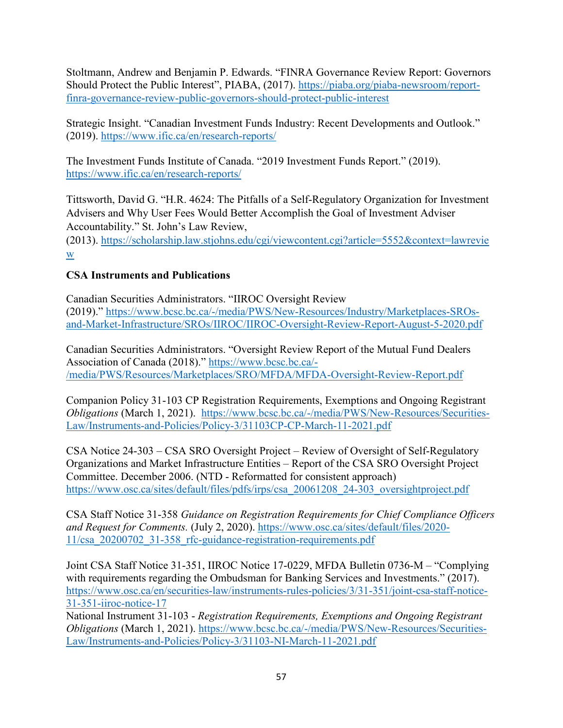Stoltmann, Andrew and Benjamin P. Edwards. ["FINRA Governance Review Report: Governors](https://piaba.org/piaba-newsroom/report-finra-governance-review-public-governors-should-protect-public-interest)  [Should Protect the Public Interest"](https://piaba.org/piaba-newsroom/report-finra-governance-review-public-governors-should-protect-public-interest), PIABA, (2017). [https://piaba.org/piaba-newsroom/report](https://piaba.org/piaba-newsroom/report-finra-governance-review-public-governors-should-protect-public-interest)[finra-governance-review-public-governors-should-protect-public-interest](https://piaba.org/piaba-newsroom/report-finra-governance-review-public-governors-should-protect-public-interest)

Strategic Insight. "Canadian Investment Funds Industry: Recent Developments and Outlook." (2019).<https://www.ific.ca/en/research-reports/>

The Investment Funds Institute of Canada. "2019 Investment Funds Report." (2019). <https://www.ific.ca/en/research-reports/>

Tittsworth, David G. "H.R. 4624: The Pitfalls of a Self-Regulatory Organization for Investment Advisers and Why User Fees Would Better Accomplish the Goal of Investment Adviser Accountability." St. John's Law Review,

(2013). [https://scholarship.law.stjohns.edu/cgi/viewcontent.cgi?article=5552&context=lawrevie](https://scholarship.law.stjohns.edu/cgi/viewcontent.cgi?article=5552&context=lawreview) [w](https://scholarship.law.stjohns.edu/cgi/viewcontent.cgi?article=5552&context=lawreview)

# **CSA Instruments and Publications**

Canadian Securities Administrators. "IIROC Oversight Review (2019)." [https://www.bcsc.bc.ca/-/media/PWS/New-Resources/Industry/Marketplaces-SROs](https://www.bcsc.bc.ca/-/media/PWS/New-Resources/Industry/Marketplaces-SROs-and-Market-Infrastructure/SROs/IIROC/IIROC-Oversight-Review-Report-August-5-2020.pdf)[and-Market-Infrastructure/SROs/IIROC/IIROC-Oversight-Review-Report-August-5-2020.pdf](https://www.bcsc.bc.ca/-/media/PWS/New-Resources/Industry/Marketplaces-SROs-and-Market-Infrastructure/SROs/IIROC/IIROC-Oversight-Review-Report-August-5-2020.pdf)

Canadian Securities Administrators. "Oversight Review Report of the Mutual Fund Dealers Association of Canada (2018)." [https://www.bcsc.bc.ca/-](https://www.bcsc.bc.ca/-/media/PWS/Resources/Marketplaces/SRO/MFDA/MFDA-Oversight-Review-Report.pdf) [/media/PWS/Resources/Marketplaces/SRO/MFDA/MFDA-Oversight-Review-Report.pdf](https://www.bcsc.bc.ca/-/media/PWS/Resources/Marketplaces/SRO/MFDA/MFDA-Oversight-Review-Report.pdf)

Companion Policy 31-103 CP Registration Requirements, Exemptions and Ongoing Registrant *Obligations* (March 1, 2021). [https://www.bcsc.bc.ca/-/media/PWS/New-Resources/Securities-](https://www.bcsc.bc.ca/-/media/PWS/New-Resources/Securities-Law/Instruments-and-Policies/Policy-3/31103CP-CP-March-11-2021.pdf)[Law/Instruments-and-Policies/Policy-3/31103CP-CP-March-11-2021.pdf](https://www.bcsc.bc.ca/-/media/PWS/New-Resources/Securities-Law/Instruments-and-Policies/Policy-3/31103CP-CP-March-11-2021.pdf)

CSA Notice 24-303 – CSA SRO Oversight Project – Review of Oversight of Self-Regulatory Organizations and Market Infrastructure Entities – Report of the CSA SRO Oversight Project Committee. December 2006. (NTD - Reformatted for consistent approach) [https://www.osc.ca/sites/default/files/pdfs/irps/csa\\_20061208\\_24-303\\_oversightproject.pdf](https://www.osc.ca/sites/default/files/pdfs/irps/csa_20061208_24-303_oversightproject.pdf)

CSA Staff Notice 31-358 *Guidance on Registration Requirements for Chief Compliance Officers and Request for Comments.* (July 2, 2020). [https://www.osc.ca/sites/default/files/2020-](https://www.osc.ca/sites/default/files/2020-11/csa_20200702_31-358_rfc-guidance-registration-requirements.pdf) [11/csa\\_20200702\\_31-358\\_rfc-guidance-registration-requirements.pdf](https://www.osc.ca/sites/default/files/2020-11/csa_20200702_31-358_rfc-guidance-registration-requirements.pdf)

Joint CSA Staff Notice 31-351, IIROC Notice 17-0229, MFDA Bulletin 0736-M – "Complying with requirements regarding the Ombudsman for Banking Services and Investments." (2017). [https://www.osc.ca/en/securities-law/instruments-rules-policies/3/31-351/joint-csa-staff-notice-](https://www.osc.ca/en/securities-law/instruments-rules-policies/3/31-351/joint-csa-staff-notice-31-351-iiroc-notice-17)[31-351-iiroc-notice-17](https://www.osc.ca/en/securities-law/instruments-rules-policies/3/31-351/joint-csa-staff-notice-31-351-iiroc-notice-17)

National Instrument 31-103 - *Registration Requirements, Exemptions and Ongoing Registrant Obligations* (March 1, 2021). [https://www.bcsc.bc.ca/-/media/PWS/New-Resources/Securities-](https://www.bcsc.bc.ca/-/media/PWS/New-Resources/Securities-Law/Instruments-and-Policies/Policy-3/31103-NI-March-11-2021.pdf)[Law/Instruments-and-Policies/Policy-3/31103-NI-March-11-2021.pdf](https://www.bcsc.bc.ca/-/media/PWS/New-Resources/Securities-Law/Instruments-and-Policies/Policy-3/31103-NI-March-11-2021.pdf)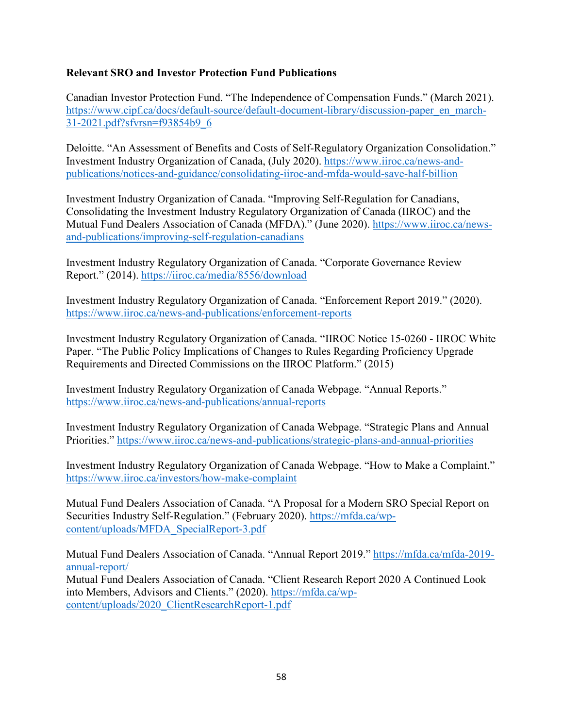### **Relevant SRO and Investor Protection Fund Publications**

Canadian Investor Protection Fund. "The Independence of Compensation Funds." (March 2021). [https://www.cipf.ca/docs/default-source/default-document-library/discussion-paper\\_en\\_march-](https://www.cipf.ca/docs/default-source/default-document-library/discussion-paper_en_march-31-2021.pdf?sfvrsn=f93854b9_6)[31-2021.pdf?sfvrsn=f93854b9\\_6](https://www.cipf.ca/docs/default-source/default-document-library/discussion-paper_en_march-31-2021.pdf?sfvrsn=f93854b9_6)

Deloitte. "An Assessment of Benefits and Costs of Self-Regulatory Organization Consolidation." Investment Industry Organization of Canada, (July 2020). [https://www.iiroc.ca/news-and](https://www.iiroc.ca/news-and-publications/notices-and-guidance/consolidating-iiroc-and-mfda-would-save-half-billion)[publications/notices-and-guidance/consolidating-iiroc-and-mfda-would-save-half-billion](https://www.iiroc.ca/news-and-publications/notices-and-guidance/consolidating-iiroc-and-mfda-would-save-half-billion)

Investment Industry Organization of Canada. "Improving Self-Regulation for Canadians, Consolidating the Investment Industry Regulatory Organization of Canada (IIROC) and the Mutual Fund Dealers Association of Canada (MFDA)." (June 2020). [https://www.iiroc.ca/news](https://www.iiroc.ca/news-and-publications/improving-self-regulation-canadians)[and-publications/improving-self-regulation-canadians](https://www.iiroc.ca/news-and-publications/improving-self-regulation-canadians)

Investment Industry Regulatory Organization of Canada. "Corporate Governance Review Report." (2014).<https://iiroc.ca/media/8556/download>

Investment Industry Regulatory Organization of Canada. "Enforcement Report 2019." (2020). <https://www.iiroc.ca/news-and-publications/enforcement-reports>

Investment Industry Regulatory Organization of Canada. "IIROC Notice 15-0260 - IIROC White Paper. "The Public Policy Implications of Changes to Rules Regarding Proficiency Upgrade Requirements and Directed Commissions on the IIROC Platform." (2015)

Investment Industry Regulatory Organization of Canada Webpage. "Annual Reports." <https://www.iiroc.ca/news-and-publications/annual-reports>

Investment Industry Regulatory Organization of Canada Webpage. "Strategic Plans and Annual Priorities."<https://www.iiroc.ca/news-and-publications/strategic-plans-and-annual-priorities>

Investment Industry Regulatory Organization of Canada Webpage. "How to Make a Complaint." <https://www.iiroc.ca/investors/how-make-complaint>

Mutual Fund Dealers Association of Canada. "A Proposal for a Modern SRO Special Report on Securities Industry Self-Regulation." (February 2020). [https://mfda.ca/wp](https://mfda.ca/wp-content/uploads/MFDA_SpecialReport-3.pdf)[content/uploads/MFDA\\_SpecialReport-3.pdf](https://mfda.ca/wp-content/uploads/MFDA_SpecialReport-3.pdf)

Mutual Fund Dealers Association of Canada. "Annual Report 2019." [https://mfda.ca/mfda-2019](https://mfda.ca/mfda-2019-annual-report/) [annual-report/](https://mfda.ca/mfda-2019-annual-report/) Mutual Fund Dealers Association of Canada. "Client Research Report 2020 A Continued Look into Members, Advisors and Clients." (2020). [https://mfda.ca/wp](https://mfda.ca/wp-content/uploads/2020_ClientResearchReport-1.pdf)[content/uploads/2020\\_ClientResearchReport-1.pdf](https://mfda.ca/wp-content/uploads/2020_ClientResearchReport-1.pdf)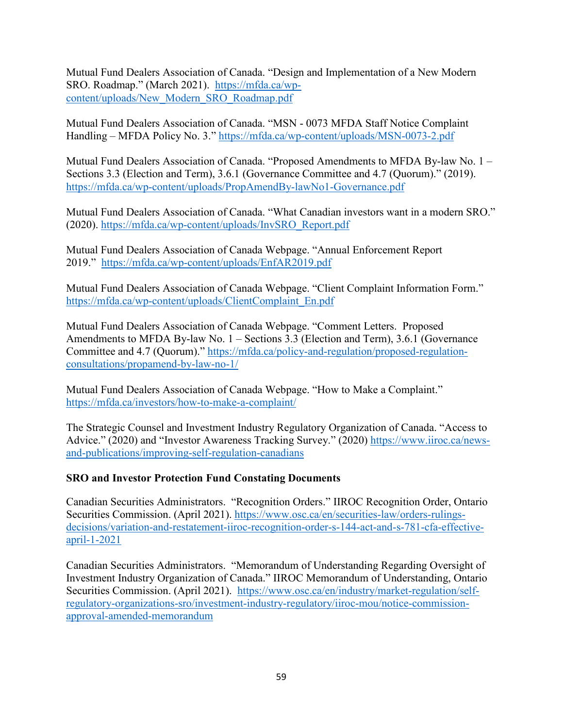Mutual Fund Dealers Association of Canada. "Design and Implementation of a New Modern SRO. Roadmap." (March 2021). [https://mfda.ca/wp](https://mfda.ca/wp-content/uploads/New_Modern_SRO_Roadmap.pdf)[content/uploads/New\\_Modern\\_SRO\\_Roadmap.pdf](https://mfda.ca/wp-content/uploads/New_Modern_SRO_Roadmap.pdf)

Mutual Fund Dealers Association of Canada. "MSN - 0073 MFDA Staff Notice Complaint Handling – MFDA Policy No. 3."<https://mfda.ca/wp-content/uploads/MSN-0073-2.pdf>

Mutual Fund Dealers Association of Canada. "Proposed Amendments to MFDA By-law No. 1 – Sections 3.3 (Election and Term), 3.6.1 (Governance Committee and 4.7 (Quorum)." (2019). <https://mfda.ca/wp-content/uploads/PropAmendBy-lawNo1-Governance.pdf>

Mutual Fund Dealers Association of Canada. "What Canadian investors want in a modern SRO." (2020). [https://mfda.ca/wp-content/uploads/InvSRO\\_Report.pdf](https://mfda.ca/wp-content/uploads/InvSRO_Report.pdf)

Mutual Fund Dealers Association of Canada Webpage. "Annual Enforcement Report 2019." <https://mfda.ca/wp-content/uploads/EnfAR2019.pdf>

Mutual Fund Dealers Association of Canada Webpage. "Client Complaint Information Form." [https://mfda.ca/wp-content/uploads/ClientComplaint\\_En.pdf](https://mfda.ca/wp-content/uploads/ClientComplaint_En.pdf)

Mutual Fund Dealers Association of Canada Webpage. "Comment Letters. Proposed Amendments to MFDA By-law No. 1 – Sections 3.3 (Election and Term), 3.6.1 (Governance Committee and 4.7 (Quorum)." [https://mfda.ca/policy-and-regulation/proposed-regulation](https://mfda.ca/policy-and-regulation/proposed-regulation-consultations/propamend-by-law-no-1/)[consultations/propamend-by-law-no-1/](https://mfda.ca/policy-and-regulation/proposed-regulation-consultations/propamend-by-law-no-1/)

Mutual Fund Dealers Association of Canada Webpage. "How to Make a Complaint." <https://mfda.ca/investors/how-to-make-a-complaint/>

The Strategic Counsel and Investment Industry Regulatory Organization of Canada. "Access to Advice." (2020) and "Investor Awareness Tracking Survey." (2020) [https://www.iiroc.ca/news](https://www.iiroc.ca/news-and-publications/improving-self-regulation-canadians)[and-publications/improving-self-regulation-canadians](https://www.iiroc.ca/news-and-publications/improving-self-regulation-canadians)

# **SRO and Investor Protection Fund Constating Documents**

Canadian Securities Administrators. "Recognition Orders." IIROC Recognition Order, Ontario Securities Commission. (April 2021). [https://www.osc.ca/en/securities-law/orders-rulings](https://www.osc.ca/en/securities-law/orders-rulings-decisions/variation-and-restatement-iiroc-recognition-order-s-144-act-and-s-781-cfa-effective-april-1-2021)[decisions/variation-and-restatement-iiroc-recognition-order-s-144-act-and-s-781-cfa-effective](https://www.osc.ca/en/securities-law/orders-rulings-decisions/variation-and-restatement-iiroc-recognition-order-s-144-act-and-s-781-cfa-effective-april-1-2021)[april-1-2021](https://www.osc.ca/en/securities-law/orders-rulings-decisions/variation-and-restatement-iiroc-recognition-order-s-144-act-and-s-781-cfa-effective-april-1-2021) 

Canadian Securities Administrators. "Memorandum of Understanding Regarding Oversight of Investment Industry Organization of Canada." IIROC Memorandum of Understanding, Ontario Securities Commission. (April 2021). [https://www.osc.ca/en/industry/market-regulation/self](https://can01.safelinks.protection.outlook.com/?url=https%3A%2F%2Fwww.osc.ca%2Fen%2Findustry%2Fmarket-regulation%2Fself-regulatory-organizations-sro%2Finvestment-industry-regulatory%2Fiiroc-mou%2Fnotice-commission-approval-amended-memorandum&data=04%7C01%7Cliz.kutarna%40gov.sk.ca%7Cbb1c23f52ee04acd844a08d91587d19d%7Ccf4e8a24641b40d2905e9a328b644fab%7C0%7C1%7C637564495346913593%7CUnknown%7CTWFpbGZsb3d8eyJWIjoiMC4wLjAwMDAiLCJQIjoiV2luMzIiLCJBTiI6Ik1haWwiLCJXVCI6Mn0%3D%7C1000&sdata=I7yeDYXL4artIOv74nzSHTXKuOOogWS6Wi6JsLB7EC8%3D&reserved=0)[regulatory-organizations-sro/investment-industry-regulatory/iiroc-mou/notice-commission](https://can01.safelinks.protection.outlook.com/?url=https%3A%2F%2Fwww.osc.ca%2Fen%2Findustry%2Fmarket-regulation%2Fself-regulatory-organizations-sro%2Finvestment-industry-regulatory%2Fiiroc-mou%2Fnotice-commission-approval-amended-memorandum&data=04%7C01%7Cliz.kutarna%40gov.sk.ca%7Cbb1c23f52ee04acd844a08d91587d19d%7Ccf4e8a24641b40d2905e9a328b644fab%7C0%7C1%7C637564495346913593%7CUnknown%7CTWFpbGZsb3d8eyJWIjoiMC4wLjAwMDAiLCJQIjoiV2luMzIiLCJBTiI6Ik1haWwiLCJXVCI6Mn0%3D%7C1000&sdata=I7yeDYXL4artIOv74nzSHTXKuOOogWS6Wi6JsLB7EC8%3D&reserved=0)[approval-amended-memorandum](https://can01.safelinks.protection.outlook.com/?url=https%3A%2F%2Fwww.osc.ca%2Fen%2Findustry%2Fmarket-regulation%2Fself-regulatory-organizations-sro%2Finvestment-industry-regulatory%2Fiiroc-mou%2Fnotice-commission-approval-amended-memorandum&data=04%7C01%7Cliz.kutarna%40gov.sk.ca%7Cbb1c23f52ee04acd844a08d91587d19d%7Ccf4e8a24641b40d2905e9a328b644fab%7C0%7C1%7C637564495346913593%7CUnknown%7CTWFpbGZsb3d8eyJWIjoiMC4wLjAwMDAiLCJQIjoiV2luMzIiLCJBTiI6Ik1haWwiLCJXVCI6Mn0%3D%7C1000&sdata=I7yeDYXL4artIOv74nzSHTXKuOOogWS6Wi6JsLB7EC8%3D&reserved=0)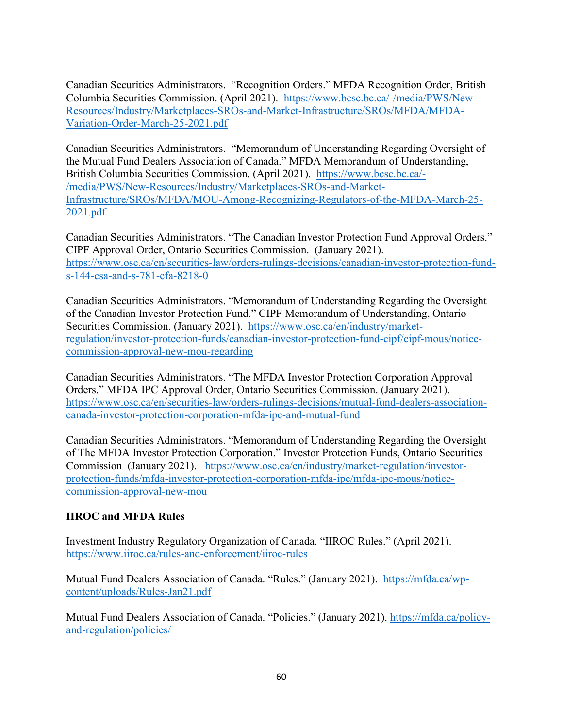Canadian Securities Administrators. "Recognition Orders." MFDA Recognition Order, British Columbia Securities Commission. (April 2021). [https://www.bcsc.bc.ca/-/media/PWS/New-](https://can01.safelinks.protection.outlook.com/?url=https%3A%2F%2Fwww.bcsc.bc.ca%2F-%2Fmedia%2FPWS%2FNew-Resources%2FIndustry%2FMarketplaces-SROs-and-Market-Infrastructure%2FSROs%2FMFDA%2FMFDA-Variation-Order-March-25-2021.pdf&data=04%7C01%7Cliz.kutarna%40gov.sk.ca%7Cbb1c23f52ee04acd844a08d91587d19d%7Ccf4e8a24641b40d2905e9a328b644fab%7C0%7C1%7C637564495346893682%7CUnknown%7CTWFpbGZsb3d8eyJWIjoiMC4wLjAwMDAiLCJQIjoiV2luMzIiLCJBTiI6Ik1haWwiLCJXVCI6Mn0%3D%7C1000&sdata=GcmaRmrfWxbAmieW3ejsaRIwUgLSzegqxfZyP9ESSyc%3D&reserved=0)[Resources/Industry/Marketplaces-SROs-and-Market-Infrastructure/SROs/MFDA/MFDA-](https://can01.safelinks.protection.outlook.com/?url=https%3A%2F%2Fwww.bcsc.bc.ca%2F-%2Fmedia%2FPWS%2FNew-Resources%2FIndustry%2FMarketplaces-SROs-and-Market-Infrastructure%2FSROs%2FMFDA%2FMFDA-Variation-Order-March-25-2021.pdf&data=04%7C01%7Cliz.kutarna%40gov.sk.ca%7Cbb1c23f52ee04acd844a08d91587d19d%7Ccf4e8a24641b40d2905e9a328b644fab%7C0%7C1%7C637564495346893682%7CUnknown%7CTWFpbGZsb3d8eyJWIjoiMC4wLjAwMDAiLCJQIjoiV2luMzIiLCJBTiI6Ik1haWwiLCJXVCI6Mn0%3D%7C1000&sdata=GcmaRmrfWxbAmieW3ejsaRIwUgLSzegqxfZyP9ESSyc%3D&reserved=0)[Variation-Order-March-25-2021.pdf](https://can01.safelinks.protection.outlook.com/?url=https%3A%2F%2Fwww.bcsc.bc.ca%2F-%2Fmedia%2FPWS%2FNew-Resources%2FIndustry%2FMarketplaces-SROs-and-Market-Infrastructure%2FSROs%2FMFDA%2FMFDA-Variation-Order-March-25-2021.pdf&data=04%7C01%7Cliz.kutarna%40gov.sk.ca%7Cbb1c23f52ee04acd844a08d91587d19d%7Ccf4e8a24641b40d2905e9a328b644fab%7C0%7C1%7C637564495346893682%7CUnknown%7CTWFpbGZsb3d8eyJWIjoiMC4wLjAwMDAiLCJQIjoiV2luMzIiLCJBTiI6Ik1haWwiLCJXVCI6Mn0%3D%7C1000&sdata=GcmaRmrfWxbAmieW3ejsaRIwUgLSzegqxfZyP9ESSyc%3D&reserved=0)

Canadian Securities Administrators. "Memorandum of Understanding Regarding Oversight of the Mutual Fund Dealers Association of Canada." MFDA Memorandum of Understanding, British Columbia Securities Commission. (April 2021). [https://www.bcsc.bc.ca/-](https://can01.safelinks.protection.outlook.com/?url=https%3A%2F%2Fwww.bcsc.bc.ca%2F-%2Fmedia%2FPWS%2FNew-Resources%2FIndustry%2FMarketplaces-SROs-and-Market-Infrastructure%2FSROs%2FMFDA%2FMOU-Among-Recognizing-Regulators-of-the-MFDA-March-25-2021.pdf&data=04%7C01%7Cliz.kutarna%40gov.sk.ca%7Cbb1c23f52ee04acd844a08d91587d19d%7Ccf4e8a24641b40d2905e9a328b644fab%7C0%7C1%7C637564495346903639%7CUnknown%7CTWFpbGZsb3d8eyJWIjoiMC4wLjAwMDAiLCJQIjoiV2luMzIiLCJBTiI6Ik1haWwiLCJXVCI6Mn0%3D%7C1000&sdata=niblutv%2F%2B8WeelRDSGTNF4X30DYm6wLp6SNQB5Y4U8Q%3D&reserved=0) [/media/PWS/New-Resources/Industry/Marketplaces-SROs-and-Market-](https://can01.safelinks.protection.outlook.com/?url=https%3A%2F%2Fwww.bcsc.bc.ca%2F-%2Fmedia%2FPWS%2FNew-Resources%2FIndustry%2FMarketplaces-SROs-and-Market-Infrastructure%2FSROs%2FMFDA%2FMOU-Among-Recognizing-Regulators-of-the-MFDA-March-25-2021.pdf&data=04%7C01%7Cliz.kutarna%40gov.sk.ca%7Cbb1c23f52ee04acd844a08d91587d19d%7Ccf4e8a24641b40d2905e9a328b644fab%7C0%7C1%7C637564495346903639%7CUnknown%7CTWFpbGZsb3d8eyJWIjoiMC4wLjAwMDAiLCJQIjoiV2luMzIiLCJBTiI6Ik1haWwiLCJXVCI6Mn0%3D%7C1000&sdata=niblutv%2F%2B8WeelRDSGTNF4X30DYm6wLp6SNQB5Y4U8Q%3D&reserved=0)[Infrastructure/SROs/MFDA/MOU-Among-Recognizing-Regulators-of-the-MFDA-March-25-](https://can01.safelinks.protection.outlook.com/?url=https%3A%2F%2Fwww.bcsc.bc.ca%2F-%2Fmedia%2FPWS%2FNew-Resources%2FIndustry%2FMarketplaces-SROs-and-Market-Infrastructure%2FSROs%2FMFDA%2FMOU-Among-Recognizing-Regulators-of-the-MFDA-March-25-2021.pdf&data=04%7C01%7Cliz.kutarna%40gov.sk.ca%7Cbb1c23f52ee04acd844a08d91587d19d%7Ccf4e8a24641b40d2905e9a328b644fab%7C0%7C1%7C637564495346903639%7CUnknown%7CTWFpbGZsb3d8eyJWIjoiMC4wLjAwMDAiLCJQIjoiV2luMzIiLCJBTiI6Ik1haWwiLCJXVCI6Mn0%3D%7C1000&sdata=niblutv%2F%2B8WeelRDSGTNF4X30DYm6wLp6SNQB5Y4U8Q%3D&reserved=0) [2021.pdf](https://can01.safelinks.protection.outlook.com/?url=https%3A%2F%2Fwww.bcsc.bc.ca%2F-%2Fmedia%2FPWS%2FNew-Resources%2FIndustry%2FMarketplaces-SROs-and-Market-Infrastructure%2FSROs%2FMFDA%2FMOU-Among-Recognizing-Regulators-of-the-MFDA-March-25-2021.pdf&data=04%7C01%7Cliz.kutarna%40gov.sk.ca%7Cbb1c23f52ee04acd844a08d91587d19d%7Ccf4e8a24641b40d2905e9a328b644fab%7C0%7C1%7C637564495346903639%7CUnknown%7CTWFpbGZsb3d8eyJWIjoiMC4wLjAwMDAiLCJQIjoiV2luMzIiLCJBTiI6Ik1haWwiLCJXVCI6Mn0%3D%7C1000&sdata=niblutv%2F%2B8WeelRDSGTNF4X30DYm6wLp6SNQB5Y4U8Q%3D&reserved=0)

Canadian Securities Administrators. "The Canadian Investor Protection Fund Approval Orders." CIPF Approval Order, Ontario Securities Commission. (January 2021). [https://www.osc.ca/en/securities-law/orders-rulings-decisions/canadian-investor-protection-fund](https://can01.safelinks.protection.outlook.com/?url=https%3A%2F%2Fwww.osc.ca%2Fen%2Fsecurities-law%2Forders-rulings-decisions%2Fcanadian-investor-protection-fund-s-144-csa-and-s-781-cfa-8218-0&data=04%7C01%7Cliz.kutarna%40gov.sk.ca%7Cbb1c23f52ee04acd844a08d91587d19d%7Ccf4e8a24641b40d2905e9a328b644fab%7C0%7C1%7C637564495346873766%7CUnknown%7CTWFpbGZsb3d8eyJWIjoiMC4wLjAwMDAiLCJQIjoiV2luMzIiLCJBTiI6Ik1haWwiLCJXVCI6Mn0%3D%7C1000&sdata=BchFSK5knizjFQOgj8Q9zCz6HFzhQOOwyZIrB1Y6vRA%3D&reserved=0)[s-144-csa-and-s-781-cfa-8218-0](https://can01.safelinks.protection.outlook.com/?url=https%3A%2F%2Fwww.osc.ca%2Fen%2Fsecurities-law%2Forders-rulings-decisions%2Fcanadian-investor-protection-fund-s-144-csa-and-s-781-cfa-8218-0&data=04%7C01%7Cliz.kutarna%40gov.sk.ca%7Cbb1c23f52ee04acd844a08d91587d19d%7Ccf4e8a24641b40d2905e9a328b644fab%7C0%7C1%7C637564495346873766%7CUnknown%7CTWFpbGZsb3d8eyJWIjoiMC4wLjAwMDAiLCJQIjoiV2luMzIiLCJBTiI6Ik1haWwiLCJXVCI6Mn0%3D%7C1000&sdata=BchFSK5knizjFQOgj8Q9zCz6HFzhQOOwyZIrB1Y6vRA%3D&reserved=0)

Canadian Securities Administrators. "Memorandum of Understanding Regarding the Oversight of the Canadian Investor Protection Fund." CIPF Memorandum of Understanding, Ontario Securities Commission. (January 2021). [https://www.osc.ca/en/industry/market](https://can01.safelinks.protection.outlook.com/?url=https%3A%2F%2Fwww.osc.ca%2Fen%2Findustry%2Fmarket-regulation%2Finvestor-protection-funds%2Fcanadian-investor-protection-fund-cipf%2Fcipf-mous%2Fnotice-commission-approval-new-mou-regarding&data=04%7C01%7Cliz.kutarna%40gov.sk.ca%7Cbb1c23f52ee04acd844a08d91587d19d%7Ccf4e8a24641b40d2905e9a328b644fab%7C0%7C1%7C637564495346883727%7CUnknown%7CTWFpbGZsb3d8eyJWIjoiMC4wLjAwMDAiLCJQIjoiV2luMzIiLCJBTiI6Ik1haWwiLCJXVCI6Mn0%3D%7C1000&sdata=Eq0SUbYqSSBUbmMZNTYISiWUPYf8YOTDT3Dpo5l7CxI%3D&reserved=0)[regulation/investor-protection-funds/canadian-investor-protection-fund-cipf/cipf-mous/notice](https://can01.safelinks.protection.outlook.com/?url=https%3A%2F%2Fwww.osc.ca%2Fen%2Findustry%2Fmarket-regulation%2Finvestor-protection-funds%2Fcanadian-investor-protection-fund-cipf%2Fcipf-mous%2Fnotice-commission-approval-new-mou-regarding&data=04%7C01%7Cliz.kutarna%40gov.sk.ca%7Cbb1c23f52ee04acd844a08d91587d19d%7Ccf4e8a24641b40d2905e9a328b644fab%7C0%7C1%7C637564495346883727%7CUnknown%7CTWFpbGZsb3d8eyJWIjoiMC4wLjAwMDAiLCJQIjoiV2luMzIiLCJBTiI6Ik1haWwiLCJXVCI6Mn0%3D%7C1000&sdata=Eq0SUbYqSSBUbmMZNTYISiWUPYf8YOTDT3Dpo5l7CxI%3D&reserved=0)[commission-approval-new-mou-regarding](https://can01.safelinks.protection.outlook.com/?url=https%3A%2F%2Fwww.osc.ca%2Fen%2Findustry%2Fmarket-regulation%2Finvestor-protection-funds%2Fcanadian-investor-protection-fund-cipf%2Fcipf-mous%2Fnotice-commission-approval-new-mou-regarding&data=04%7C01%7Cliz.kutarna%40gov.sk.ca%7Cbb1c23f52ee04acd844a08d91587d19d%7Ccf4e8a24641b40d2905e9a328b644fab%7C0%7C1%7C637564495346883727%7CUnknown%7CTWFpbGZsb3d8eyJWIjoiMC4wLjAwMDAiLCJQIjoiV2luMzIiLCJBTiI6Ik1haWwiLCJXVCI6Mn0%3D%7C1000&sdata=Eq0SUbYqSSBUbmMZNTYISiWUPYf8YOTDT3Dpo5l7CxI%3D&reserved=0)

Canadian Securities Administrators. "The MFDA Investor Protection Corporation Approval Orders." MFDA IPC Approval Order, Ontario Securities Commission. (January 2021). [https://www.osc.ca/en/securities-law/orders-rulings-decisions/mutual-fund-dealers-association](https://can01.safelinks.protection.outlook.com/?url=https%3A%2F%2Fwww.osc.ca%2Fen%2Fsecurities-law%2Forders-rulings-decisions%2Fmutual-fund-dealers-association-canada-investor-protection-corporation-mfda-ipc-and-mutual-fund&data=04%7C01%7Cliz.kutarna%40gov.sk.ca%7Cbb1c23f52ee04acd844a08d91587d19d%7Ccf4e8a24641b40d2905e9a328b644fab%7C0%7C1%7C637564495346883727%7CUnknown%7CTWFpbGZsb3d8eyJWIjoiMC4wLjAwMDAiLCJQIjoiV2luMzIiLCJBTiI6Ik1haWwiLCJXVCI6Mn0%3D%7C1000&sdata=78Vt129nwIhj5OhTYLOaT3Id53K5bKyvXhkOeKIXN4Y%3D&reserved=0)[canada-investor-protection-corporation-mfda-ipc-and-mutual-fund](https://can01.safelinks.protection.outlook.com/?url=https%3A%2F%2Fwww.osc.ca%2Fen%2Fsecurities-law%2Forders-rulings-decisions%2Fmutual-fund-dealers-association-canada-investor-protection-corporation-mfda-ipc-and-mutual-fund&data=04%7C01%7Cliz.kutarna%40gov.sk.ca%7Cbb1c23f52ee04acd844a08d91587d19d%7Ccf4e8a24641b40d2905e9a328b644fab%7C0%7C1%7C637564495346883727%7CUnknown%7CTWFpbGZsb3d8eyJWIjoiMC4wLjAwMDAiLCJQIjoiV2luMzIiLCJBTiI6Ik1haWwiLCJXVCI6Mn0%3D%7C1000&sdata=78Vt129nwIhj5OhTYLOaT3Id53K5bKyvXhkOeKIXN4Y%3D&reserved=0)

Canadian Securities Administrators. "Memorandum of Understanding Regarding the Oversight of The MFDA Investor Protection Corporation." Investor Protection Funds, Ontario Securities Commission (January 2021). [https://www.osc.ca/en/industry/market-regulation/investor](https://can01.safelinks.protection.outlook.com/?url=https%3A%2F%2Fwww.osc.ca%2Fen%2Findustry%2Fmarket-regulation%2Finvestor-protection-funds%2Fmfda-investor-protection-corporation-mfda-ipc%2Fmfda-ipc-mous%2Fnotice-commission-approval-new-mou&data=04%7C01%7Cliz.kutarna%40gov.sk.ca%7Cbb1c23f52ee04acd844a08d91587d19d%7Ccf4e8a24641b40d2905e9a328b644fab%7C0%7C1%7C637564495346893682%7CUnknown%7CTWFpbGZsb3d8eyJWIjoiMC4wLjAwMDAiLCJQIjoiV2luMzIiLCJBTiI6Ik1haWwiLCJXVCI6Mn0%3D%7C1000&sdata=laQCVPIL70HmIZPlYAYn70QyEeXOcXVZEYcx0GKvjyM%3D&reserved=0)[protection-funds/mfda-investor-protection-corporation-mfda-ipc/mfda-ipc-mous/notice](https://can01.safelinks.protection.outlook.com/?url=https%3A%2F%2Fwww.osc.ca%2Fen%2Findustry%2Fmarket-regulation%2Finvestor-protection-funds%2Fmfda-investor-protection-corporation-mfda-ipc%2Fmfda-ipc-mous%2Fnotice-commission-approval-new-mou&data=04%7C01%7Cliz.kutarna%40gov.sk.ca%7Cbb1c23f52ee04acd844a08d91587d19d%7Ccf4e8a24641b40d2905e9a328b644fab%7C0%7C1%7C637564495346893682%7CUnknown%7CTWFpbGZsb3d8eyJWIjoiMC4wLjAwMDAiLCJQIjoiV2luMzIiLCJBTiI6Ik1haWwiLCJXVCI6Mn0%3D%7C1000&sdata=laQCVPIL70HmIZPlYAYn70QyEeXOcXVZEYcx0GKvjyM%3D&reserved=0)[commission-approval-new-mou](https://can01.safelinks.protection.outlook.com/?url=https%3A%2F%2Fwww.osc.ca%2Fen%2Findustry%2Fmarket-regulation%2Finvestor-protection-funds%2Fmfda-investor-protection-corporation-mfda-ipc%2Fmfda-ipc-mous%2Fnotice-commission-approval-new-mou&data=04%7C01%7Cliz.kutarna%40gov.sk.ca%7Cbb1c23f52ee04acd844a08d91587d19d%7Ccf4e8a24641b40d2905e9a328b644fab%7C0%7C1%7C637564495346893682%7CUnknown%7CTWFpbGZsb3d8eyJWIjoiMC4wLjAwMDAiLCJQIjoiV2luMzIiLCJBTiI6Ik1haWwiLCJXVCI6Mn0%3D%7C1000&sdata=laQCVPIL70HmIZPlYAYn70QyEeXOcXVZEYcx0GKvjyM%3D&reserved=0)

### **IIROC and MFDA Rules**

Investment Industry Regulatory Organization of Canada. "IIROC Rules." (April 2021). <https://www.iiroc.ca/rules-and-enforcement/iiroc-rules>

Mutual Fund Dealers Association of Canada. "Rules." (January 2021). [https://mfda.ca/wp](https://mfda.ca/wp-content/uploads/Rules-Jan21.pdf)[content/uploads/Rules-Jan21.pdf](https://mfda.ca/wp-content/uploads/Rules-Jan21.pdf)

Mutual Fund Dealers Association of Canada. "Policies." (January 2021). [https://mfda.ca/policy](https://mfda.ca/policy-and-regulation/policies/)[and-regulation/policies/](https://mfda.ca/policy-and-regulation/policies/)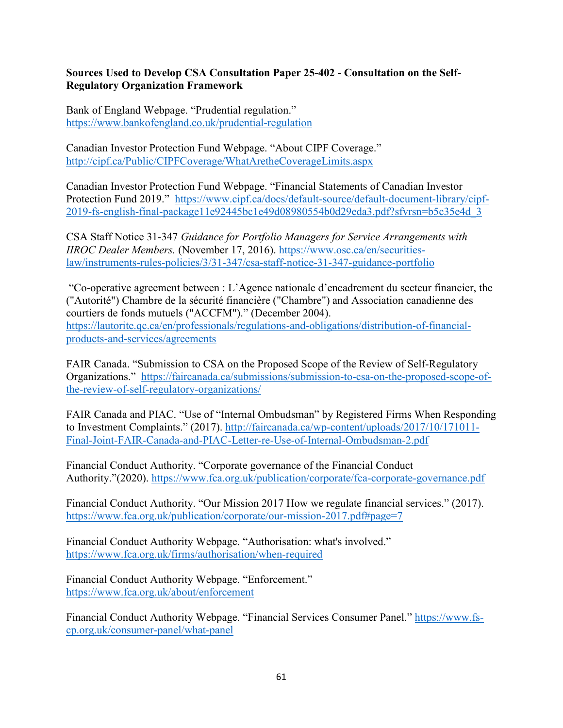#### **Sources Used to Develop CSA Consultation Paper 25-402 - Consultation on the Self-Regulatory Organization Framework**

Bank of England Webpage. "Prudential regulation." <https://www.bankofengland.co.uk/prudential-regulation>

Canadian Investor Protection Fund Webpage. "About CIPF Coverage." <http://cipf.ca/Public/CIPFCoverage/WhatAretheCoverageLimits.aspx>

Canadian Investor Protection Fund Webpage. "Financial Statements of Canadian Investor Protection Fund 2019." [https://www.cipf.ca/docs/default-source/default-document-library/cipf-](https://www.cipf.ca/docs/default-source/default-document-library/cipf-2019-fs-english-final-package11e92445bc1e49d08980554b0d29eda3.pdf?sfvrsn=b5c35e4d_3)[2019-fs-english-final-package11e92445bc1e49d08980554b0d29eda3.pdf?sfvrsn=b5c35e4d\\_3](https://www.cipf.ca/docs/default-source/default-document-library/cipf-2019-fs-english-final-package11e92445bc1e49d08980554b0d29eda3.pdf?sfvrsn=b5c35e4d_3)

CSA Staff Notice 31-347 *Guidance for Portfolio Managers for Service Arrangements with IIROC Dealer Members.* (November 17, 2016). [https://www.osc.ca/en/securities](https://www.osc.ca/en/securities-law/instruments-rules-policies/3/31-347/csa-staff-notice-31-347-guidance-portfolio)[law/instruments-rules-policies/3/31-347/csa-staff-notice-31-347-guidance-portfolio](https://www.osc.ca/en/securities-law/instruments-rules-policies/3/31-347/csa-staff-notice-31-347-guidance-portfolio)

"Co-operative agreement between : L'Agence nationale d'encadrement du secteur financier, the ("Autorité") Chambre de la sécurité financière ("Chambre") and Association canadienne des courtiers de fonds mutuels ("ACCFM")." (December 2004). [https://lautorite.qc.ca/en/professionals/regulations-and-obligations/distribution-of-financial](https://lautorite.qc.ca/en/professionals/regulations-and-obligations/distribution-of-financial-products-and-services/agreements)[products-and-services/agreements](https://lautorite.qc.ca/en/professionals/regulations-and-obligations/distribution-of-financial-products-and-services/agreements)

FAIR Canada. "Submission to CSA on the Proposed Scope of the Review of Self-Regulatory Organizations." [https://faircanada.ca/submissions/submission-to-csa-on-the-proposed-scope-of](https://faircanada.ca/submissions/submission-to-csa-on-the-proposed-scope-of-the-review-of-self-regulatory-organizations/)[the-review-of-self-regulatory-organizations/](https://faircanada.ca/submissions/submission-to-csa-on-the-proposed-scope-of-the-review-of-self-regulatory-organizations/)

FAIR Canada and PIAC. "Use of "Internal Ombudsman" by Registered Firms When Responding to Investment Complaints." (2017). [http://faircanada.ca/wp-content/uploads/2017/10/171011-](http://faircanada.ca/wp-content/uploads/2017/10/171011-Final-Joint-FAIR-Canada-and-PIAC-Letter-re-Use-of-Internal-Ombudsman-2.pdf) [Final-Joint-FAIR-Canada-and-PIAC-Letter-re-Use-of-Internal-Ombudsman-2.pdf](http://faircanada.ca/wp-content/uploads/2017/10/171011-Final-Joint-FAIR-Canada-and-PIAC-Letter-re-Use-of-Internal-Ombudsman-2.pdf)

Financial Conduct Authority. "Corporate governance of the Financial Conduct Authority."(2020).<https://www.fca.org.uk/publication/corporate/fca-corporate-governance.pdf>

Financial Conduct Authority. "Our Mission 2017 How we regulate financial services." (2017). <https://www.fca.org.uk/publication/corporate/our-mission-2017.pdf#page=7>

Financial Conduct Authority Webpage. "Authorisation: what's involved." <https://www.fca.org.uk/firms/authorisation/when-required>

Financial Conduct Authority Webpage. "Enforcement." <https://www.fca.org.uk/about/enforcement>

Financial Conduct Authority Webpage. "Financial Services Consumer Panel." [https://www.fs](https://www.fs-cp.org.uk/consumer-panel/what-panel)[cp.org.uk/consumer-panel/what-panel](https://www.fs-cp.org.uk/consumer-panel/what-panel)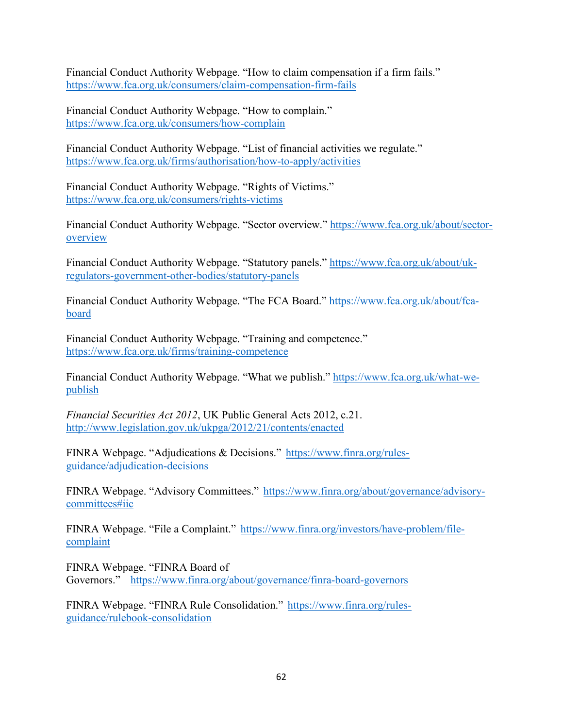Financial Conduct Authority Webpage. "How to claim compensation if a firm fails." <https://www.fca.org.uk/consumers/claim-compensation-firm-fails>

Financial Conduct Authority Webpage. "How to complain." <https://www.fca.org.uk/consumers/how-complain>

Financial Conduct Authority Webpage. "List of financial activities we regulate." <https://www.fca.org.uk/firms/authorisation/how-to-apply/activities>

Financial Conduct Authority Webpage. "Rights of Victims." <https://www.fca.org.uk/consumers/rights-victims>

Financial Conduct Authority Webpage. "Sector overview." [https://www.fca.org.uk/about/sector](https://www.fca.org.uk/about/sector-overview)[overview](https://www.fca.org.uk/about/sector-overview)

Financial Conduct Authority Webpage. "Statutory panels." [https://www.fca.org.uk/about/uk](https://www.fca.org.uk/about/uk-regulators-government-other-bodies/statutory-panels)[regulators-government-other-bodies/statutory-panels](https://www.fca.org.uk/about/uk-regulators-government-other-bodies/statutory-panels)

Financial Conduct Authority Webpage. "The FCA Board." [https://www.fca.org.uk/about/fca](https://www.fca.org.uk/about/fca-board)[board](https://www.fca.org.uk/about/fca-board)

Financial Conduct Authority Webpage. "Training and competence." <https://www.fca.org.uk/firms/training-competence>

Financial Conduct Authority Webpage. "What we publish." [https://www.fca.org.uk/what-we](https://www.fca.org.uk/what-we-publish)[publish](https://www.fca.org.uk/what-we-publish)

*Financial Securities Act 2012*, UK Public General Acts 2012, c.21. <http://www.legislation.gov.uk/ukpga/2012/21/contents/enacted>

FINRA Webpage. "Adjudications & Decisions." [https://www.finra.org/rules](https://www.finra.org/rules-guidance/adjudication-decisions)[guidance/adjudication-decisions](https://www.finra.org/rules-guidance/adjudication-decisions) 

FINRA Webpage. "Advisory Committees." [https://www.finra.org/about/governance/advisory](https://www.finra.org/about/governance/advisory-committees#iic)[committees#iic](https://www.finra.org/about/governance/advisory-committees#iic)

FINRA Webpage. "File a Complaint." [https://www.finra.org/investors/have-problem/file](https://www.finra.org/investors/have-problem/file-complaint)[complaint](https://www.finra.org/investors/have-problem/file-complaint) 

FINRA Webpage. "FINRA Board of Governors." <https://www.finra.org/about/governance/finra-board-governors>

FINRA Webpage. "FINRA Rule Consolidation." [https://www.finra.org/rules](https://www.finra.org/rules-guidance/rulebook-consolidation)[guidance/rulebook-consolidation](https://www.finra.org/rules-guidance/rulebook-consolidation)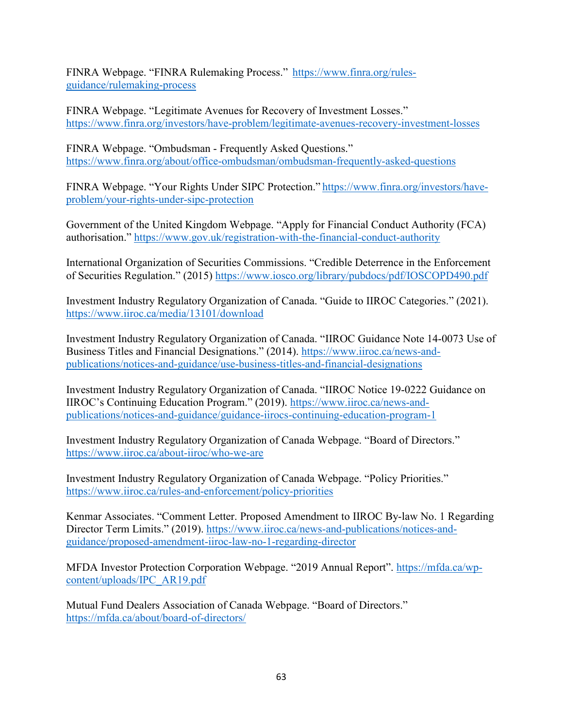FINRA Webpage. "FINRA Rulemaking Process." [https://www.finra.org/rules](https://www.finra.org/rules-guidance/rulemaking-process)[guidance/rulemaking-process](https://www.finra.org/rules-guidance/rulemaking-process)

FINRA Webpage. "Legitimate Avenues for Recovery of Investment Losses." <https://www.finra.org/investors/have-problem/legitimate-avenues-recovery-investment-losses>

FINRA Webpage. "Ombudsman - Frequently Asked Questions." <https://www.finra.org/about/office-ombudsman/ombudsman-frequently-asked-questions>

FINRA Webpage. "Your Rights Under SIPC Protection." [https://www.finra.org/investors/have](https://www.finra.org/investors/have-problem/your-rights-under-sipc-protection)[problem/your-rights-under-sipc-protection](https://www.finra.org/investors/have-problem/your-rights-under-sipc-protection)

Government of the United Kingdom Webpage. "Apply for Financial Conduct Authority (FCA) authorisation."<https://www.gov.uk/registration-with-the-financial-conduct-authority>

International Organization of Securities Commissions. "Credible Deterrence in the Enforcement of Securities Regulation." (2015)<https://www.iosco.org/library/pubdocs/pdf/IOSCOPD490.pdf>

Investment Industry Regulatory Organization of Canada. "Guide to IIROC Categories." (2021). <https://www.iiroc.ca/media/13101/download>

Investment Industry Regulatory Organization of Canada. "IIROC Guidance Note 14-0073 Use of Business Titles and Financial Designations." (2014). [https://www.iiroc.ca/news-and](https://www.iiroc.ca/news-and-publications/notices-and-guidance/use-business-titles-and-financial-designations)[publications/notices-and-guidance/use-business-titles-and-financial-designations](https://www.iiroc.ca/news-and-publications/notices-and-guidance/use-business-titles-and-financial-designations)

Investment Industry Regulatory Organization of Canada. "IIROC Notice 19-0222 Guidance on IIROC's Continuing Education Program." (2019). [https://www.iiroc.ca/news-and](https://www.iiroc.ca/news-and-publications/notices-and-guidance/guidance-iirocs-continuing-education-program-1)[publications/notices-and-guidance/guidance-iirocs-continuing-education-program-1](https://www.iiroc.ca/news-and-publications/notices-and-guidance/guidance-iirocs-continuing-education-program-1)

Investment Industry Regulatory Organization of Canada Webpage. "Board of Directors." <https://www.iiroc.ca/about-iiroc/who-we-are>

Investment Industry Regulatory Organization of Canada Webpage. "Policy Priorities." <https://www.iiroc.ca/rules-and-enforcement/policy-priorities>

Kenmar Associates. "Comment Letter. Proposed Amendment to IIROC By-law No. 1 Regarding Director Term Limits." (2019). [https://www.iiroc.ca/news-and-publications/notices-and](https://www.iiroc.ca/news-and-publications/notices-and-guidance/proposed-amendment-iiroc-law-no-1-regarding-director)[guidance/proposed-amendment-iiroc-law-no-1-regarding-director](https://www.iiroc.ca/news-and-publications/notices-and-guidance/proposed-amendment-iiroc-law-no-1-regarding-director)

MFDA Investor Protection Corporation Webpage. "2019 Annual Report". [https://mfda.ca/wp](https://mfda.ca/wp-content/uploads/IPC_AR19.pdf)[content/uploads/IPC\\_AR19.pdf](https://mfda.ca/wp-content/uploads/IPC_AR19.pdf)

Mutual Fund Dealers Association of Canada Webpage. "Board of Directors." <https://mfda.ca/about/board-of-directors/>